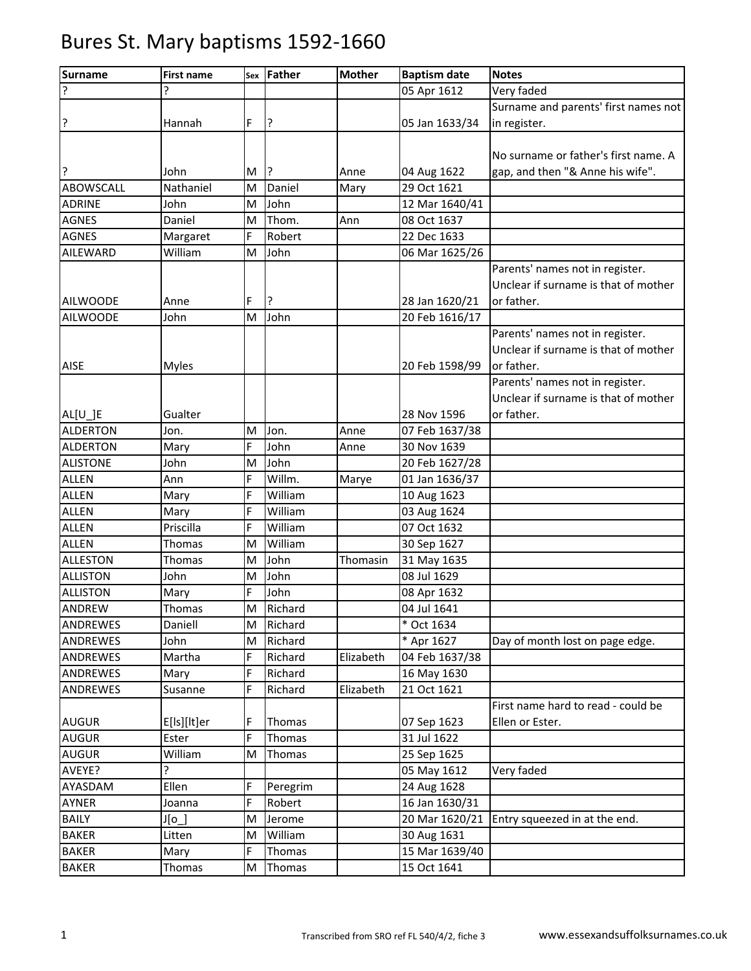| <b>Surname</b>   | <b>First name</b> | Sex | Father   | <b>Mother</b> | <b>Baptism date</b> | <b>Notes</b>                         |
|------------------|-------------------|-----|----------|---------------|---------------------|--------------------------------------|
| 7                |                   |     |          |               | 05 Apr 1612         | Very faded                           |
|                  |                   |     |          |               |                     | Surname and parents' first names not |
| ŗ                | Hannah            | F   | ļ3       |               | 05 Jan 1633/34      | in register.                         |
|                  |                   |     |          |               |                     |                                      |
|                  |                   |     |          |               |                     | No surname or father's first name. A |
| ?                | John              | M   | ?        | Anne          | 04 Aug 1622         | gap, and then "& Anne his wife".     |
| <b>ABOWSCALL</b> | Nathaniel         | M   | Daniel   | Mary          | 29 Oct 1621         |                                      |
| <b>ADRINE</b>    | John              | M   | John     |               | 12 Mar 1640/41      |                                      |
| <b>AGNES</b>     | Daniel            | M   | Thom.    | Ann           | 08 Oct 1637         |                                      |
| <b>AGNES</b>     | Margaret          | F   | Robert   |               | 22 Dec 1633         |                                      |
| AILEWARD         | William           | M   | John     |               | 06 Mar 1625/26      |                                      |
|                  |                   |     |          |               |                     | Parents' names not in register.      |
|                  |                   |     |          |               |                     | Unclear if surname is that of mother |
| <b>AILWOODE</b>  | Anne              | F   | P.       |               | 28 Jan 1620/21      | or father.                           |
| <b>AILWOODE</b>  | John              | M   | John     |               | 20 Feb 1616/17      |                                      |
|                  |                   |     |          |               |                     | Parents' names not in register.      |
|                  |                   |     |          |               |                     | Unclear if surname is that of mother |
| <b>AISE</b>      | <b>Myles</b>      |     |          |               | 20 Feb 1598/99      | or father.                           |
|                  |                   |     |          |               |                     | Parents' names not in register.      |
|                  |                   |     |          |               |                     | Unclear if surname is that of mother |
| $AL[U_]E$        | Gualter           |     |          |               | 28 Nov 1596         | or father.                           |
| <b>ALDERTON</b>  | Jon.              | M   | Jon.     | Anne          | 07 Feb 1637/38      |                                      |
| <b>ALDERTON</b>  | Mary              | F   | John     | Anne          | 30 Nov 1639         |                                      |
| <b>ALISTONE</b>  | John              | M   | John     |               | 20 Feb 1627/28      |                                      |
| <b>ALLEN</b>     | Ann               | Ė   | Willm.   | Marye         | 01 Jan 1636/37      |                                      |
| <b>ALLEN</b>     | Mary              | F.  | William  |               | 10 Aug 1623         |                                      |
| <b>ALLEN</b>     | Mary              | F   | William  |               | 03 Aug 1624         |                                      |
| <b>ALLEN</b>     | Priscilla         | F   | William  |               | 07 Oct 1632         |                                      |
| <b>ALLEN</b>     | Thomas            | M   | William  |               | 30 Sep 1627         |                                      |
| <b>ALLESTON</b>  | Thomas            | M   | John     | Thomasin      | 31 May 1635         |                                      |
| <b>ALLISTON</b>  | John              | M   | John     |               | 08 Jul 1629         |                                      |
| <b>ALLISTON</b>  | Mary              | F   | John     |               | 08 Apr 1632         |                                      |
| ANDREW           | Thomas            | M   | Richard  |               | 04 Jul 1641         |                                      |
| ANDREWES         | Daniell           | M   | Richard  |               | * Oct 1634          |                                      |
| ANDREWES         | John              | M   | Richard  |               | * Apr 1627          | Day of month lost on page edge.      |
| ANDREWES         | Martha            | F.  | Richard  | Elizabeth     | 04 Feb 1637/38      |                                      |
| ANDREWES         | Mary              | F   | Richard  |               | 16 May 1630         |                                      |
| ANDREWES         | Susanne           | F   | Richard  | Elizabeth     | 21 Oct 1621         |                                      |
|                  |                   |     |          |               |                     | First name hard to read - could be   |
| <b>AUGUR</b>     | E[ls][lt]er       | F   | Thomas   |               | 07 Sep 1623         | Ellen or Ester.                      |
| <b>AUGUR</b>     | Ester             | F   | Thomas   |               | 31 Jul 1622         |                                      |
| <b>AUGUR</b>     | William           | M   | Thomas   |               | 25 Sep 1625         |                                      |
| AVEYE?           | ŗ                 |     |          |               | 05 May 1612         | Very faded                           |
| AYASDAM          | Ellen             | F   | Peregrim |               | 24 Aug 1628         |                                      |
| AYNER            | Joanna            | F   | Robert   |               | 16 Jan 1630/31      |                                      |
| <b>BAILY</b>     | J[ <sub>0</sub> ] | M   | Jerome   |               | 20 Mar 1620/21      | Entry squeezed in at the end.        |
| <b>BAKER</b>     | Litten            | M   | William  |               | 30 Aug 1631         |                                      |
| <b>BAKER</b>     | Mary              | F   | Thomas   |               | 15 Mar 1639/40      |                                      |
| <b>BAKER</b>     | Thomas            | M   | Thomas   |               | 15 Oct 1641         |                                      |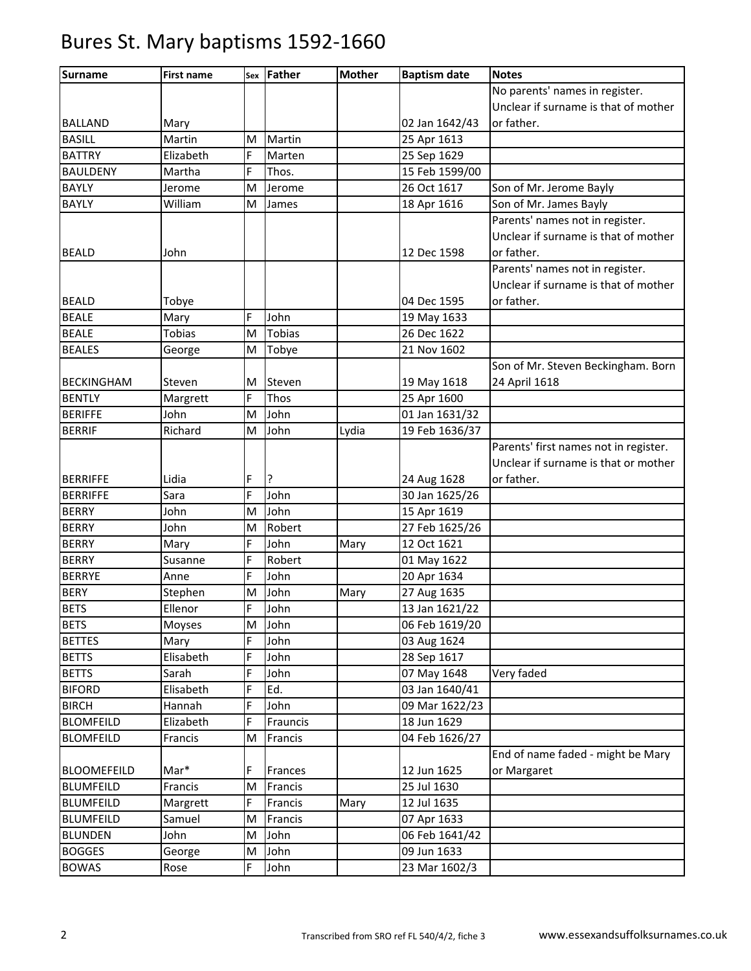| <b>Surname</b>     | <b>First name</b> | Sex | Father        | <b>Mother</b> | <b>Baptism date</b> | <b>Notes</b>                          |
|--------------------|-------------------|-----|---------------|---------------|---------------------|---------------------------------------|
|                    |                   |     |               |               |                     | No parents' names in register.        |
|                    |                   |     |               |               |                     | Unclear if surname is that of mother  |
| <b>BALLAND</b>     | Mary              |     |               |               | 02 Jan 1642/43      | or father.                            |
| <b>BASILL</b>      | Martin            | M   | Martin        |               | 25 Apr 1613         |                                       |
| <b>BATTRY</b>      | Elizabeth         | F   | Marten        |               | 25 Sep 1629         |                                       |
| <b>BAULDENY</b>    | Martha            | F   | Thos.         |               | 15 Feb 1599/00      |                                       |
| <b>BAYLY</b>       | Jerome            | M   | Jerome        |               | 26 Oct 1617         | Son of Mr. Jerome Bayly               |
| <b>BAYLY</b>       | William           | M   | James         |               | 18 Apr 1616         | Son of Mr. James Bayly                |
|                    |                   |     |               |               |                     | Parents' names not in register.       |
|                    |                   |     |               |               |                     | Unclear if surname is that of mother  |
| <b>BEALD</b>       | John              |     |               |               | 12 Dec 1598         | or father.                            |
|                    |                   |     |               |               |                     | Parents' names not in register.       |
|                    |                   |     |               |               |                     | Unclear if surname is that of mother  |
| <b>BEALD</b>       | Tobye             |     |               |               | 04 Dec 1595         | or father.                            |
| <b>BEALE</b>       | Mary              | F   | John          |               | 19 May 1633         |                                       |
| <b>BEALE</b>       | <b>Tobias</b>     | M   | <b>Tobias</b> |               | 26 Dec 1622         |                                       |
| <b>BEALES</b>      | George            | M   | Tobye         |               | 21 Nov 1602         |                                       |
|                    |                   |     |               |               |                     | Son of Mr. Steven Beckingham. Born    |
| <b>BECKINGHAM</b>  | Steven            | M   | Steven        |               | 19 May 1618         | 24 April 1618                         |
| <b>BENTLY</b>      | Margrett          | F   | Thos          |               | 25 Apr 1600         |                                       |
| <b>BERIFFE</b>     | John              | M   | John          |               | 01 Jan 1631/32      |                                       |
| <b>BERRIF</b>      | Richard           | M   | John          | Lydia         | 19 Feb 1636/37      |                                       |
|                    |                   |     |               |               |                     | Parents' first names not in register. |
|                    |                   |     |               |               |                     | Unclear if surname is that or mother  |
| <b>BERRIFFE</b>    | Lidia             | F   | ?             |               | 24 Aug 1628         | or father.                            |
| <b>BERRIFFE</b>    | Sara              | F   | John          |               | 30 Jan 1625/26      |                                       |
| <b>BERRY</b>       | John              | M   | John          |               | 15 Apr 1619         |                                       |
| <b>BERRY</b>       | John              | M   | Robert        |               | 27 Feb 1625/26      |                                       |
| <b>BERRY</b>       | Mary              | F   | John          | Mary          | 12 Oct 1621         |                                       |
| <b>BERRY</b>       | Susanne           | F   | Robert        |               | 01 May 1622         |                                       |
| <b>BERRYE</b>      | Anne              | F   | John          |               | 20 Apr 1634         |                                       |
| <b>BERY</b>        | Stephen           | M   | John          | Mary          | 27 Aug 1635         |                                       |
| <b>BETS</b>        | Ellenor           | F.  | John          |               | 13 Jan 1621/22      |                                       |
| <b>BETS</b>        | Moyses            | M   | John          |               | 06 Feb 1619/20      |                                       |
| <b>BETTES</b>      | Mary              | F   | John          |               | 03 Aug 1624         |                                       |
| <b>BETTS</b>       | Elisabeth         | F   | John          |               | 28 Sep 1617         |                                       |
| <b>BETTS</b>       | Sarah             | Ė   | John          |               | 07 May 1648         | Very faded                            |
| <b>BIFORD</b>      | Elisabeth         | F   | Ed.           |               | 03 Jan 1640/41      |                                       |
| <b>BIRCH</b>       | Hannah            | F   | John          |               | 09 Mar 1622/23      |                                       |
| <b>BLOMFEILD</b>   | Elizabeth         | F   | Frauncis      |               | 18 Jun 1629         |                                       |
| <b>BLOMFEILD</b>   | Francis           | M   | Francis       |               | 04 Feb 1626/27      |                                       |
|                    |                   |     |               |               |                     | End of name faded - might be Mary     |
| <b>BLOOMEFEILD</b> | Mar*              | F   | Frances       |               | 12 Jun 1625         | or Margaret                           |
| <b>BLUMFEILD</b>   | Francis           | M   | Francis       |               | 25 Jul 1630         |                                       |
| <b>BLUMFEILD</b>   | Margrett          | F   | Francis       | Mary          | 12 Jul 1635         |                                       |
| <b>BLUMFEILD</b>   | Samuel            | M   | Francis       |               | 07 Apr 1633         |                                       |
| <b>BLUNDEN</b>     | John              | M   | John          |               | 06 Feb 1641/42      |                                       |
| <b>BOGGES</b>      | George            | M   | John          |               | 09 Jun 1633         |                                       |
| <b>BOWAS</b>       | Rose              | F   | John          |               | 23 Mar 1602/3       |                                       |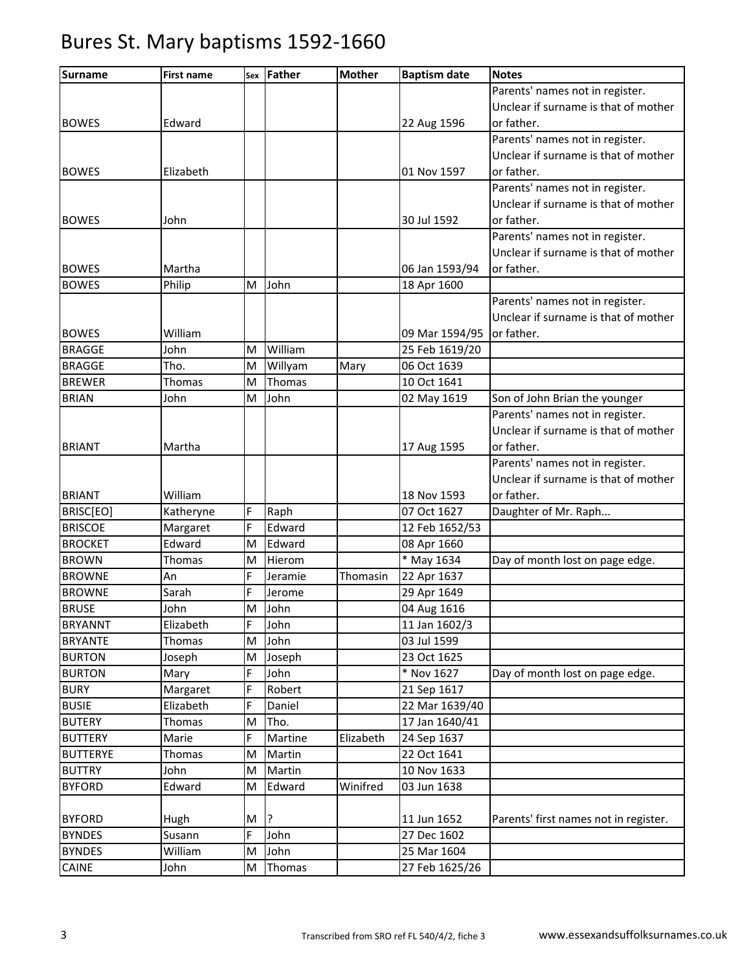| <b>Surname</b>  | <b>First name</b> | Sex | Father  | <b>Mother</b> | <b>Baptism date</b> | <b>Notes</b>                          |
|-----------------|-------------------|-----|---------|---------------|---------------------|---------------------------------------|
|                 |                   |     |         |               |                     | Parents' names not in register.       |
|                 |                   |     |         |               |                     | Unclear if surname is that of mother  |
| <b>BOWES</b>    | Edward            |     |         |               | 22 Aug 1596         | or father.                            |
|                 |                   |     |         |               |                     | Parents' names not in register.       |
|                 |                   |     |         |               |                     | Unclear if surname is that of mother  |
| <b>BOWES</b>    | Elizabeth         |     |         |               | 01 Nov 1597         | or father.                            |
|                 |                   |     |         |               |                     | Parents' names not in register.       |
|                 |                   |     |         |               |                     | Unclear if surname is that of mother  |
| <b>BOWES</b>    | John              |     |         |               | 30 Jul 1592         | or father.                            |
|                 |                   |     |         |               |                     | Parents' names not in register.       |
|                 |                   |     |         |               |                     | Unclear if surname is that of mother  |
| <b>BOWES</b>    | Martha            |     |         |               | 06 Jan 1593/94      | or father.                            |
| <b>BOWES</b>    | Philip            | M   | John    |               | 18 Apr 1600         |                                       |
|                 |                   |     |         |               |                     | Parents' names not in register.       |
|                 |                   |     |         |               |                     | Unclear if surname is that of mother  |
| <b>BOWES</b>    | William           |     |         |               | 09 Mar 1594/95      | or father.                            |
| <b>BRAGGE</b>   | John              | M   | William |               | 25 Feb 1619/20      |                                       |
| <b>BRAGGE</b>   | Tho.              | M   | Willyam | Mary          | 06 Oct 1639         |                                       |
| <b>BREWER</b>   | <b>Thomas</b>     | M   | Thomas  |               | 10 Oct 1641         |                                       |
| <b>BRIAN</b>    | John              | M   | John    |               | 02 May 1619         | Son of John Brian the younger         |
|                 |                   |     |         |               |                     | Parents' names not in register.       |
|                 |                   |     |         |               |                     | Unclear if surname is that of mother  |
| <b>BRIANT</b>   | Martha            |     |         |               | 17 Aug 1595         | or father.                            |
|                 |                   |     |         |               |                     | Parents' names not in register.       |
|                 |                   |     |         |               |                     | Unclear if surname is that of mother  |
| <b>BRIANT</b>   | William           |     |         |               | 18 Nov 1593         | or father.                            |
| BRISC[EO]       | Katheryne         | F   | Raph    |               | 07 Oct 1627         | Daughter of Mr. Raph                  |
| <b>BRISCOE</b>  | Margaret          | F   | Edward  |               | 12 Feb 1652/53      |                                       |
| <b>BROCKET</b>  | Edward            | M   | Edward  |               | 08 Apr 1660         |                                       |
| <b>BROWN</b>    | Thomas            | M   | Hierom  |               | * May 1634          | Day of month lost on page edge.       |
| <b>BROWNE</b>   | An                | F   | Jeramie | Thomasin      | 22 Apr 1637         |                                       |
| <b>BROWNE</b>   | Sarah             | F   | Jerome  |               | 29 Apr 1649         |                                       |
| <b>BRUSE</b>    | John              | M   | John    |               | 04 Aug 1616         |                                       |
| <b>BRYANNT</b>  | Elizabeth         | IF  | John    |               | 11 Jan 1602/3       |                                       |
| <b>BRYANTE</b>  | Thomas            | M   | John    |               | 03 Jul 1599         |                                       |
| <b>BURTON</b>   | Joseph            | M   | Joseph  |               | 23 Oct 1625         |                                       |
| <b>BURTON</b>   | Mary              | F   | John    |               | * Nov 1627          | Day of month lost on page edge.       |
| <b>BURY</b>     | Margaret          | F   | Robert  |               | 21 Sep 1617         |                                       |
| <b>BUSIE</b>    | Elizabeth         | F   | Daniel  |               | 22 Mar 1639/40      |                                       |
| <b>BUTERY</b>   | Thomas            | M   | Tho.    |               | 17 Jan 1640/41      |                                       |
| <b>BUTTERY</b>  | Marie             | F   | Martine | Elizabeth     | 24 Sep 1637         |                                       |
| <b>BUTTERYE</b> | Thomas            | M   | Martin  |               | 22 Oct 1641         |                                       |
| <b>BUTTRY</b>   | John              | M   | Martin  |               | 10 Nov 1633         |                                       |
| <b>BYFORD</b>   | Edward            | M   | Edward  | Winifred      | 03 Jun 1638         |                                       |
|                 |                   |     |         |               |                     |                                       |
| <b>BYFORD</b>   | Hugh              | M   | ?       |               | 11 Jun 1652         | Parents' first names not in register. |
| <b>BYNDES</b>   | Susann            | F   | John    |               | 27 Dec 1602         |                                       |
| <b>BYNDES</b>   | William           | M   | John    |               | 25 Mar 1604         |                                       |
| CAINE           | John              | M   | Thomas  |               | 27 Feb 1625/26      |                                       |
|                 |                   |     |         |               |                     |                                       |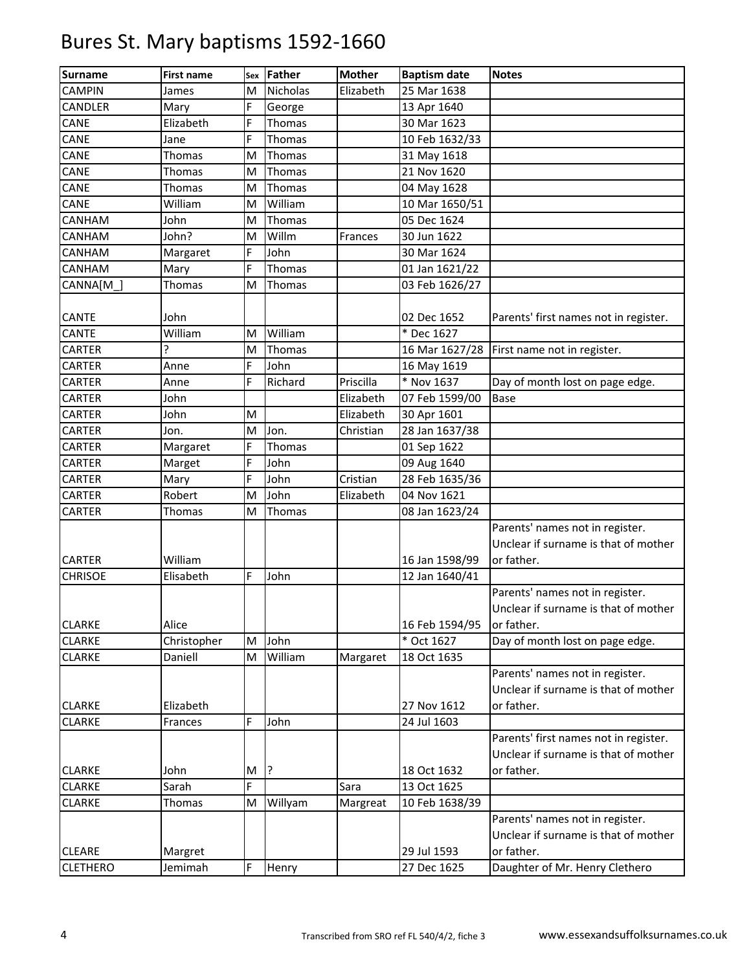| <b>Surname</b>  | <b>First name</b> | Sex | Father   | <b>Mother</b> | <b>Baptism date</b> | <b>Notes</b>                          |
|-----------------|-------------------|-----|----------|---------------|---------------------|---------------------------------------|
| <b>CAMPIN</b>   | James             | M   | Nicholas | Elizabeth     | 25 Mar 1638         |                                       |
| CANDLER         | Mary              | F   | George   |               | 13 Apr 1640         |                                       |
| CANE            | Elizabeth         | F   | Thomas   |               | 30 Mar 1623         |                                       |
| CANE            | Jane              | F   | Thomas   |               | 10 Feb 1632/33      |                                       |
| CANE            | Thomas            | M   | Thomas   |               | 31 May 1618         |                                       |
| CANE            | Thomas            | M   | Thomas   |               | 21 Nov 1620         |                                       |
| CANE            | Thomas            | M   | Thomas   |               | 04 May 1628         |                                       |
| CANE            | William           | M   | William  |               | 10 Mar 1650/51      |                                       |
| CANHAM          | John              | M   | Thomas   |               | 05 Dec 1624         |                                       |
| CANHAM          | John?             | M   | Willm    | Frances       | 30 Jun 1622         |                                       |
| CANHAM          | Margaret          | F   | John     |               | 30 Mar 1624         |                                       |
| CANHAM          | Mary              | F   | Thomas   |               | 01 Jan 1621/22      |                                       |
| CANNA[M         | Thomas            | M   | Thomas   |               | 03 Feb 1626/27      |                                       |
|                 |                   |     |          |               |                     |                                       |
| CANTE           | John              |     |          |               | 02 Dec 1652         | Parents' first names not in register. |
| CANTE           | William           | M   | William  |               | * Dec 1627          |                                       |
| CARTER          | ŗ                 | M   | Thomas   |               | 16 Mar 1627/28      | First name not in register.           |
| CARTER          | Anne              | F   | John     |               | 16 May 1619         |                                       |
| CARTER          | Anne              | F   | Richard  | Priscilla     | * Nov 1637          | Day of month lost on page edge.       |
| CARTER          | John              |     |          | Elizabeth     | 07 Feb 1599/00      | <b>Base</b>                           |
| CARTER          | John              | M   |          | Elizabeth     | 30 Apr 1601         |                                       |
| CARTER          | Jon.              | M   | Jon.     | Christian     | 28 Jan 1637/38      |                                       |
| CARTER          | Margaret          | F   | Thomas   |               | 01 Sep 1622         |                                       |
| CARTER          | Marget            | F   | John     |               | 09 Aug 1640         |                                       |
| CARTER          | Mary              | F   | John     | Cristian      | 28 Feb 1635/36      |                                       |
| CARTER          | Robert            | M   | John     | Elizabeth     | 04 Nov 1621         |                                       |
| CARTER          | Thomas            | M   | Thomas   |               | 08 Jan 1623/24      |                                       |
|                 |                   |     |          |               |                     | Parents' names not in register.       |
|                 |                   |     |          |               |                     | Unclear if surname is that of mother  |
| <b>CARTER</b>   | William           |     |          |               | 16 Jan 1598/99      | or father.                            |
| <b>CHRISOE</b>  | Elisabeth         | F   | John     |               | 12 Jan 1640/41      |                                       |
|                 |                   |     |          |               |                     | Parents' names not in register.       |
|                 |                   |     |          |               |                     | Unclear if surname is that of mother  |
| <b>CLARKE</b>   | Alice             |     |          |               | 16 Feb 1594/95      | or father.                            |
| <b>CLARKE</b>   | Christopher       | M   | John     |               | * Oct 1627          | Day of month lost on page edge.       |
| <b>CLARKE</b>   | Daniell           | M   | William  | Margaret      | 18 Oct 1635         |                                       |
|                 |                   |     |          |               |                     | Parents' names not in register.       |
|                 |                   |     |          |               |                     | Unclear if surname is that of mother  |
| <b>CLARKE</b>   | Elizabeth         |     |          |               | 27 Nov 1612         | or father.                            |
| <b>CLARKE</b>   | Frances           | F   | John     |               | 24 Jul 1603         |                                       |
|                 |                   |     |          |               |                     | Parents' first names not in register. |
|                 |                   |     |          |               |                     | Unclear if surname is that of mother  |
| <b>CLARKE</b>   | John              | M   | l.       |               | 18 Oct 1632         | or father.                            |
| CLARKE          | Sarah             | F   |          | Sara          | 13 Oct 1625         |                                       |
| <b>CLARKE</b>   | Thomas            | M   | Willyam  | Margreat      | 10 Feb 1638/39      |                                       |
|                 |                   |     |          |               |                     | Parents' names not in register.       |
|                 |                   |     |          |               |                     | Unclear if surname is that of mother  |
| <b>CLEARE</b>   | Margret           |     |          |               | 29 Jul 1593         | or father.                            |
| <b>CLETHERO</b> | Jemimah           | F   | Henry    |               | 27 Dec 1625         | Daughter of Mr. Henry Clethero        |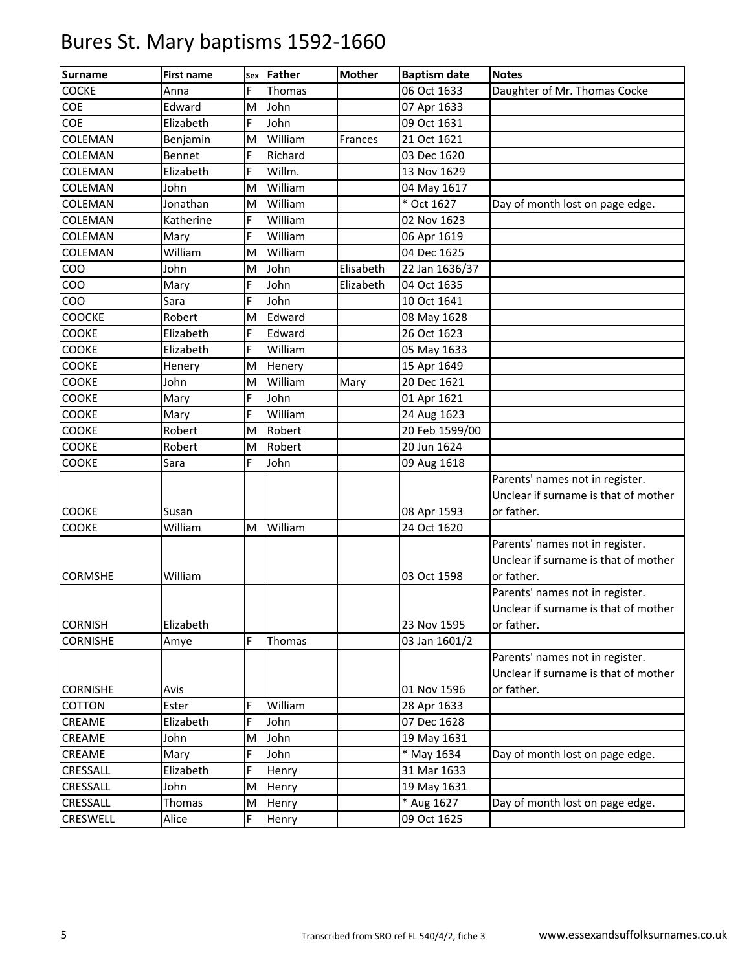| <b>Surname</b>  | <b>First name</b> | Sex | Father  | <b>Mother</b> | <b>Baptism date</b>        | <b>Notes</b>                         |
|-----------------|-------------------|-----|---------|---------------|----------------------------|--------------------------------------|
| <b>COCKE</b>    | Anna              | F   | Thomas  |               | 06 Oct 1633                | Daughter of Mr. Thomas Cocke         |
| COE             | Edward            | M   | John    |               | 07 Apr 1633                |                                      |
| COE             | Elizabeth         | Ė   | John    |               | 09 Oct 1631                |                                      |
| COLEMAN         | Benjamin          | M   | William | Frances       | 21 Oct 1621                |                                      |
| COLEMAN         | Bennet            | F   | Richard |               | 03 Dec 1620                |                                      |
| COLEMAN         | Elizabeth         | F   | Willm.  |               | 13 Nov 1629                |                                      |
| COLEMAN         | John              | M   | William |               | 04 May 1617                |                                      |
| COLEMAN         | Jonathan          | M   | William |               | $\overline{\ast}$ Oct 1627 | Day of month lost on page edge.      |
| COLEMAN         | Katherine         | F   | William |               | 02 Nov 1623                |                                      |
| COLEMAN         | Mary              | F   | William |               | 06 Apr 1619                |                                      |
| COLEMAN         | William           | M   | William |               | 04 Dec 1625                |                                      |
| COO             | John              | M   | John    | Elisabeth     | 22 Jan 1636/37             |                                      |
| COO             | Mary              | Ė   | John    | Elizabeth     | 04 Oct 1635                |                                      |
| COO             | Sara              | F   | John    |               | 10 Oct 1641                |                                      |
| COOCKE          | Robert            | M   | Edward  |               | 08 May 1628                |                                      |
| COOKE           | Elizabeth         | F   | Edward  |               | 26 Oct 1623                |                                      |
| COOKE           | Elizabeth         | F   | William |               | 05 May 1633                |                                      |
| COOKE           | Henery            | M   | Henery  |               | 15 Apr 1649                |                                      |
| COOKE           | John              | M   | William | Mary          | 20 Dec 1621                |                                      |
| COOKE           | Mary              | F   | John    |               | 01 Apr 1621                |                                      |
| COOKE           | Mary              | F   | William |               | 24 Aug 1623                |                                      |
| COOKE           | Robert            | M   | Robert  |               | 20 Feb 1599/00             |                                      |
| COOKE           | Robert            | M   | Robert  |               | 20 Jun 1624                |                                      |
| <b>COOKE</b>    | Sara              | F   | John    |               | 09 Aug 1618                |                                      |
|                 |                   |     |         |               |                            | Parents' names not in register.      |
|                 |                   |     |         |               |                            | Unclear if surname is that of mother |
| COOKE           | Susan             |     |         |               | 08 Apr 1593                | or father.                           |
| COOKE           | William           | M   | William |               | 24 Oct 1620                |                                      |
|                 |                   |     |         |               |                            | Parents' names not in register.      |
|                 |                   |     |         |               |                            | Unclear if surname is that of mother |
| <b>CORMSHE</b>  | William           |     |         |               | 03 Oct 1598                | or father.                           |
|                 |                   |     |         |               |                            | Parents' names not in register.      |
|                 |                   |     |         |               |                            | Unclear if surname is that of mother |
| <b>CORNISH</b>  | Elizabeth         |     |         |               | 23 Nov 1595                | or father.                           |
| <b>CORNISHE</b> | Amye              | F   | Thomas  |               | 03 Jan 1601/2              |                                      |
|                 |                   |     |         |               |                            | Parents' names not in register.      |
|                 |                   |     |         |               |                            | Unclear if surname is that of mother |
| <b>CORNISHE</b> | Avis              |     |         |               | 01 Nov 1596                | or father.                           |
| COTTON          | Ester             | F   | William |               | 28 Apr 1633                |                                      |
| CREAME          | Elizabeth         | F   | John    |               | 07 Dec 1628                |                                      |
| CREAME          | John              | M   | John    |               | 19 May 1631                |                                      |
| CREAME          | Mary              | Ė   | John    |               | * May 1634                 | Day of month lost on page edge.      |
| CRESSALL        | Elizabeth         | F   | Henry   |               | 31 Mar 1633                |                                      |
| CRESSALL        | John              | M   | Henry   |               | 19 May 1631                |                                      |
| CRESSALL        | Thomas            | M   | Henry   |               | * Aug 1627                 | Day of month lost on page edge.      |
| CRESWELL        | Alice             | F   | Henry   |               | 09 Oct 1625                |                                      |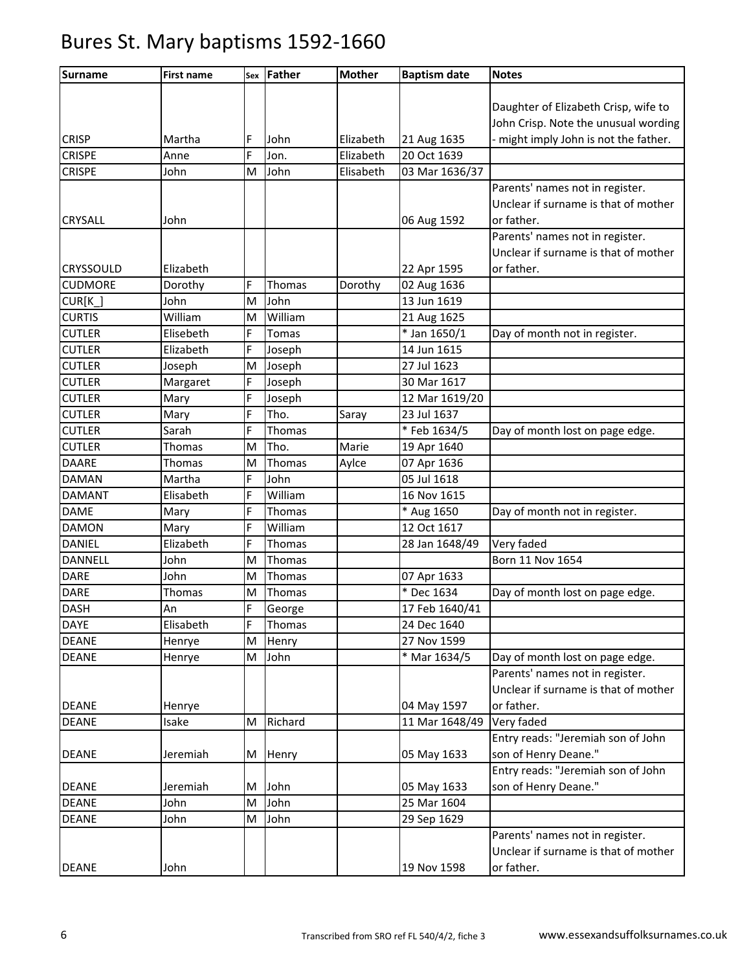| <b>Surname</b> | First name |   | sex Father | <b>Mother</b> | <b>Baptism date</b> | <b>Notes</b>                          |
|----------------|------------|---|------------|---------------|---------------------|---------------------------------------|
|                |            |   |            |               |                     |                                       |
|                |            |   |            |               |                     | Daughter of Elizabeth Crisp, wife to  |
|                |            |   |            |               |                     | John Crisp. Note the unusual wording  |
| <b>CRISP</b>   | Martha     | F | John       | Elizabeth     | 21 Aug 1635         | - might imply John is not the father. |
| <b>CRISPE</b>  | Anne       | F | Jon.       | Elizabeth     | 20 Oct 1639         |                                       |
| <b>CRISPE</b>  | John       | M | John       | Elisabeth     | 03 Mar 1636/37      |                                       |
|                |            |   |            |               |                     | Parents' names not in register.       |
|                |            |   |            |               |                     | Unclear if surname is that of mother  |
| <b>CRYSALL</b> | John       |   |            |               | 06 Aug 1592         | or father.                            |
|                |            |   |            |               |                     | Parents' names not in register.       |
|                |            |   |            |               |                     | Unclear if surname is that of mother  |
| CRYSSOULD      | Elizabeth  |   |            |               | 22 Apr 1595         | or father.                            |
| <b>CUDMORE</b> | Dorothy    | F | Thomas     | Dorothy       | 02 Aug 1636         |                                       |
| $CUR[K_$       | John       | M | John       |               | 13 Jun 1619         |                                       |
| <b>CURTIS</b>  | William    | M | William    |               | 21 Aug 1625         |                                       |
| <b>CUTLER</b>  | Elisebeth  | F | Tomas      |               | * Jan 1650/1        | Day of month not in register.         |
| <b>CUTLER</b>  | Elizabeth  | Ė | Joseph     |               | 14 Jun 1615         |                                       |
| <b>CUTLER</b>  | Joseph     | M | Joseph     |               | 27 Jul 1623         |                                       |
| <b>CUTLER</b>  | Margaret   | F | Joseph     |               | 30 Mar 1617         |                                       |
| <b>CUTLER</b>  | Mary       | F | Joseph     |               | 12 Mar 1619/20      |                                       |
| <b>CUTLER</b>  | Mary       | F | Tho.       | Saray         | 23 Jul 1637         |                                       |
| <b>CUTLER</b>  | Sarah      | F | Thomas     |               | * Feb 1634/5        | Day of month lost on page edge.       |
| <b>CUTLER</b>  | Thomas     | M | Tho.       | Marie         | 19 Apr 1640         |                                       |
| <b>DAARE</b>   | Thomas     | M | Thomas     | Aylce         | 07 Apr 1636         |                                       |
| <b>DAMAN</b>   | Martha     | F | John       |               | 05 Jul 1618         |                                       |
| <b>DAMANT</b>  | Elisabeth  | F | William    |               | 16 Nov 1615         |                                       |
| <b>DAME</b>    | Mary       | F | Thomas     |               | * Aug 1650          | Day of month not in register.         |
| <b>DAMON</b>   | Mary       | F | William    |               | 12 Oct 1617         |                                       |
| <b>DANIEL</b>  | Elizabeth  | F | Thomas     |               | 28 Jan 1648/49      | Very faded                            |
| DANNELL        | John       | M | Thomas     |               |                     | Born 11 Nov 1654                      |
| <b>DARE</b>    | John       | M | Thomas     |               | 07 Apr 1633         |                                       |
| <b>DARE</b>    | Thomas     | M | Thomas     |               | * Dec 1634          | Day of month lost on page edge.       |
| <b>DASH</b>    | An         | F | George     |               | 17 Feb 1640/41      |                                       |
| <b>DAYE</b>    | Elisabeth  | F | Thomas     |               | 24 Dec 1640         |                                       |
| <b>DEANE</b>   | Henrye     | M | Henry      |               | 27 Nov 1599         |                                       |
| <b>DEANE</b>   | Henrye     | M | John       |               | * Mar 1634/5        | Day of month lost on page edge.       |
|                |            |   |            |               |                     | Parents' names not in register.       |
|                |            |   |            |               |                     | Unclear if surname is that of mother  |
| <b>DEANE</b>   | Henrye     |   |            |               | 04 May 1597         | or father.                            |
| <b>DEANE</b>   | Isake      | M | Richard    |               | 11 Mar 1648/49      | Very faded                            |
|                |            |   |            |               |                     | Entry reads: "Jeremiah son of John    |
| <b>DEANE</b>   | Jeremiah   | M | Henry      |               | 05 May 1633         | son of Henry Deane."                  |
|                |            |   |            |               |                     | Entry reads: "Jeremiah son of John    |
| <b>DEANE</b>   | Jeremiah   | M | John       |               | 05 May 1633         | son of Henry Deane."                  |
| <b>DEANE</b>   | John       | M | John       |               | 25 Mar 1604         |                                       |
| <b>DEANE</b>   | John       | M | John       |               | 29 Sep 1629         |                                       |
|                |            |   |            |               |                     | Parents' names not in register.       |
|                |            |   |            |               |                     | Unclear if surname is that of mother  |
| <b>DEANE</b>   | John       |   |            |               | 19 Nov 1598         | or father.                            |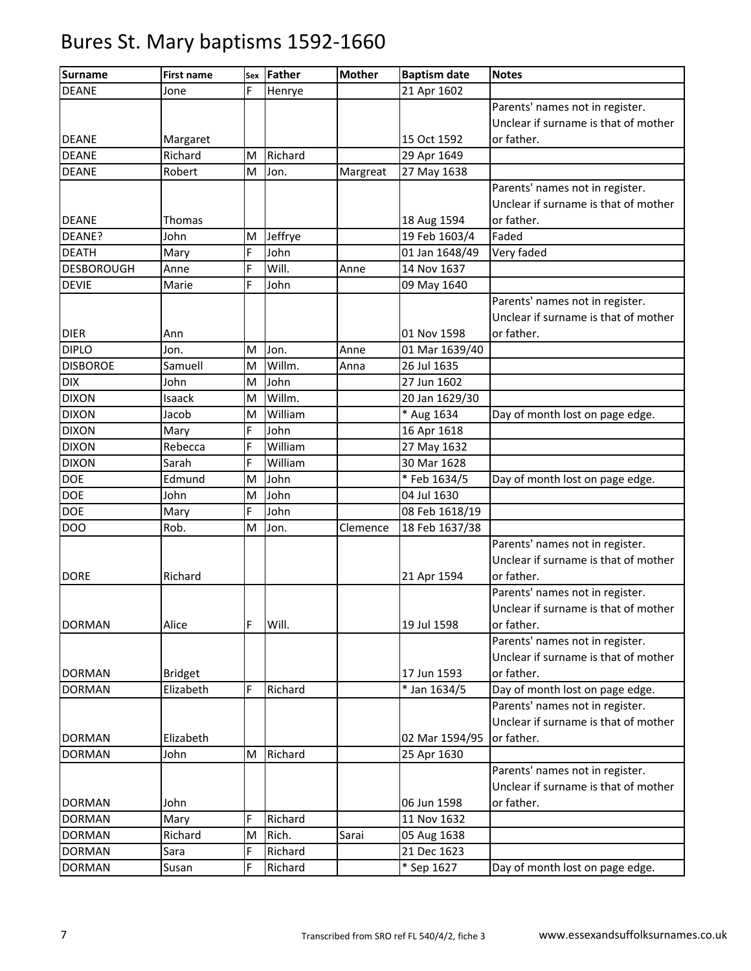| <b>Surname</b>    | <b>First name</b> | Sex | <b>Father</b> | <b>Mother</b> | <b>Baptism date</b> | <b>Notes</b>                         |
|-------------------|-------------------|-----|---------------|---------------|---------------------|--------------------------------------|
| <b>DEANE</b>      | Jone              | F   | Henrye        |               | 21 Apr 1602         |                                      |
|                   |                   |     |               |               |                     | Parents' names not in register.      |
|                   |                   |     |               |               |                     | Unclear if surname is that of mother |
| <b>DEANE</b>      | Margaret          |     |               |               | 15 Oct 1592         | or father.                           |
| <b>DEANE</b>      | Richard           | M   | Richard       |               | 29 Apr 1649         |                                      |
| <b>DEANE</b>      | Robert            | M   | Jon.          | Margreat      | 27 May 1638         |                                      |
|                   |                   |     |               |               |                     | Parents' names not in register.      |
|                   |                   |     |               |               |                     | Unclear if surname is that of mother |
| <b>DEANE</b>      | <b>Thomas</b>     |     |               |               | 18 Aug 1594         | or father.                           |
| DEANE?            | John              | M   | Jeffrye       |               | 19 Feb 1603/4       | Faded                                |
| <b>DEATH</b>      | Mary              | F   | John          |               | 01 Jan 1648/49      | Very faded                           |
| <b>DESBOROUGH</b> | Anne              | F   | Will.         | Anne          | 14 Nov 1637         |                                      |
| <b>DEVIE</b>      | Marie             | F   | John          |               | 09 May 1640         |                                      |
|                   |                   |     |               |               |                     | Parents' names not in register.      |
|                   |                   |     |               |               |                     | Unclear if surname is that of mother |
| <b>DIER</b>       | Ann               |     |               |               | 01 Nov 1598         | or father.                           |
| <b>DIPLO</b>      | Jon.              | M   | Jon.          | Anne          | 01 Mar 1639/40      |                                      |
| <b>DISBOROE</b>   | Samuell           | M   | Willm.        | Anna          | 26 Jul 1635         |                                      |
| <b>DIX</b>        | John              | M   | John          |               | 27 Jun 1602         |                                      |
| <b>DIXON</b>      | Isaack            | M   | Willm.        |               | 20 Jan 1629/30      |                                      |
| <b>DIXON</b>      | Jacob             | M   | William       |               | * Aug 1634          | Day of month lost on page edge.      |
| <b>DIXON</b>      | Mary              | F   | John          |               | 16 Apr 1618         |                                      |
| <b>DIXON</b>      | Rebecca           | F   | William       |               | 27 May 1632         |                                      |
| <b>DIXON</b>      | Sarah             | F   | William       |               | 30 Mar 1628         |                                      |
| <b>DOE</b>        | Edmund            | M   | John          |               | *Feb 1634/5         | Day of month lost on page edge.      |
| <b>DOE</b>        | John              | M   | John          |               | 04 Jul 1630         |                                      |
| <b>DOE</b>        | Mary              | F   | John          |               | 08 Feb 1618/19      |                                      |
| <b>DOO</b>        | Rob.              | M   | Jon.          | Clemence      | 18 Feb 1637/38      |                                      |
|                   |                   |     |               |               |                     | Parents' names not in register.      |
|                   |                   |     |               |               |                     | Unclear if surname is that of mother |
| <b>DORE</b>       | Richard           |     |               |               | 21 Apr 1594         | or father.                           |
|                   |                   |     |               |               |                     | Parents' names not in register.      |
|                   |                   |     |               |               |                     | Unclear if surname is that of mother |
| <b>DORMAN</b>     | Alice             | F   | Will.         |               | 19 Jul 1598         | or father.                           |
|                   |                   |     |               |               |                     | Parents' names not in register.      |
|                   |                   |     |               |               |                     | Unclear if surname is that of mother |
| <b>DORMAN</b>     | <b>Bridget</b>    |     |               |               | 17 Jun 1593         | or father.                           |
| <b>DORMAN</b>     | Elizabeth         | F   | Richard       |               | * Jan 1634/5        | Day of month lost on page edge.      |
|                   |                   |     |               |               |                     | Parents' names not in register.      |
|                   |                   |     |               |               |                     | Unclear if surname is that of mother |
| <b>DORMAN</b>     | Elizabeth         |     |               |               | 02 Mar 1594/95      | or father.                           |
| <b>DORMAN</b>     | John              | M   | Richard       |               | 25 Apr 1630         |                                      |
|                   |                   |     |               |               |                     | Parents' names not in register.      |
|                   |                   |     |               |               |                     | Unclear if surname is that of mother |
| <b>DORMAN</b>     | John              |     |               |               | 06 Jun 1598         | or father.                           |
| <b>DORMAN</b>     | Mary              | F   | Richard       |               | 11 Nov 1632         |                                      |
| <b>DORMAN</b>     | Richard           | M   | Rich.         | Sarai         | 05 Aug 1638         |                                      |
| <b>DORMAN</b>     | Sara              | F   | Richard       |               | 21 Dec 1623         |                                      |
| <b>DORMAN</b>     | Susan             | F   | Richard       |               | * Sep 1627          | Day of month lost on page edge.      |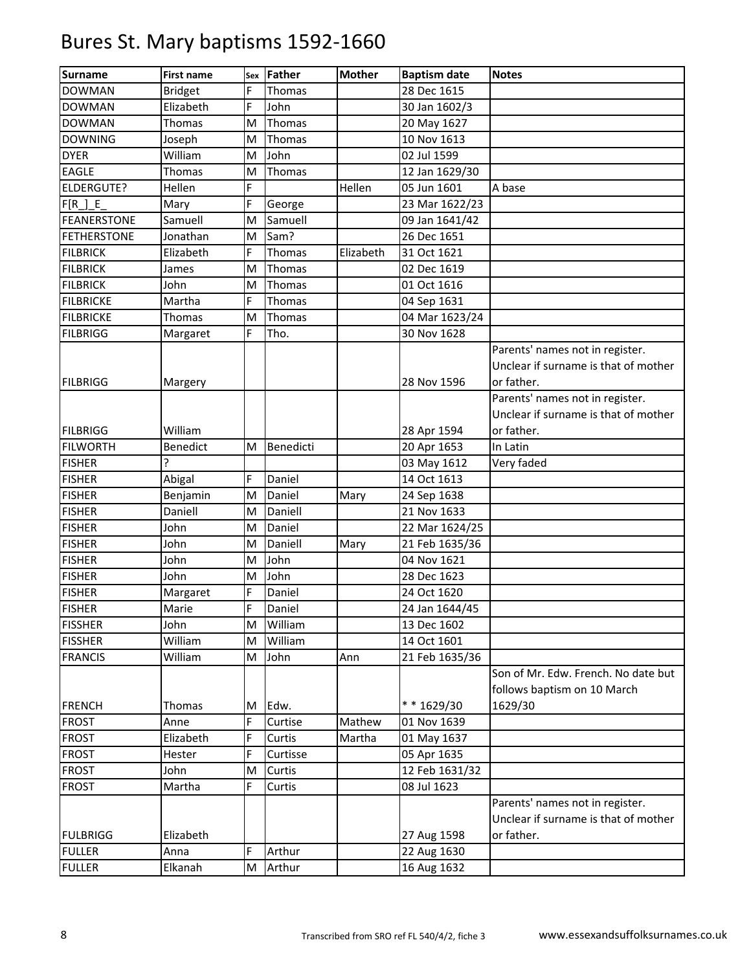| <b>Surname</b>     | <b>First name</b> | Sex | Father    | <b>Mother</b> | <b>Baptism date</b> | <b>Notes</b>                                                                  |
|--------------------|-------------------|-----|-----------|---------------|---------------------|-------------------------------------------------------------------------------|
| <b>DOWMAN</b>      | <b>Bridget</b>    | Ė   | Thomas    |               | 28 Dec 1615         |                                                                               |
| <b>DOWMAN</b>      | Elizabeth         | F   | John      |               | 30 Jan 1602/3       |                                                                               |
| <b>DOWMAN</b>      | Thomas            | M   | Thomas    |               | 20 May 1627         |                                                                               |
| <b>DOWNING</b>     | Joseph            | M   | Thomas    |               | 10 Nov 1613         |                                                                               |
| <b>DYER</b>        | William           | M   | John      |               | 02 Jul 1599         |                                                                               |
| <b>EAGLE</b>       | Thomas            | M   | Thomas    |               | 12 Jan 1629/30      |                                                                               |
| <b>ELDERGUTE?</b>  | Hellen            | F   |           | Hellen        | 05 Jun 1601         | A base                                                                        |
| $F[R_$ $E_$        | Mary              | F   | George    |               | 23 Mar 1622/23      |                                                                               |
| <b>FEANERSTONE</b> | Samuell           | M   | Samuell   |               | 09 Jan 1641/42      |                                                                               |
| <b>FETHERSTONE</b> | Jonathan          | M   | Sam?      |               | 26 Dec 1651         |                                                                               |
| <b>FILBRICK</b>    | Elizabeth         | F   | Thomas    | Elizabeth     | 31 Oct 1621         |                                                                               |
| <b>FILBRICK</b>    | James             | M   | Thomas    |               | 02 Dec 1619         |                                                                               |
| <b>FILBRICK</b>    | John              | M   | Thomas    |               | 01 Oct 1616         |                                                                               |
| <b>FILBRICKE</b>   | Martha            | F   | Thomas    |               | 04 Sep 1631         |                                                                               |
| <b>FILBRICKE</b>   | Thomas            | M   | Thomas    |               | 04 Mar 1623/24      |                                                                               |
| <b>FILBRIGG</b>    | Margaret          | F   | Tho.      |               | 30 Nov 1628         |                                                                               |
|                    |                   |     |           |               |                     | Parents' names not in register.                                               |
|                    |                   |     |           |               |                     | Unclear if surname is that of mother                                          |
| <b>FILBRIGG</b>    | Margery           |     |           |               | 28 Nov 1596         | or father.                                                                    |
|                    |                   |     |           |               |                     | Parents' names not in register.                                               |
|                    |                   |     |           |               |                     | Unclear if surname is that of mother                                          |
| <b>FILBRIGG</b>    | William           |     |           |               | 28 Apr 1594         | or father.                                                                    |
| <b>FILWORTH</b>    | Benedict          | M   | Benedicti |               | 20 Apr 1653         | In Latin                                                                      |
| <b>FISHER</b>      | ŗ                 |     |           |               | 03 May 1612         | Very faded                                                                    |
| <b>FISHER</b>      | Abigal            | F   | Daniel    |               | 14 Oct 1613         |                                                                               |
| <b>FISHER</b>      | Benjamin          | M   | Daniel    | Mary          | 24 Sep 1638         |                                                                               |
| <b>FISHER</b>      | Daniell           | M   | Daniell   |               | 21 Nov 1633         |                                                                               |
| <b>FISHER</b>      | John              | M   | Daniel    |               | 22 Mar 1624/25      |                                                                               |
| <b>FISHER</b>      | John              | M   | Daniell   | Mary          | 21 Feb 1635/36      |                                                                               |
| <b>FISHER</b>      | John              | M   | John      |               | 04 Nov 1621         |                                                                               |
| <b>FISHER</b>      | John              | M   | John      |               | 28 Dec 1623         |                                                                               |
| <b>FISHER</b>      | Margaret          | F   | Daniel    |               | 24 Oct 1620         |                                                                               |
| <b>FISHER</b>      | Marie             | F   | Daniel    |               | 24 Jan 1644/45      |                                                                               |
| <b>FISSHER</b>     | John              | M   | William   |               | 13 Dec 1602         |                                                                               |
| <b>FISSHER</b>     | William           | M   | William   |               | 14 Oct 1601         |                                                                               |
| <b>FRANCIS</b>     | William           | M   | John      | Ann           | 21 Feb 1635/36      |                                                                               |
| <b>FRENCH</b>      | <b>Thomas</b>     | M   | Edw.      |               | ** 1629/30          | Son of Mr. Edw. French. No date but<br>follows baptism on 10 March<br>1629/30 |
| <b>FROST</b>       | Anne              | F   | Curtise   | Mathew        | 01 Nov 1639         |                                                                               |
| <b>FROST</b>       | Elizabeth         | F   | Curtis    | Martha        | 01 May 1637         |                                                                               |
| <b>FROST</b>       | Hester            | F   | Curtisse  |               | 05 Apr 1635         |                                                                               |
| <b>FROST</b>       | John              | M   | Curtis    |               | 12 Feb 1631/32      |                                                                               |
| <b>FROST</b>       | Martha            | F   | Curtis    |               | 08 Jul 1623         |                                                                               |
|                    |                   |     |           |               |                     | Parents' names not in register.                                               |
|                    |                   |     |           |               |                     | Unclear if surname is that of mother                                          |
| <b>FULBRIGG</b>    | Elizabeth         |     |           |               | 27 Aug 1598         | or father.                                                                    |
| <b>FULLER</b>      | Anna              | F   | Arthur    |               | 22 Aug 1630         |                                                                               |
| <b>FULLER</b>      | Elkanah           | M   | Arthur    |               | 16 Aug 1632         |                                                                               |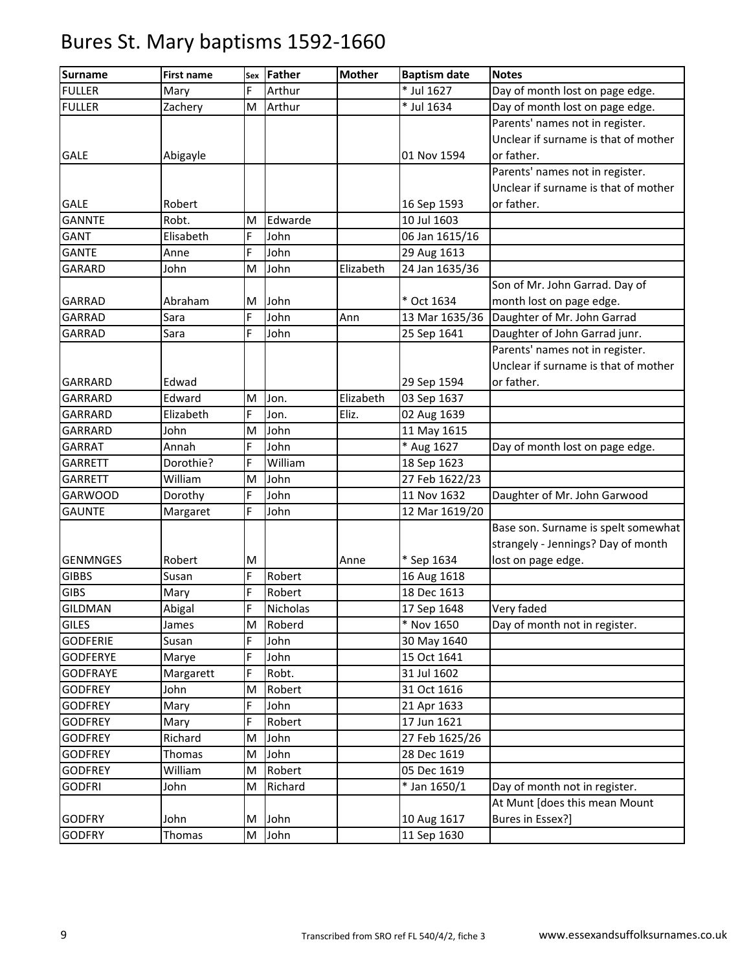| * Jul 1627<br>F<br>Day of month lost on page edge.<br><b>FULLER</b><br>Arthur<br>Mary<br><b>FULLER</b><br>M<br>* Jul 1634<br>Day of month lost on page edge.<br>Zachery<br>Arthur<br>Parents' names not in register.<br>Unclear if surname is that of mother<br>or father.<br><b>GALE</b><br>01 Nov 1594<br>Abigayle<br>Parents' names not in register.<br>Unclear if surname is that of mother<br><b>GALE</b><br>Robert<br>16 Sep 1593<br>or father.<br>Robt.<br>Edwarde<br>10 Jul 1603<br><b>GANNTE</b><br>M<br>John<br>Elisabeth<br>F<br>06 Jan 1615/16<br>GANT<br>F<br>John<br><b>GANTE</b><br>29 Aug 1613<br>Anne<br>M<br>John<br>Elizabeth<br>24 Jan 1635/36<br><b>GARARD</b><br>John<br>Son of Mr. John Garrad. Day of<br>* Oct 1634<br><b>GARRAD</b><br>Abraham<br>John<br>month lost on page edge.<br>M<br>Daughter of Mr. John Garrad<br>F<br>John<br>GARRAD<br>Sara<br>Ann<br>13 Mar 1635/36<br>F<br>John<br>Daughter of John Garrad junr.<br><b>GARRAD</b><br>Sara<br>25 Sep 1641<br>Parents' names not in register.<br>Unclear if surname is that of mother<br>Edwad<br>or father.<br>29 Sep 1594<br>GARRARD<br>Edward<br>Elizabeth<br>03 Sep 1637<br>GARRARD<br>M<br>Jon.<br>F<br>Eliz.<br><b>GARRARD</b><br>Elizabeth<br>Jon.<br>02 Aug 1639<br>John<br>11 May 1615<br>GARRARD<br>John<br>M<br>F<br>John<br>* Aug 1627<br>Day of month lost on page edge.<br>GARRAT<br>Annah<br>F<br>William<br>18 Sep 1623<br>Dorothie?<br><b>GARRETT</b><br>John<br>William<br>M<br>27 Feb 1622/23<br><b>GARRETT</b><br>F<br><b>GARWOOD</b><br>John<br>11 Nov 1632<br>Daughter of Mr. John Garwood<br>Dorothy<br>F<br>John<br><b>GAUNTE</b><br>12 Mar 1619/20<br>Margaret<br>Base son. Surname is spelt somewhat<br>strangely - Jennings? Day of month<br>lost on page edge.<br>* Sep 1634<br><b>GENMNGES</b><br>Robert<br>M<br>Anne<br>F<br><b>GIBBS</b><br>Susan<br>Robert<br>16 Aug 1618<br>F<br><b>GIBS</b><br>18 Dec 1613<br>Robert<br>Mary<br>F<br>Very faded<br><b>GILDMAN</b><br>Abigal<br><b>Nicholas</b><br>17 Sep 1648<br><b>GILES</b><br>Roberd<br>* Nov 1650<br>Day of month not in register.<br>M<br>James<br>John<br><b>GODFERIE</b><br>F<br>30 May 1640<br>Susan<br>John<br><b>GODFERYE</b><br>F.<br>15 Oct 1641<br>Marye<br>F<br><b>GODFRAYE</b><br>Robt.<br>31 Jul 1602<br>Margarett<br>John<br>31 Oct 1616<br><b>GODFREY</b><br>M<br>Robert<br>F<br>John<br>21 Apr 1633<br><b>GODFREY</b><br>Mary<br>F<br>17 Jun 1621<br><b>GODFREY</b><br>Robert<br>Mary<br><b>GODFREY</b><br>Richard<br>John<br>27 Feb 1625/26<br>M<br>John<br><b>GODFREY</b><br>Thomas<br>28 Dec 1619<br>M<br>William<br>05 Dec 1619<br><b>GODFREY</b><br>M<br>Robert<br><b>GODFRI</b><br>John<br>Richard<br>* Jan 1650/1<br>Day of month not in register.<br>M<br>At Munt [does this mean Mount<br>Bures in Essex?]<br><b>GODFRY</b><br>John<br>John<br>10 Aug 1617<br>M<br>John<br><b>GODFRY</b><br>M<br>11 Sep 1630<br>Thomas | <b>Surname</b> | <b>First name</b> | Sex | Father | <b>Mother</b> | <b>Baptism date</b> | <b>Notes</b> |
|-------------------------------------------------------------------------------------------------------------------------------------------------------------------------------------------------------------------------------------------------------------------------------------------------------------------------------------------------------------------------------------------------------------------------------------------------------------------------------------------------------------------------------------------------------------------------------------------------------------------------------------------------------------------------------------------------------------------------------------------------------------------------------------------------------------------------------------------------------------------------------------------------------------------------------------------------------------------------------------------------------------------------------------------------------------------------------------------------------------------------------------------------------------------------------------------------------------------------------------------------------------------------------------------------------------------------------------------------------------------------------------------------------------------------------------------------------------------------------------------------------------------------------------------------------------------------------------------------------------------------------------------------------------------------------------------------------------------------------------------------------------------------------------------------------------------------------------------------------------------------------------------------------------------------------------------------------------------------------------------------------------------------------------------------------------------------------------------------------------------------------------------------------------------------------------------------------------------------------------------------------------------------------------------------------------------------------------------------------------------------------------------------------------------------------------------------------------------------------------------------------------------------------------------------------------------------------------------------------------------------------------------------------------------------------------------------------------------------------------------------------------------------------------------------------------------------------------------------------------------------------------------------------------------------|----------------|-------------------|-----|--------|---------------|---------------------|--------------|
|                                                                                                                                                                                                                                                                                                                                                                                                                                                                                                                                                                                                                                                                                                                                                                                                                                                                                                                                                                                                                                                                                                                                                                                                                                                                                                                                                                                                                                                                                                                                                                                                                                                                                                                                                                                                                                                                                                                                                                                                                                                                                                                                                                                                                                                                                                                                                                                                                                                                                                                                                                                                                                                                                                                                                                                                                                                                                                                         |                |                   |     |        |               |                     |              |
|                                                                                                                                                                                                                                                                                                                                                                                                                                                                                                                                                                                                                                                                                                                                                                                                                                                                                                                                                                                                                                                                                                                                                                                                                                                                                                                                                                                                                                                                                                                                                                                                                                                                                                                                                                                                                                                                                                                                                                                                                                                                                                                                                                                                                                                                                                                                                                                                                                                                                                                                                                                                                                                                                                                                                                                                                                                                                                                         |                |                   |     |        |               |                     |              |
|                                                                                                                                                                                                                                                                                                                                                                                                                                                                                                                                                                                                                                                                                                                                                                                                                                                                                                                                                                                                                                                                                                                                                                                                                                                                                                                                                                                                                                                                                                                                                                                                                                                                                                                                                                                                                                                                                                                                                                                                                                                                                                                                                                                                                                                                                                                                                                                                                                                                                                                                                                                                                                                                                                                                                                                                                                                                                                                         |                |                   |     |        |               |                     |              |
|                                                                                                                                                                                                                                                                                                                                                                                                                                                                                                                                                                                                                                                                                                                                                                                                                                                                                                                                                                                                                                                                                                                                                                                                                                                                                                                                                                                                                                                                                                                                                                                                                                                                                                                                                                                                                                                                                                                                                                                                                                                                                                                                                                                                                                                                                                                                                                                                                                                                                                                                                                                                                                                                                                                                                                                                                                                                                                                         |                |                   |     |        |               |                     |              |
|                                                                                                                                                                                                                                                                                                                                                                                                                                                                                                                                                                                                                                                                                                                                                                                                                                                                                                                                                                                                                                                                                                                                                                                                                                                                                                                                                                                                                                                                                                                                                                                                                                                                                                                                                                                                                                                                                                                                                                                                                                                                                                                                                                                                                                                                                                                                                                                                                                                                                                                                                                                                                                                                                                                                                                                                                                                                                                                         |                |                   |     |        |               |                     |              |
|                                                                                                                                                                                                                                                                                                                                                                                                                                                                                                                                                                                                                                                                                                                                                                                                                                                                                                                                                                                                                                                                                                                                                                                                                                                                                                                                                                                                                                                                                                                                                                                                                                                                                                                                                                                                                                                                                                                                                                                                                                                                                                                                                                                                                                                                                                                                                                                                                                                                                                                                                                                                                                                                                                                                                                                                                                                                                                                         |                |                   |     |        |               |                     |              |
|                                                                                                                                                                                                                                                                                                                                                                                                                                                                                                                                                                                                                                                                                                                                                                                                                                                                                                                                                                                                                                                                                                                                                                                                                                                                                                                                                                                                                                                                                                                                                                                                                                                                                                                                                                                                                                                                                                                                                                                                                                                                                                                                                                                                                                                                                                                                                                                                                                                                                                                                                                                                                                                                                                                                                                                                                                                                                                                         |                |                   |     |        |               |                     |              |
|                                                                                                                                                                                                                                                                                                                                                                                                                                                                                                                                                                                                                                                                                                                                                                                                                                                                                                                                                                                                                                                                                                                                                                                                                                                                                                                                                                                                                                                                                                                                                                                                                                                                                                                                                                                                                                                                                                                                                                                                                                                                                                                                                                                                                                                                                                                                                                                                                                                                                                                                                                                                                                                                                                                                                                                                                                                                                                                         |                |                   |     |        |               |                     |              |
|                                                                                                                                                                                                                                                                                                                                                                                                                                                                                                                                                                                                                                                                                                                                                                                                                                                                                                                                                                                                                                                                                                                                                                                                                                                                                                                                                                                                                                                                                                                                                                                                                                                                                                                                                                                                                                                                                                                                                                                                                                                                                                                                                                                                                                                                                                                                                                                                                                                                                                                                                                                                                                                                                                                                                                                                                                                                                                                         |                |                   |     |        |               |                     |              |
|                                                                                                                                                                                                                                                                                                                                                                                                                                                                                                                                                                                                                                                                                                                                                                                                                                                                                                                                                                                                                                                                                                                                                                                                                                                                                                                                                                                                                                                                                                                                                                                                                                                                                                                                                                                                                                                                                                                                                                                                                                                                                                                                                                                                                                                                                                                                                                                                                                                                                                                                                                                                                                                                                                                                                                                                                                                                                                                         |                |                   |     |        |               |                     |              |
|                                                                                                                                                                                                                                                                                                                                                                                                                                                                                                                                                                                                                                                                                                                                                                                                                                                                                                                                                                                                                                                                                                                                                                                                                                                                                                                                                                                                                                                                                                                                                                                                                                                                                                                                                                                                                                                                                                                                                                                                                                                                                                                                                                                                                                                                                                                                                                                                                                                                                                                                                                                                                                                                                                                                                                                                                                                                                                                         |                |                   |     |        |               |                     |              |
|                                                                                                                                                                                                                                                                                                                                                                                                                                                                                                                                                                                                                                                                                                                                                                                                                                                                                                                                                                                                                                                                                                                                                                                                                                                                                                                                                                                                                                                                                                                                                                                                                                                                                                                                                                                                                                                                                                                                                                                                                                                                                                                                                                                                                                                                                                                                                                                                                                                                                                                                                                                                                                                                                                                                                                                                                                                                                                                         |                |                   |     |        |               |                     |              |
|                                                                                                                                                                                                                                                                                                                                                                                                                                                                                                                                                                                                                                                                                                                                                                                                                                                                                                                                                                                                                                                                                                                                                                                                                                                                                                                                                                                                                                                                                                                                                                                                                                                                                                                                                                                                                                                                                                                                                                                                                                                                                                                                                                                                                                                                                                                                                                                                                                                                                                                                                                                                                                                                                                                                                                                                                                                                                                                         |                |                   |     |        |               |                     |              |
|                                                                                                                                                                                                                                                                                                                                                                                                                                                                                                                                                                                                                                                                                                                                                                                                                                                                                                                                                                                                                                                                                                                                                                                                                                                                                                                                                                                                                                                                                                                                                                                                                                                                                                                                                                                                                                                                                                                                                                                                                                                                                                                                                                                                                                                                                                                                                                                                                                                                                                                                                                                                                                                                                                                                                                                                                                                                                                                         |                |                   |     |        |               |                     |              |
|                                                                                                                                                                                                                                                                                                                                                                                                                                                                                                                                                                                                                                                                                                                                                                                                                                                                                                                                                                                                                                                                                                                                                                                                                                                                                                                                                                                                                                                                                                                                                                                                                                                                                                                                                                                                                                                                                                                                                                                                                                                                                                                                                                                                                                                                                                                                                                                                                                                                                                                                                                                                                                                                                                                                                                                                                                                                                                                         |                |                   |     |        |               |                     |              |
|                                                                                                                                                                                                                                                                                                                                                                                                                                                                                                                                                                                                                                                                                                                                                                                                                                                                                                                                                                                                                                                                                                                                                                                                                                                                                                                                                                                                                                                                                                                                                                                                                                                                                                                                                                                                                                                                                                                                                                                                                                                                                                                                                                                                                                                                                                                                                                                                                                                                                                                                                                                                                                                                                                                                                                                                                                                                                                                         |                |                   |     |        |               |                     |              |
|                                                                                                                                                                                                                                                                                                                                                                                                                                                                                                                                                                                                                                                                                                                                                                                                                                                                                                                                                                                                                                                                                                                                                                                                                                                                                                                                                                                                                                                                                                                                                                                                                                                                                                                                                                                                                                                                                                                                                                                                                                                                                                                                                                                                                                                                                                                                                                                                                                                                                                                                                                                                                                                                                                                                                                                                                                                                                                                         |                |                   |     |        |               |                     |              |
|                                                                                                                                                                                                                                                                                                                                                                                                                                                                                                                                                                                                                                                                                                                                                                                                                                                                                                                                                                                                                                                                                                                                                                                                                                                                                                                                                                                                                                                                                                                                                                                                                                                                                                                                                                                                                                                                                                                                                                                                                                                                                                                                                                                                                                                                                                                                                                                                                                                                                                                                                                                                                                                                                                                                                                                                                                                                                                                         |                |                   |     |        |               |                     |              |
|                                                                                                                                                                                                                                                                                                                                                                                                                                                                                                                                                                                                                                                                                                                                                                                                                                                                                                                                                                                                                                                                                                                                                                                                                                                                                                                                                                                                                                                                                                                                                                                                                                                                                                                                                                                                                                                                                                                                                                                                                                                                                                                                                                                                                                                                                                                                                                                                                                                                                                                                                                                                                                                                                                                                                                                                                                                                                                                         |                |                   |     |        |               |                     |              |
|                                                                                                                                                                                                                                                                                                                                                                                                                                                                                                                                                                                                                                                                                                                                                                                                                                                                                                                                                                                                                                                                                                                                                                                                                                                                                                                                                                                                                                                                                                                                                                                                                                                                                                                                                                                                                                                                                                                                                                                                                                                                                                                                                                                                                                                                                                                                                                                                                                                                                                                                                                                                                                                                                                                                                                                                                                                                                                                         |                |                   |     |        |               |                     |              |
|                                                                                                                                                                                                                                                                                                                                                                                                                                                                                                                                                                                                                                                                                                                                                                                                                                                                                                                                                                                                                                                                                                                                                                                                                                                                                                                                                                                                                                                                                                                                                                                                                                                                                                                                                                                                                                                                                                                                                                                                                                                                                                                                                                                                                                                                                                                                                                                                                                                                                                                                                                                                                                                                                                                                                                                                                                                                                                                         |                |                   |     |        |               |                     |              |
|                                                                                                                                                                                                                                                                                                                                                                                                                                                                                                                                                                                                                                                                                                                                                                                                                                                                                                                                                                                                                                                                                                                                                                                                                                                                                                                                                                                                                                                                                                                                                                                                                                                                                                                                                                                                                                                                                                                                                                                                                                                                                                                                                                                                                                                                                                                                                                                                                                                                                                                                                                                                                                                                                                                                                                                                                                                                                                                         |                |                   |     |        |               |                     |              |
|                                                                                                                                                                                                                                                                                                                                                                                                                                                                                                                                                                                                                                                                                                                                                                                                                                                                                                                                                                                                                                                                                                                                                                                                                                                                                                                                                                                                                                                                                                                                                                                                                                                                                                                                                                                                                                                                                                                                                                                                                                                                                                                                                                                                                                                                                                                                                                                                                                                                                                                                                                                                                                                                                                                                                                                                                                                                                                                         |                |                   |     |        |               |                     |              |
|                                                                                                                                                                                                                                                                                                                                                                                                                                                                                                                                                                                                                                                                                                                                                                                                                                                                                                                                                                                                                                                                                                                                                                                                                                                                                                                                                                                                                                                                                                                                                                                                                                                                                                                                                                                                                                                                                                                                                                                                                                                                                                                                                                                                                                                                                                                                                                                                                                                                                                                                                                                                                                                                                                                                                                                                                                                                                                                         |                |                   |     |        |               |                     |              |
|                                                                                                                                                                                                                                                                                                                                                                                                                                                                                                                                                                                                                                                                                                                                                                                                                                                                                                                                                                                                                                                                                                                                                                                                                                                                                                                                                                                                                                                                                                                                                                                                                                                                                                                                                                                                                                                                                                                                                                                                                                                                                                                                                                                                                                                                                                                                                                                                                                                                                                                                                                                                                                                                                                                                                                                                                                                                                                                         |                |                   |     |        |               |                     |              |
|                                                                                                                                                                                                                                                                                                                                                                                                                                                                                                                                                                                                                                                                                                                                                                                                                                                                                                                                                                                                                                                                                                                                                                                                                                                                                                                                                                                                                                                                                                                                                                                                                                                                                                                                                                                                                                                                                                                                                                                                                                                                                                                                                                                                                                                                                                                                                                                                                                                                                                                                                                                                                                                                                                                                                                                                                                                                                                                         |                |                   |     |        |               |                     |              |
|                                                                                                                                                                                                                                                                                                                                                                                                                                                                                                                                                                                                                                                                                                                                                                                                                                                                                                                                                                                                                                                                                                                                                                                                                                                                                                                                                                                                                                                                                                                                                                                                                                                                                                                                                                                                                                                                                                                                                                                                                                                                                                                                                                                                                                                                                                                                                                                                                                                                                                                                                                                                                                                                                                                                                                                                                                                                                                                         |                |                   |     |        |               |                     |              |
|                                                                                                                                                                                                                                                                                                                                                                                                                                                                                                                                                                                                                                                                                                                                                                                                                                                                                                                                                                                                                                                                                                                                                                                                                                                                                                                                                                                                                                                                                                                                                                                                                                                                                                                                                                                                                                                                                                                                                                                                                                                                                                                                                                                                                                                                                                                                                                                                                                                                                                                                                                                                                                                                                                                                                                                                                                                                                                                         |                |                   |     |        |               |                     |              |
|                                                                                                                                                                                                                                                                                                                                                                                                                                                                                                                                                                                                                                                                                                                                                                                                                                                                                                                                                                                                                                                                                                                                                                                                                                                                                                                                                                                                                                                                                                                                                                                                                                                                                                                                                                                                                                                                                                                                                                                                                                                                                                                                                                                                                                                                                                                                                                                                                                                                                                                                                                                                                                                                                                                                                                                                                                                                                                                         |                |                   |     |        |               |                     |              |
|                                                                                                                                                                                                                                                                                                                                                                                                                                                                                                                                                                                                                                                                                                                                                                                                                                                                                                                                                                                                                                                                                                                                                                                                                                                                                                                                                                                                                                                                                                                                                                                                                                                                                                                                                                                                                                                                                                                                                                                                                                                                                                                                                                                                                                                                                                                                                                                                                                                                                                                                                                                                                                                                                                                                                                                                                                                                                                                         |                |                   |     |        |               |                     |              |
|                                                                                                                                                                                                                                                                                                                                                                                                                                                                                                                                                                                                                                                                                                                                                                                                                                                                                                                                                                                                                                                                                                                                                                                                                                                                                                                                                                                                                                                                                                                                                                                                                                                                                                                                                                                                                                                                                                                                                                                                                                                                                                                                                                                                                                                                                                                                                                                                                                                                                                                                                                                                                                                                                                                                                                                                                                                                                                                         |                |                   |     |        |               |                     |              |
|                                                                                                                                                                                                                                                                                                                                                                                                                                                                                                                                                                                                                                                                                                                                                                                                                                                                                                                                                                                                                                                                                                                                                                                                                                                                                                                                                                                                                                                                                                                                                                                                                                                                                                                                                                                                                                                                                                                                                                                                                                                                                                                                                                                                                                                                                                                                                                                                                                                                                                                                                                                                                                                                                                                                                                                                                                                                                                                         |                |                   |     |        |               |                     |              |
|                                                                                                                                                                                                                                                                                                                                                                                                                                                                                                                                                                                                                                                                                                                                                                                                                                                                                                                                                                                                                                                                                                                                                                                                                                                                                                                                                                                                                                                                                                                                                                                                                                                                                                                                                                                                                                                                                                                                                                                                                                                                                                                                                                                                                                                                                                                                                                                                                                                                                                                                                                                                                                                                                                                                                                                                                                                                                                                         |                |                   |     |        |               |                     |              |
|                                                                                                                                                                                                                                                                                                                                                                                                                                                                                                                                                                                                                                                                                                                                                                                                                                                                                                                                                                                                                                                                                                                                                                                                                                                                                                                                                                                                                                                                                                                                                                                                                                                                                                                                                                                                                                                                                                                                                                                                                                                                                                                                                                                                                                                                                                                                                                                                                                                                                                                                                                                                                                                                                                                                                                                                                                                                                                                         |                |                   |     |        |               |                     |              |
|                                                                                                                                                                                                                                                                                                                                                                                                                                                                                                                                                                                                                                                                                                                                                                                                                                                                                                                                                                                                                                                                                                                                                                                                                                                                                                                                                                                                                                                                                                                                                                                                                                                                                                                                                                                                                                                                                                                                                                                                                                                                                                                                                                                                                                                                                                                                                                                                                                                                                                                                                                                                                                                                                                                                                                                                                                                                                                                         |                |                   |     |        |               |                     |              |
|                                                                                                                                                                                                                                                                                                                                                                                                                                                                                                                                                                                                                                                                                                                                                                                                                                                                                                                                                                                                                                                                                                                                                                                                                                                                                                                                                                                                                                                                                                                                                                                                                                                                                                                                                                                                                                                                                                                                                                                                                                                                                                                                                                                                                                                                                                                                                                                                                                                                                                                                                                                                                                                                                                                                                                                                                                                                                                                         |                |                   |     |        |               |                     |              |
|                                                                                                                                                                                                                                                                                                                                                                                                                                                                                                                                                                                                                                                                                                                                                                                                                                                                                                                                                                                                                                                                                                                                                                                                                                                                                                                                                                                                                                                                                                                                                                                                                                                                                                                                                                                                                                                                                                                                                                                                                                                                                                                                                                                                                                                                                                                                                                                                                                                                                                                                                                                                                                                                                                                                                                                                                                                                                                                         |                |                   |     |        |               |                     |              |
|                                                                                                                                                                                                                                                                                                                                                                                                                                                                                                                                                                                                                                                                                                                                                                                                                                                                                                                                                                                                                                                                                                                                                                                                                                                                                                                                                                                                                                                                                                                                                                                                                                                                                                                                                                                                                                                                                                                                                                                                                                                                                                                                                                                                                                                                                                                                                                                                                                                                                                                                                                                                                                                                                                                                                                                                                                                                                                                         |                |                   |     |        |               |                     |              |
|                                                                                                                                                                                                                                                                                                                                                                                                                                                                                                                                                                                                                                                                                                                                                                                                                                                                                                                                                                                                                                                                                                                                                                                                                                                                                                                                                                                                                                                                                                                                                                                                                                                                                                                                                                                                                                                                                                                                                                                                                                                                                                                                                                                                                                                                                                                                                                                                                                                                                                                                                                                                                                                                                                                                                                                                                                                                                                                         |                |                   |     |        |               |                     |              |
|                                                                                                                                                                                                                                                                                                                                                                                                                                                                                                                                                                                                                                                                                                                                                                                                                                                                                                                                                                                                                                                                                                                                                                                                                                                                                                                                                                                                                                                                                                                                                                                                                                                                                                                                                                                                                                                                                                                                                                                                                                                                                                                                                                                                                                                                                                                                                                                                                                                                                                                                                                                                                                                                                                                                                                                                                                                                                                                         |                |                   |     |        |               |                     |              |
|                                                                                                                                                                                                                                                                                                                                                                                                                                                                                                                                                                                                                                                                                                                                                                                                                                                                                                                                                                                                                                                                                                                                                                                                                                                                                                                                                                                                                                                                                                                                                                                                                                                                                                                                                                                                                                                                                                                                                                                                                                                                                                                                                                                                                                                                                                                                                                                                                                                                                                                                                                                                                                                                                                                                                                                                                                                                                                                         |                |                   |     |        |               |                     |              |
|                                                                                                                                                                                                                                                                                                                                                                                                                                                                                                                                                                                                                                                                                                                                                                                                                                                                                                                                                                                                                                                                                                                                                                                                                                                                                                                                                                                                                                                                                                                                                                                                                                                                                                                                                                                                                                                                                                                                                                                                                                                                                                                                                                                                                                                                                                                                                                                                                                                                                                                                                                                                                                                                                                                                                                                                                                                                                                                         |                |                   |     |        |               |                     |              |
|                                                                                                                                                                                                                                                                                                                                                                                                                                                                                                                                                                                                                                                                                                                                                                                                                                                                                                                                                                                                                                                                                                                                                                                                                                                                                                                                                                                                                                                                                                                                                                                                                                                                                                                                                                                                                                                                                                                                                                                                                                                                                                                                                                                                                                                                                                                                                                                                                                                                                                                                                                                                                                                                                                                                                                                                                                                                                                                         |                |                   |     |        |               |                     |              |
|                                                                                                                                                                                                                                                                                                                                                                                                                                                                                                                                                                                                                                                                                                                                                                                                                                                                                                                                                                                                                                                                                                                                                                                                                                                                                                                                                                                                                                                                                                                                                                                                                                                                                                                                                                                                                                                                                                                                                                                                                                                                                                                                                                                                                                                                                                                                                                                                                                                                                                                                                                                                                                                                                                                                                                                                                                                                                                                         |                |                   |     |        |               |                     |              |
|                                                                                                                                                                                                                                                                                                                                                                                                                                                                                                                                                                                                                                                                                                                                                                                                                                                                                                                                                                                                                                                                                                                                                                                                                                                                                                                                                                                                                                                                                                                                                                                                                                                                                                                                                                                                                                                                                                                                                                                                                                                                                                                                                                                                                                                                                                                                                                                                                                                                                                                                                                                                                                                                                                                                                                                                                                                                                                                         |                |                   |     |        |               |                     |              |
|                                                                                                                                                                                                                                                                                                                                                                                                                                                                                                                                                                                                                                                                                                                                                                                                                                                                                                                                                                                                                                                                                                                                                                                                                                                                                                                                                                                                                                                                                                                                                                                                                                                                                                                                                                                                                                                                                                                                                                                                                                                                                                                                                                                                                                                                                                                                                                                                                                                                                                                                                                                                                                                                                                                                                                                                                                                                                                                         |                |                   |     |        |               |                     |              |
|                                                                                                                                                                                                                                                                                                                                                                                                                                                                                                                                                                                                                                                                                                                                                                                                                                                                                                                                                                                                                                                                                                                                                                                                                                                                                                                                                                                                                                                                                                                                                                                                                                                                                                                                                                                                                                                                                                                                                                                                                                                                                                                                                                                                                                                                                                                                                                                                                                                                                                                                                                                                                                                                                                                                                                                                                                                                                                                         |                |                   |     |        |               |                     |              |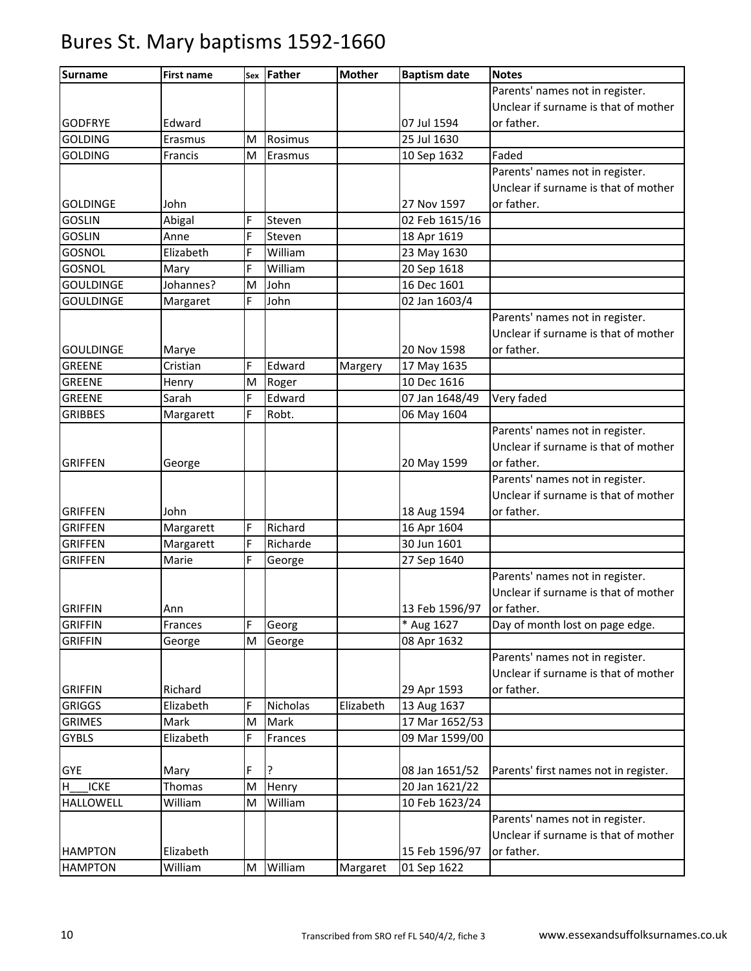| <b>Surname</b>   | <b>First name</b> | Sex | <b>Father</b> | <b>Mother</b> | <b>Baptism date</b> | <b>Notes</b>                          |
|------------------|-------------------|-----|---------------|---------------|---------------------|---------------------------------------|
|                  |                   |     |               |               |                     | Parents' names not in register.       |
|                  |                   |     |               |               |                     | Unclear if surname is that of mother  |
| <b>GODFRYE</b>   | Edward            |     |               |               | 07 Jul 1594         | or father.                            |
| <b>GOLDING</b>   | Erasmus           | M   | Rosimus       |               | 25 Jul 1630         |                                       |
| <b>GOLDING</b>   | Francis           | M   | Erasmus       |               | 10 Sep 1632         | Faded                                 |
|                  |                   |     |               |               |                     | Parents' names not in register.       |
|                  |                   |     |               |               |                     | Unclear if surname is that of mother  |
| <b>GOLDINGE</b>  | John              |     |               |               | 27 Nov 1597         | or father.                            |
| <b>GOSLIN</b>    | Abigal            | Ė   | Steven        |               | 02 Feb 1615/16      |                                       |
| <b>GOSLIN</b>    | Anne              | F   | Steven        |               | 18 Apr 1619         |                                       |
| GOSNOL           | Elizabeth         | E.  | William       |               | 23 May 1630         |                                       |
| GOSNOL           | Mary              | F   | William       |               | 20 Sep 1618         |                                       |
| <b>GOULDINGE</b> | Johannes?         | M   | John          |               | 16 Dec 1601         |                                       |
| <b>GOULDINGE</b> | Margaret          | F   | John          |               | 02 Jan 1603/4       |                                       |
|                  |                   |     |               |               |                     | Parents' names not in register.       |
|                  |                   |     |               |               |                     | Unclear if surname is that of mother  |
| <b>GOULDINGE</b> | Marye             |     |               |               | 20 Nov 1598         | or father.                            |
| <b>GREENE</b>    | Cristian          | F   | Edward        | Margery       | 17 May 1635         |                                       |
| <b>GREENE</b>    | Henry             | M   | Roger         |               | 10 Dec 1616         |                                       |
| <b>GREENE</b>    | Sarah             | F   | Edward        |               | 07 Jan 1648/49      | Very faded                            |
| <b>GRIBBES</b>   | Margarett         | F   | Robt.         |               | 06 May 1604         |                                       |
|                  |                   |     |               |               |                     | Parents' names not in register.       |
|                  |                   |     |               |               |                     | Unclear if surname is that of mother  |
| <b>GRIFFEN</b>   | George            |     |               |               | 20 May 1599         | or father.                            |
|                  |                   |     |               |               |                     | Parents' names not in register.       |
|                  |                   |     |               |               |                     | Unclear if surname is that of mother  |
| <b>GRIFFEN</b>   | John              |     |               |               | 18 Aug 1594         | or father.                            |
| <b>GRIFFEN</b>   | Margarett         | F   | Richard       |               | 16 Apr 1604         |                                       |
| <b>GRIFFEN</b>   | Margarett         | Ė   | Richarde      |               | 30 Jun 1601         |                                       |
| <b>GRIFFEN</b>   | Marie             | Ė   | George        |               | 27 Sep 1640         |                                       |
|                  |                   |     |               |               |                     | Parents' names not in register.       |
|                  |                   |     |               |               |                     | Unclear if surname is that of mother  |
| <b>GRIFFIN</b>   | Ann               |     |               |               | 13 Feb 1596/97      | or father.                            |
| <b>GRIFFIN</b>   | Frances           | F   | Georg         |               | * Aug 1627          | Day of month lost on page edge.       |
| <b>GRIFFIN</b>   | George            | M   | George        |               | 08 Apr 1632         |                                       |
|                  |                   |     |               |               |                     | Parents' names not in register.       |
|                  |                   |     |               |               |                     | Unclear if surname is that of mother  |
| <b>GRIFFIN</b>   | Richard           |     |               |               | 29 Apr 1593         | or father.                            |
| <b>GRIGGS</b>    | Elizabeth         | F   | Nicholas      | Elizabeth     | 13 Aug 1637         |                                       |
| <b>GRIMES</b>    | Mark              | M   | Mark          |               | 17 Mar 1652/53      |                                       |
| <b>GYBLS</b>     | Elizabeth         | F   | Frances       |               | 09 Mar 1599/00      |                                       |
|                  |                   |     |               |               |                     |                                       |
| <b>GYE</b>       | Mary              | F   | 5.            |               | 08 Jan 1651/52      | Parents' first names not in register. |
| <b>ICKE</b><br>н | Thomas            | M   | Henry         |               | 20 Jan 1621/22      |                                       |
| <b>HALLOWELL</b> | William           | M   | William       |               | 10 Feb 1623/24      |                                       |
|                  |                   |     |               |               |                     | Parents' names not in register.       |
|                  |                   |     |               |               |                     | Unclear if surname is that of mother  |
| <b>HAMPTON</b>   | Elizabeth         |     |               |               | 15 Feb 1596/97      | or father.                            |
| <b>HAMPTON</b>   | William           | M   | William       | Margaret      | 01 Sep 1622         |                                       |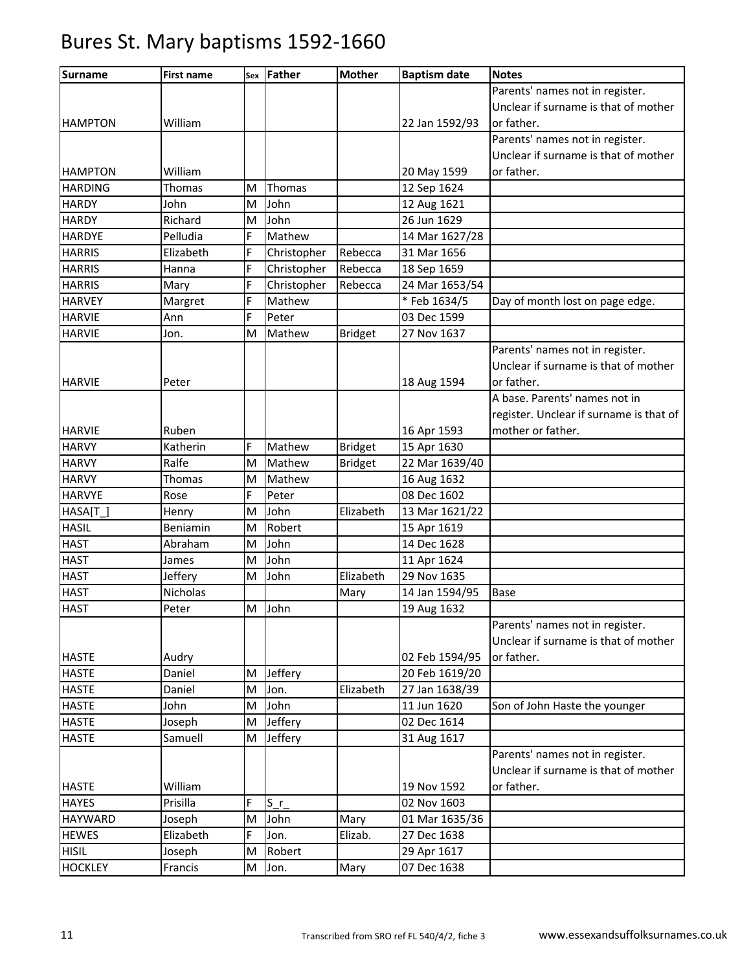| <b>Surname</b> | <b>First name</b> |   | sex Father    | <b>Mother</b>  | <b>Baptism date</b> | <b>Notes</b>                            |
|----------------|-------------------|---|---------------|----------------|---------------------|-----------------------------------------|
|                |                   |   |               |                |                     | Parents' names not in register.         |
|                |                   |   |               |                |                     | Unclear if surname is that of mother    |
| <b>HAMPTON</b> | William           |   |               |                | 22 Jan 1592/93      | or father.                              |
|                |                   |   |               |                |                     | Parents' names not in register.         |
|                |                   |   |               |                |                     | Unclear if surname is that of mother    |
| <b>HAMPTON</b> | William           |   |               |                | 20 May 1599         | or father.                              |
| <b>HARDING</b> | Thomas            | M | <b>Thomas</b> |                | 12 Sep 1624         |                                         |
| <b>HARDY</b>   | John              | M | John          |                | 12 Aug 1621         |                                         |
| <b>HARDY</b>   | Richard           | M | John          |                | 26 Jun 1629         |                                         |
| <b>HARDYE</b>  | Pelludia          | Ė | Mathew        |                | 14 Mar 1627/28      |                                         |
| <b>HARRIS</b>  | Elizabeth         | F | Christopher   | Rebecca        | 31 Mar 1656         |                                         |
| <b>HARRIS</b>  | Hanna             | F | Christopher   | Rebecca        | 18 Sep 1659         |                                         |
| <b>HARRIS</b>  | Mary              | F | Christopher   | Rebecca        | 24 Mar 1653/54      |                                         |
| <b>HARVEY</b>  | Margret           | F | Mathew        |                | *Feb 1634/5         | Day of month lost on page edge.         |
| <b>HARVIE</b>  | Ann               | F | Peter         |                | 03 Dec 1599         |                                         |
| <b>HARVIE</b>  | Jon.              | M | Mathew        | <b>Bridget</b> | 27 Nov 1637         |                                         |
|                |                   |   |               |                |                     | Parents' names not in register.         |
|                |                   |   |               |                |                     | Unclear if surname is that of mother    |
| <b>HARVIE</b>  | Peter             |   |               |                | 18 Aug 1594         | or father.                              |
|                |                   |   |               |                |                     | A base. Parents' names not in           |
|                |                   |   |               |                |                     | register. Unclear if surname is that of |
| <b>HARVIE</b>  | Ruben             |   |               |                | 16 Apr 1593         | mother or father.                       |
| <b>HARVY</b>   | Katherin          | F | Mathew        | <b>Bridget</b> | 15 Apr 1630         |                                         |
| <b>HARVY</b>   | Ralfe             | M | Mathew        | <b>Bridget</b> | 22 Mar 1639/40      |                                         |
| <b>HARVY</b>   | Thomas            | M | Mathew        |                | 16 Aug 1632         |                                         |
| <b>HARVYE</b>  | Rose              | F | Peter         |                | 08 Dec 1602         |                                         |
| HASA[T_]       | Henry             | M | John          | Elizabeth      | 13 Mar 1621/22      |                                         |
| <b>HASIL</b>   | Beniamin          | M | Robert        |                | 15 Apr 1619         |                                         |
| <b>HAST</b>    | Abraham           | M | John          |                | 14 Dec 1628         |                                         |
| <b>HAST</b>    | James             | M | John          |                | 11 Apr 1624         |                                         |
| <b>HAST</b>    | Jeffery           | M | John          | Elizabeth      | 29 Nov 1635         |                                         |
| <b>HAST</b>    | Nicholas          |   |               | Mary           | 14 Jan 1594/95      | <b>Base</b>                             |
| <b>HAST</b>    | Peter             |   | M John        |                | 19 Aug 1632         |                                         |
|                |                   |   |               |                |                     | Parents' names not in register.         |
|                |                   |   |               |                |                     | Unclear if surname is that of mother    |
| <b>HASTE</b>   | Audry             |   |               |                | 02 Feb 1594/95      | or father.                              |
| <b>HASTE</b>   | Daniel            | M | Jeffery       |                | 20 Feb 1619/20      |                                         |
| <b>HASTE</b>   | Daniel            | M | Jon.          | Elizabeth      | 27 Jan 1638/39      |                                         |
| <b>HASTE</b>   | John              | M | John          |                | 11 Jun 1620         | Son of John Haste the younger           |
| <b>HASTE</b>   | Joseph            | M | Jeffery       |                | 02 Dec 1614         |                                         |
| <b>HASTE</b>   | Samuell           | M | Jeffery       |                | 31 Aug 1617         |                                         |
|                |                   |   |               |                |                     | Parents' names not in register.         |
|                |                   |   |               |                |                     | Unclear if surname is that of mother    |
| <b>HASTE</b>   | William           |   |               |                | 19 Nov 1592         | or father.                              |
| <b>HAYES</b>   | Prisilla          | Ė | $S_{r}$       |                | 02 Nov 1603         |                                         |
| <b>HAYWARD</b> | Joseph            | M | John          | Mary           | 01 Mar 1635/36      |                                         |
| <b>HEWES</b>   | Elizabeth         | F | Jon.          | Elizab.        | 27 Dec 1638         |                                         |
| <b>HISIL</b>   | Joseph            | M | Robert        |                | 29 Apr 1617         |                                         |
| <b>HOCKLEY</b> | Francis           | M | Jon.          | Mary           | 07 Dec 1638         |                                         |
|                |                   |   |               |                |                     |                                         |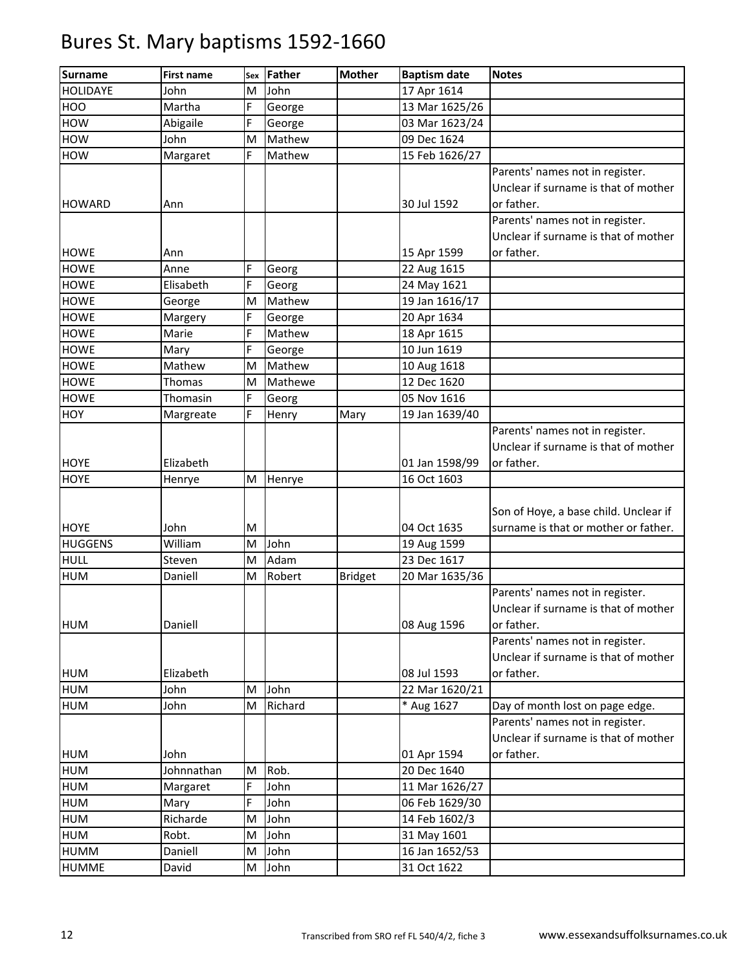| <b>Surname</b>  | <b>First name</b> | Sex | Father  | <b>Mother</b>  | <b>Baptism date</b> | <b>Notes</b>                          |
|-----------------|-------------------|-----|---------|----------------|---------------------|---------------------------------------|
| <b>HOLIDAYE</b> | John              | M   | John    |                | 17 Apr 1614         |                                       |
| <b>HOO</b>      | Martha            | F   | George  |                | 13 Mar 1625/26      |                                       |
| <b>HOW</b>      | Abigaile          | F   | George  |                | 03 Mar 1623/24      |                                       |
| HOW             | John              | M   | Mathew  |                | 09 Dec 1624         |                                       |
| <b>HOW</b>      | Margaret          | F   | Mathew  |                | 15 Feb 1626/27      |                                       |
|                 |                   |     |         |                |                     | Parents' names not in register.       |
|                 |                   |     |         |                |                     | Unclear if surname is that of mother  |
| <b>HOWARD</b>   | Ann               |     |         |                | 30 Jul 1592         | or father.                            |
|                 |                   |     |         |                |                     | Parents' names not in register.       |
|                 |                   |     |         |                |                     | Unclear if surname is that of mother  |
| <b>HOWE</b>     | Ann               |     |         |                | 15 Apr 1599         | or father.                            |
| <b>HOWE</b>     | Anne              | F   | Georg   |                | 22 Aug 1615         |                                       |
| <b>HOWE</b>     | Elisabeth         | F   | Georg   |                | 24 May 1621         |                                       |
| <b>HOWE</b>     | George            | M   | Mathew  |                | 19 Jan 1616/17      |                                       |
| <b>HOWE</b>     | Margery           | F   | George  |                | 20 Apr 1634         |                                       |
| <b>HOWE</b>     | Marie             | F   | Mathew  |                | 18 Apr 1615         |                                       |
| <b>HOWE</b>     | Mary              | F   | George  |                | 10 Jun 1619         |                                       |
| <b>HOWE</b>     | Mathew            | M   | Mathew  |                | 10 Aug 1618         |                                       |
| <b>HOWE</b>     | Thomas            | M   | Mathewe |                | 12 Dec 1620         |                                       |
| <b>HOWE</b>     | Thomasin          | E.  | Georg   |                | 05 Nov 1616         |                                       |
| HOY             | Margreate         | F   | Henry   | Mary           | 19 Jan 1639/40      |                                       |
|                 |                   |     |         |                |                     | Parents' names not in register.       |
|                 |                   |     |         |                |                     | Unclear if surname is that of mother  |
| <b>HOYE</b>     | Elizabeth         |     |         |                | 01 Jan 1598/99      | or father.                            |
| <b>HOYE</b>     | Henrye            | M   | Henrye  |                | 16 Oct 1603         |                                       |
|                 |                   |     |         |                |                     |                                       |
|                 |                   |     |         |                |                     | Son of Hoye, a base child. Unclear if |
| <b>HOYE</b>     | John              | M   |         |                | 04 Oct 1635         | surname is that or mother or father.  |
| <b>HUGGENS</b>  | William           | M   | John    |                | 19 Aug 1599         |                                       |
| <b>HULL</b>     | Steven            | M   | Adam    |                | 23 Dec 1617         |                                       |
| <b>HUM</b>      | Daniell           | M   | Robert  | <b>Bridget</b> | 20 Mar 1635/36      |                                       |
|                 |                   |     |         |                |                     | Parents' names not in register.       |
|                 |                   |     |         |                |                     | Unclear if surname is that of mother  |
| <b>HUM</b>      | Daniell           |     |         |                | 08 Aug 1596         | or father.                            |
|                 |                   |     |         |                |                     | Parents' names not in register.       |
|                 |                   |     |         |                |                     | Unclear if surname is that of mother  |
| <b>HUM</b>      | Elizabeth         |     |         |                | 08 Jul 1593         | or father.                            |
| <b>HUM</b>      | John              | M   | John    |                | 22 Mar 1620/21      |                                       |
| <b>HUM</b>      | John              | M   | Richard |                | * Aug 1627          | Day of month lost on page edge.       |
|                 |                   |     |         |                |                     | Parents' names not in register.       |
|                 |                   |     |         |                |                     | Unclear if surname is that of mother  |
| <b>HUM</b>      | John              |     |         |                | 01 Apr 1594         | or father.                            |
| <b>HUM</b>      | Johnnathan        | M   | Rob.    |                | 20 Dec 1640         |                                       |
| <b>HUM</b>      | Margaret          | F   | John    |                | 11 Mar 1626/27      |                                       |
| <b>HUM</b>      | Mary              | F   | John    |                | 06 Feb 1629/30      |                                       |
| <b>HUM</b>      | Richarde          | M   | John    |                | 14 Feb 1602/3       |                                       |
| <b>HUM</b>      | Robt.             | M   | John    |                | 31 May 1601         |                                       |
| <b>HUMM</b>     | Daniell           | M   | John    |                | 16 Jan 1652/53      |                                       |
| <b>HUMME</b>    | David             | M   | John    |                | 31 Oct 1622         |                                       |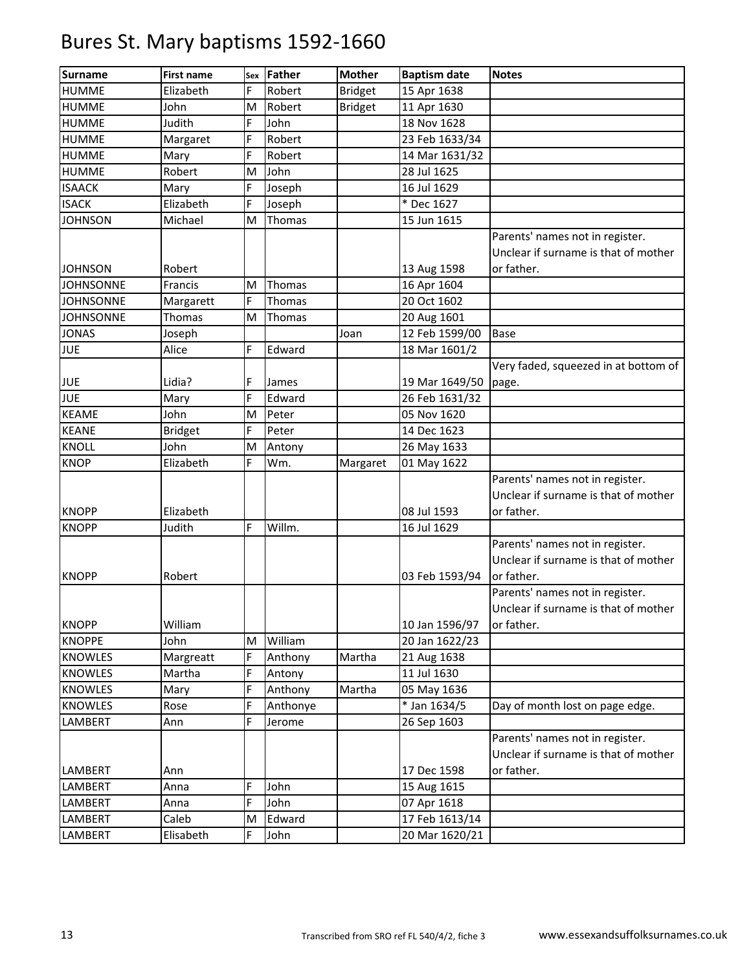| <b>Surname</b>   | <b>First name</b> | Sex    | <b>Father</b> | <b>Mother</b>  | <b>Baptism date</b>        | <b>Notes</b>                                                                          |
|------------------|-------------------|--------|---------------|----------------|----------------------------|---------------------------------------------------------------------------------------|
| <b>HUMME</b>     | Elizabeth         | F      | Robert        | <b>Bridget</b> | 15 Apr 1638                |                                                                                       |
| <b>HUMME</b>     | John              | M      | Robert        | <b>Bridget</b> | 11 Apr 1630                |                                                                                       |
| <b>HUMME</b>     | Judith            | F      | John          |                | 18 Nov 1628                |                                                                                       |
| <b>HUMME</b>     | Margaret          | F      | Robert        |                | 23 Feb 1633/34             |                                                                                       |
| <b>HUMME</b>     | Mary              | F      | Robert        |                | 14 Mar 1631/32             |                                                                                       |
| <b>HUMME</b>     | Robert            | M      | John          |                | 28 Jul 1625                |                                                                                       |
| <b>ISAACK</b>    | Mary              | F      | Joseph        |                | 16 Jul 1629                |                                                                                       |
| <b>ISACK</b>     | Elizabeth         | Ė      | Joseph        |                | * Dec 1627                 |                                                                                       |
| <b>JOHNSON</b>   | Michael           | M      | Thomas        |                | 15 Jun 1615                |                                                                                       |
|                  |                   |        |               |                |                            | Parents' names not in register.<br>Unclear if surname is that of mother               |
| <b>JOHNSON</b>   | Robert            |        |               |                | 13 Aug 1598                | or father.                                                                            |
| <b>JOHNSONNE</b> | Francis           | M<br>F | Thomas        |                | 16 Apr 1604<br>20 Oct 1602 |                                                                                       |
| <b>JOHNSONNE</b> | Margarett         |        | Thomas        |                |                            |                                                                                       |
| <b>JOHNSONNE</b> | Thomas            | M      | Thomas        |                | 20 Aug 1601                |                                                                                       |
| <b>JONAS</b>     | Joseph            |        |               | Joan           | 12 Feb 1599/00             | Base                                                                                  |
| <b>JUE</b>       | Alice             | F      | Edward        |                | 18 Mar 1601/2              |                                                                                       |
| <b>JUE</b>       | Lidia?            | F      | James         |                | 19 Mar 1649/50             | Very faded, squeezed in at bottom of<br>page.                                         |
| <b>JUE</b>       | Mary              | F      | Edward        |                | 26 Feb 1631/32             |                                                                                       |
| <b>KEAME</b>     | John              | M      | Peter         |                | 05 Nov 1620                |                                                                                       |
| <b>KEANE</b>     | <b>Bridget</b>    | F      | Peter         |                | 14 Dec 1623                |                                                                                       |
| <b>KNOLL</b>     | John              | M      | Antony        |                | 26 May 1633                |                                                                                       |
| <b>KNOP</b>      | Elizabeth         | F      | Wm.           | Margaret       | 01 May 1622                |                                                                                       |
|                  |                   |        |               |                |                            | Parents' names not in register.<br>Unclear if surname is that of mother               |
| <b>KNOPP</b>     | Elizabeth         |        |               |                | 08 Jul 1593                | or father.                                                                            |
| <b>KNOPP</b>     | Judith            | F      | Willm.        |                | 16 Jul 1629                |                                                                                       |
| <b>KNOPP</b>     | Robert            |        |               |                | 03 Feb 1593/94             | Parents' names not in register.<br>Unclear if surname is that of mother<br>or father. |
|                  |                   |        |               |                |                            | Parents' names not in register.<br>Unclear if surname is that of mother               |
| <b>KNOPP</b>     | William           |        |               |                | 10 Jan 1596/97             | or father.                                                                            |
| <b>KNOPPE</b>    | John              | M      | William       |                | 20 Jan 1622/23             |                                                                                       |
| <b>KNOWLES</b>   | Margreatt         | Ė      | Anthony       | Martha         | 21 Aug 1638                |                                                                                       |
| <b>KNOWLES</b>   | Martha            | F      | Antony        |                | 11 Jul 1630                |                                                                                       |
| <b>KNOWLES</b>   | Mary              | F      | Anthony       | Martha         | 05 May 1636                |                                                                                       |
| <b>KNOWLES</b>   | Rose              | Ė      | Anthonye      |                | * Jan 1634/5               | Day of month lost on page edge.                                                       |
| LAMBERT          | Ann               | F      | Jerome        |                | 26 Sep 1603                |                                                                                       |
|                  |                   |        |               |                |                            | Parents' names not in register.<br>Unclear if surname is that of mother               |
| LAMBERT          | Ann               |        |               |                | 17 Dec 1598                | or father.                                                                            |
| LAMBERT          | Anna              | F      | John          |                | 15 Aug 1615                |                                                                                       |
| LAMBERT          | Anna              | F      | John          |                | 07 Apr 1618                |                                                                                       |
| LAMBERT          | Caleb             | M      | Edward        |                | 17 Feb 1613/14             |                                                                                       |
| LAMBERT          | Elisabeth         | Ė      | John          |                | 20 Mar 1620/21             |                                                                                       |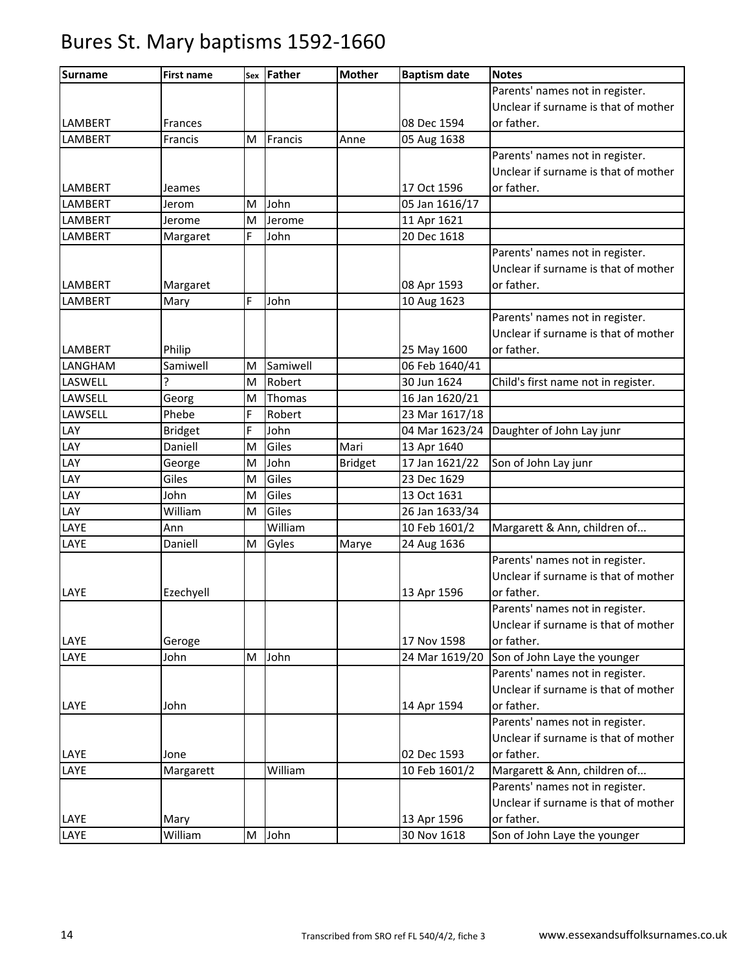| <b>Surname</b> | <b>First name</b> | Sex | Father   | <b>Mother</b>  | <b>Baptism date</b> | <b>Notes</b>                         |
|----------------|-------------------|-----|----------|----------------|---------------------|--------------------------------------|
|                |                   |     |          |                |                     | Parents' names not in register.      |
|                |                   |     |          |                |                     | Unclear if surname is that of mother |
| <b>LAMBERT</b> | Frances           |     |          |                | 08 Dec 1594         | or father.                           |
| LAMBERT        | Francis           | M   | Francis  | Anne           | 05 Aug 1638         |                                      |
|                |                   |     |          |                |                     | Parents' names not in register.      |
|                |                   |     |          |                |                     | Unclear if surname is that of mother |
| LAMBERT        | Jeames            |     |          |                | 17 Oct 1596         | or father.                           |
| LAMBERT        | Jerom             | M   | John     |                | 05 Jan 1616/17      |                                      |
| LAMBERT        | Jerome            | M   | Jerome   |                | 11 Apr 1621         |                                      |
| LAMBERT        | Margaret          | F   | John     |                | 20 Dec 1618         |                                      |
|                |                   |     |          |                |                     | Parents' names not in register.      |
|                |                   |     |          |                |                     | Unclear if surname is that of mother |
| LAMBERT        | Margaret          |     |          |                | 08 Apr 1593         | or father.                           |
| LAMBERT        | Mary              | F   | John     |                | 10 Aug 1623         |                                      |
|                |                   |     |          |                |                     | Parents' names not in register.      |
|                |                   |     |          |                |                     | Unclear if surname is that of mother |
| LAMBERT        | Philip            |     |          |                | 25 May 1600         | or father.                           |
| LANGHAM        | Samiwell          | M   | Samiwell |                | 06 Feb 1640/41      |                                      |
| LASWELL        | Ç                 | M   | Robert   |                | 30 Jun 1624         | Child's first name not in register.  |
| LAWSELL        | Georg             | M   | Thomas   |                | 16 Jan 1620/21      |                                      |
| LAWSELL        | Phebe             | F   | Robert   |                | 23 Mar 1617/18      |                                      |
| LAY            | <b>Bridget</b>    | F   | John     |                | 04 Mar 1623/24      | Daughter of John Lay junr            |
| LAY            | Daniell           | M   | Giles    | Mari           | 13 Apr 1640         |                                      |
| LAY            | George            | M   | John     | <b>Bridget</b> | 17 Jan 1621/22      | Son of John Lay junr                 |
| LAY            | Giles             | M   | Giles    |                | 23 Dec 1629         |                                      |
| LAY            | John              | M   | Giles    |                | 13 Oct 1631         |                                      |
| LAY            | William           | M   | Giles    |                | 26 Jan 1633/34      |                                      |
| LAYE           | Ann               |     | William  |                | 10 Feb 1601/2       | Margarett & Ann, children of         |
| LAYE           | Daniell           | M   | Gyles    | Marye          | 24 Aug 1636         |                                      |
|                |                   |     |          |                |                     | Parents' names not in register.      |
|                |                   |     |          |                |                     | Unclear if surname is that of mother |
| LAYE           | Ezechyell         |     |          |                | 13 Apr 1596         | or father.                           |
|                |                   |     |          |                |                     | Parents' names not in register.      |
|                |                   |     |          |                |                     | Unclear if surname is that of mother |
| LAYE           | Geroge            |     |          |                | 17 Nov 1598         | or father.                           |
| LAYE           | John              | M   | John     |                | 24 Mar 1619/20      | Son of John Laye the younger         |
|                |                   |     |          |                |                     | Parents' names not in register.      |
|                |                   |     |          |                |                     | Unclear if surname is that of mother |
| LAYE           | John              |     |          |                | 14 Apr 1594         | or father.                           |
|                |                   |     |          |                |                     | Parents' names not in register.      |
|                |                   |     |          |                |                     | Unclear if surname is that of mother |
| LAYE           | Jone              |     |          |                | 02 Dec 1593         | or father.                           |
| LAYE           | Margarett         |     | William  |                | 10 Feb 1601/2       | Margarett & Ann, children of         |
|                |                   |     |          |                |                     | Parents' names not in register.      |
|                |                   |     |          |                |                     | Unclear if surname is that of mother |
| LAYE           | Mary              |     |          |                | 13 Apr 1596         | or father.                           |
| LAYE           | William           |     | M John   |                | 30 Nov 1618         | Son of John Laye the younger         |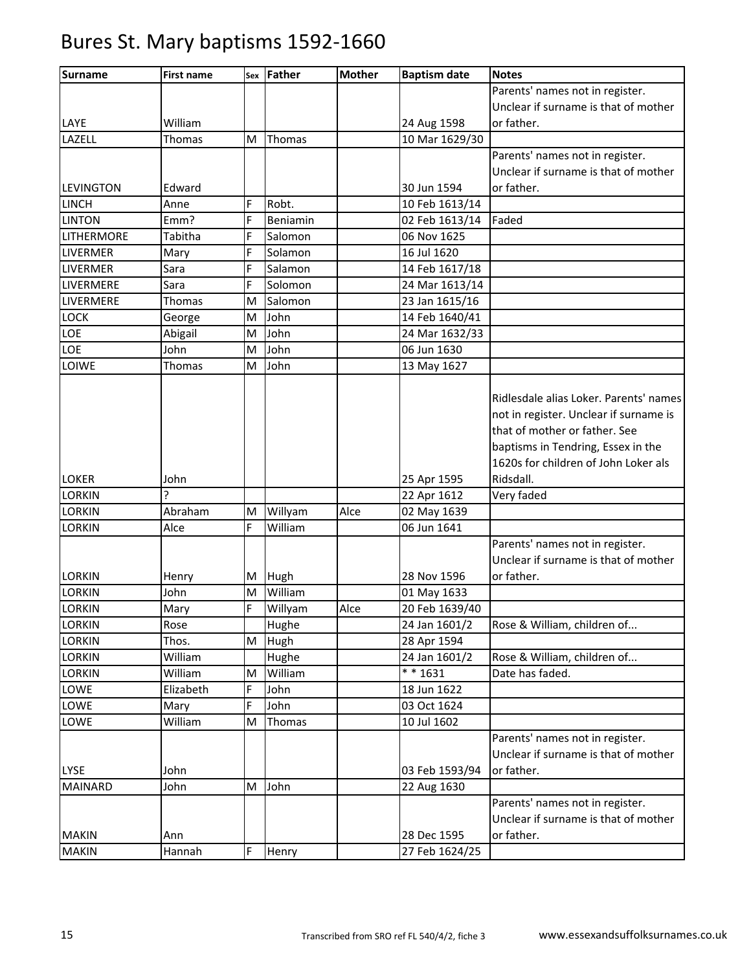| <b>Surname</b>   | <b>First name</b> | Sex | <b>Father</b> | <b>Mother</b> | <b>Baptism date</b> | <b>Notes</b>                                                                                                                                                                                    |
|------------------|-------------------|-----|---------------|---------------|---------------------|-------------------------------------------------------------------------------------------------------------------------------------------------------------------------------------------------|
|                  |                   |     |               |               |                     | Parents' names not in register.                                                                                                                                                                 |
|                  |                   |     |               |               |                     | Unclear if surname is that of mother                                                                                                                                                            |
| LAYE             | William           |     |               |               | 24 Aug 1598         | or father.                                                                                                                                                                                      |
| LAZELL           | Thomas            | M   | Thomas        |               | 10 Mar 1629/30      |                                                                                                                                                                                                 |
|                  |                   |     |               |               |                     | Parents' names not in register.                                                                                                                                                                 |
|                  |                   |     |               |               |                     | Unclear if surname is that of mother                                                                                                                                                            |
| <b>LEVINGTON</b> | Edward            |     |               |               | 30 Jun 1594         | or father.                                                                                                                                                                                      |
| <b>LINCH</b>     | Anne              | F   | Robt.         |               | 10 Feb 1613/14      |                                                                                                                                                                                                 |
| <b>LINTON</b>    | Emm?              | F   | Beniamin      |               | 02 Feb 1613/14      | Faded                                                                                                                                                                                           |
| LITHERMORE       | Tabitha           | Ė   | Salomon       |               | 06 Nov 1625         |                                                                                                                                                                                                 |
| LIVERMER         | Mary              | Ė   | Solamon       |               | 16 Jul 1620         |                                                                                                                                                                                                 |
| LIVERMER         | Sara              | F   | Salamon       |               | 14 Feb 1617/18      |                                                                                                                                                                                                 |
| LIVERMERE        | Sara              | F   | Solomon       |               | 24 Mar 1613/14      |                                                                                                                                                                                                 |
| LIVERMERE        | Thomas            | M   | Salomon       |               | 23 Jan 1615/16      |                                                                                                                                                                                                 |
| <b>LOCK</b>      | George            | M   | John          |               | 14 Feb 1640/41      |                                                                                                                                                                                                 |
| LOE              | Abigail           | M   | John          |               | 24 Mar 1632/33      |                                                                                                                                                                                                 |
| LOE              | John              | M   | John          |               | 06 Jun 1630         |                                                                                                                                                                                                 |
| LOIWE            | Thomas            | M   | John          |               | 13 May 1627         |                                                                                                                                                                                                 |
|                  |                   |     |               |               |                     | Ridlesdale alias Loker. Parents' names<br>not in register. Unclear if surname is<br>that of mother or father. See<br>baptisms in Tendring, Essex in the<br>1620s for children of John Loker als |
| <b>LOKER</b>     | John              |     |               |               | 25 Apr 1595         | Ridsdall.                                                                                                                                                                                       |
| <b>LORKIN</b>    | ን                 |     |               |               | 22 Apr 1612         | Very faded                                                                                                                                                                                      |
| <b>LORKIN</b>    | Abraham           | M   | Willyam       | Alce          | 02 May 1639         |                                                                                                                                                                                                 |
| <b>LORKIN</b>    | Alce              | F   | William       |               | 06 Jun 1641         |                                                                                                                                                                                                 |
| <b>LORKIN</b>    | Henry             | М   | Hugh          |               | 28 Nov 1596         | Parents' names not in register.<br>Unclear if surname is that of mother<br>or father.                                                                                                           |
| <b>LORKIN</b>    | John              | M   | William       |               | 01 May 1633         |                                                                                                                                                                                                 |
| <b>LORKIN</b>    | Mary              | Ė   | Willyam       | Alce          | 20 Feb 1639/40      |                                                                                                                                                                                                 |
| <b>LORKIN</b>    | Rose              |     | Hughe         |               | 24 Jan 1601/2       | Rose & William, children of                                                                                                                                                                     |
| <b>LORKIN</b>    | Thos.             | M   | Hugh          |               | 28 Apr 1594         |                                                                                                                                                                                                 |
| <b>LORKIN</b>    | William           |     | Hughe         |               | 24 Jan 1601/2       | Rose & William, children of                                                                                                                                                                     |
| <b>LORKIN</b>    | William           | M   | William       |               | $* * 1631$          | Date has faded.                                                                                                                                                                                 |
| LOWE             | Elizabeth         | F   | John          |               | 18 Jun 1622         |                                                                                                                                                                                                 |
| LOWE             | Mary              | F   | John          |               | 03 Oct 1624         |                                                                                                                                                                                                 |
| LOWE             | William           | M   | Thomas        |               | 10 Jul 1602         |                                                                                                                                                                                                 |
| <b>LYSE</b>      | John              |     |               |               | 03 Feb 1593/94      | Parents' names not in register.<br>Unclear if surname is that of mother<br>or father.                                                                                                           |
| <b>MAINARD</b>   | John              | M   | John          |               | 22 Aug 1630         |                                                                                                                                                                                                 |
|                  |                   |     |               |               |                     | Parents' names not in register.<br>Unclear if surname is that of mother                                                                                                                         |
| <b>MAKIN</b>     | Ann               |     |               |               | 28 Dec 1595         | or father.                                                                                                                                                                                      |
| <b>MAKIN</b>     | Hannah            | F   | Henry         |               | 27 Feb 1624/25      |                                                                                                                                                                                                 |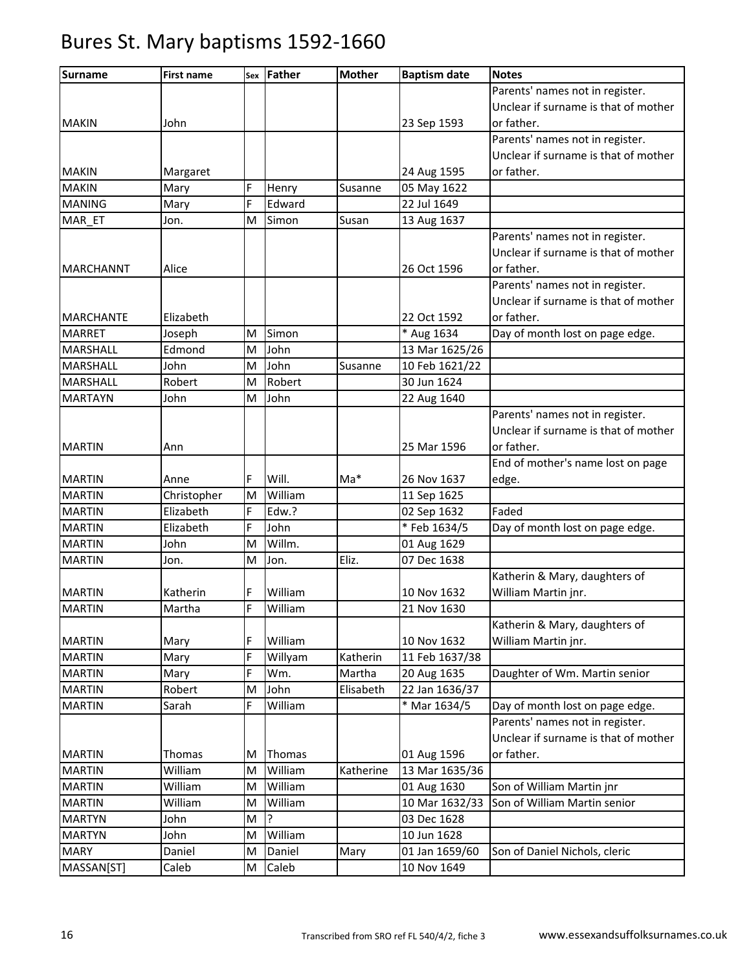| <b>Surname</b>   | <b>First name</b> | Sex | Father  | <b>Mother</b> | <b>Baptism date</b> | <b>Notes</b>                         |
|------------------|-------------------|-----|---------|---------------|---------------------|--------------------------------------|
|                  |                   |     |         |               |                     | Parents' names not in register.      |
|                  |                   |     |         |               |                     | Unclear if surname is that of mother |
| <b>MAKIN</b>     | John              |     |         |               | 23 Sep 1593         | or father.                           |
|                  |                   |     |         |               |                     | Parents' names not in register.      |
|                  |                   |     |         |               |                     | Unclear if surname is that of mother |
| <b>MAKIN</b>     | Margaret          |     |         |               | 24 Aug 1595         | or father.                           |
| <b>MAKIN</b>     | Mary              | F   | Henry   | Susanne       | 05 May 1622         |                                      |
| <b>MANING</b>    | Mary              | F   | Edward  |               | 22 Jul 1649         |                                      |
| MAR ET           | Jon.              | M   | Simon   | Susan         | 13 Aug 1637         |                                      |
|                  |                   |     |         |               |                     | Parents' names not in register.      |
|                  |                   |     |         |               |                     | Unclear if surname is that of mother |
| <b>MARCHANNT</b> | Alice             |     |         |               | 26 Oct 1596         | or father.                           |
|                  |                   |     |         |               |                     | Parents' names not in register.      |
|                  |                   |     |         |               |                     | Unclear if surname is that of mother |
| <b>MARCHANTE</b> | Elizabeth         |     |         |               | 22 Oct 1592         | or father.                           |
| <b>MARRET</b>    | Joseph            | M   | Simon   |               | * Aug 1634          | Day of month lost on page edge.      |
| <b>MARSHALL</b>  | Edmond            | M   | John    |               | 13 Mar 1625/26      |                                      |
| <b>MARSHALL</b>  | John              | M   | John    | Susanne       | 10 Feb 1621/22      |                                      |
| <b>MARSHALL</b>  | Robert            | M   | Robert  |               | 30 Jun 1624         |                                      |
| <b>MARTAYN</b>   | John              | M   | John    |               | 22 Aug 1640         |                                      |
|                  |                   |     |         |               |                     | Parents' names not in register.      |
|                  |                   |     |         |               |                     | Unclear if surname is that of mother |
| <b>MARTIN</b>    | Ann               |     |         |               | 25 Mar 1596         | or father.                           |
|                  |                   |     |         |               |                     | End of mother's name lost on page    |
| <b>MARTIN</b>    | Anne              | F   | Will.   | $Ma*$         | 26 Nov 1637         | edge.                                |
| <b>MARTIN</b>    | Christopher       | M   | William |               | 11 Sep 1625         |                                      |
| <b>MARTIN</b>    | Elizabeth         | F   | Edw.?   |               | 02 Sep 1632         | Faded                                |
| <b>MARTIN</b>    | Elizabeth         | F   | John    |               | *Feb 1634/5         | Day of month lost on page edge.      |
| <b>MARTIN</b>    | John              | M   | Willm.  |               | 01 Aug 1629         |                                      |
| <b>MARTIN</b>    | Jon.              | M   | Jon.    | Eliz.         | 07 Dec 1638         |                                      |
|                  |                   |     |         |               |                     | Katherin & Mary, daughters of        |
| <b>MARTIN</b>    | Katherin          | F   | William |               | 10 Nov 1632         | William Martin jnr.                  |
| <b>MARTIN</b>    | Martha            | F   | William |               | 21 Nov 1630         |                                      |
|                  |                   |     |         |               |                     | Katherin & Mary, daughters of        |
| <b>MARTIN</b>    | Mary              | F   | William |               | 10 Nov 1632         | William Martin jnr.                  |
| <b>MARTIN</b>    | Mary              | F   | Willyam | Katherin      | 11 Feb 1637/38      |                                      |
| <b>MARTIN</b>    | Mary              | F   | Wm.     | Martha        | 20 Aug 1635         | Daughter of Wm. Martin senior        |
| <b>MARTIN</b>    | Robert            | M   | John    | Elisabeth     | 22 Jan 1636/37      |                                      |
| <b>MARTIN</b>    | Sarah             | F   | William |               | * Mar 1634/5        | Day of month lost on page edge.      |
|                  |                   |     |         |               |                     | Parents' names not in register.      |
|                  |                   |     |         |               |                     | Unclear if surname is that of mother |
| <b>MARTIN</b>    | Thomas            | M   | Thomas  |               | 01 Aug 1596         | or father.                           |
| <b>MARTIN</b>    | William           | M   | William | Katherine     | 13 Mar 1635/36      |                                      |
| <b>MARTIN</b>    | William           | M   | William |               | 01 Aug 1630         | Son of William Martin jnr            |
| <b>MARTIN</b>    | William           | M   | William |               | 10 Mar 1632/33      | Son of William Martin senior         |
| <b>MARTYN</b>    | John              | M   | P       |               | 03 Dec 1628         |                                      |
| <b>MARTYN</b>    | John              | M   | William |               | 10 Jun 1628         |                                      |
| <b>MARY</b>      | Daniel            | M   | Daniel  | Mary          | 01 Jan 1659/60      | Son of Daniel Nichols, cleric        |
| MASSAN[ST]       | Caleb             | M   | Caleb   |               | 10 Nov 1649         |                                      |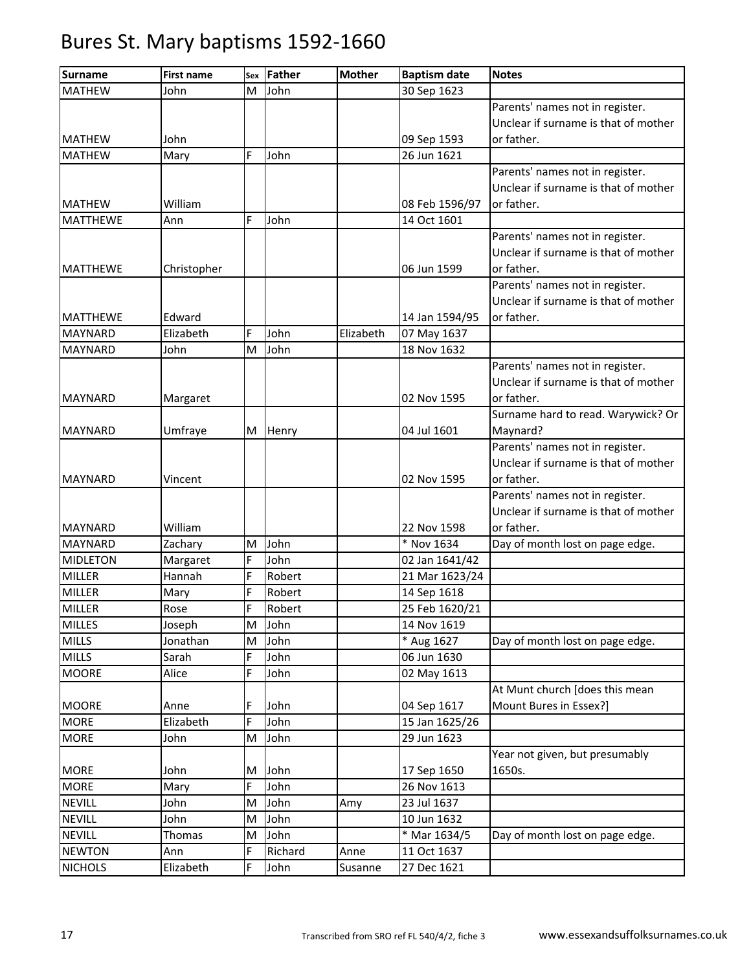| <b>Surname</b>  | <b>First name</b> | Sex | Father  | <b>Mother</b> | <b>Baptism date</b> | <b>Notes</b>                         |
|-----------------|-------------------|-----|---------|---------------|---------------------|--------------------------------------|
| <b>MATHEW</b>   | John              | M   | John    |               | 30 Sep 1623         |                                      |
|                 |                   |     |         |               |                     | Parents' names not in register.      |
|                 |                   |     |         |               |                     | Unclear if surname is that of mother |
| <b>MATHEW</b>   | John              |     |         |               | 09 Sep 1593         | or father.                           |
| <b>MATHEW</b>   | Mary              | F   | John    |               | 26 Jun 1621         |                                      |
|                 |                   |     |         |               |                     | Parents' names not in register.      |
|                 |                   |     |         |               |                     | Unclear if surname is that of mother |
| <b>MATHEW</b>   | William           |     |         |               | 08 Feb 1596/97      | or father.                           |
| <b>MATTHEWE</b> | Ann               | F   | John    |               | 14 Oct 1601         |                                      |
|                 |                   |     |         |               |                     | Parents' names not in register.      |
|                 |                   |     |         |               |                     | Unclear if surname is that of mother |
| <b>MATTHEWE</b> | Christopher       |     |         |               | 06 Jun 1599         | or father.                           |
|                 |                   |     |         |               |                     | Parents' names not in register.      |
|                 |                   |     |         |               |                     | Unclear if surname is that of mother |
| <b>MATTHEWE</b> | Edward            |     |         |               | 14 Jan 1594/95      | or father.                           |
| <b>MAYNARD</b>  | Elizabeth         | F   | John    | Elizabeth     | 07 May 1637         |                                      |
| <b>MAYNARD</b>  | John              | M   | John    |               | 18 Nov 1632         |                                      |
|                 |                   |     |         |               |                     | Parents' names not in register.      |
|                 |                   |     |         |               |                     | Unclear if surname is that of mother |
| <b>MAYNARD</b>  | Margaret          |     |         |               | 02 Nov 1595         | or father.                           |
|                 |                   |     |         |               |                     | Surname hard to read. Warywick? Or   |
| <b>MAYNARD</b>  | Umfraye           | M   | Henry   |               | 04 Jul 1601         | Maynard?                             |
|                 |                   |     |         |               |                     | Parents' names not in register.      |
|                 |                   |     |         |               |                     | Unclear if surname is that of mother |
| <b>MAYNARD</b>  | Vincent           |     |         |               | 02 Nov 1595         | or father.                           |
|                 |                   |     |         |               |                     | Parents' names not in register.      |
|                 |                   |     |         |               |                     | Unclear if surname is that of mother |
| <b>MAYNARD</b>  | William           |     |         |               | 22 Nov 1598         | or father.                           |
| <b>MAYNARD</b>  | Zachary           | M   | John    |               | * Nov 1634          | Day of month lost on page edge.      |
| <b>MIDLETON</b> | Margaret          | F   | John    |               | 02 Jan 1641/42      |                                      |
| <b>MILLER</b>   | Hannah            | F   | Robert  |               | 21 Mar 1623/24      |                                      |
| <b>MILLER</b>   | Mary              | F   | Robert  |               | 14 Sep 1618         |                                      |
| <b>MILLER</b>   | Rose              | F   | Robert  |               | 25 Feb 1620/21      |                                      |
| <b>MILLES</b>   | Joseph            | M   | John    |               | 14 Nov 1619         |                                      |
| <b>MILLS</b>    | Jonathan          | M   | John    |               | * Aug 1627          | Day of month lost on page edge.      |
| <b>MILLS</b>    | Sarah             | F   | John    |               | 06 Jun 1630         |                                      |
| <b>MOORE</b>    | Alice             | F   | John    |               | 02 May 1613         |                                      |
|                 |                   |     |         |               |                     | At Munt church [does this mean       |
| <b>MOORE</b>    | Anne              | F   | John    |               | 04 Sep 1617         | Mount Bures in Essex?]               |
| <b>MORE</b>     | Elizabeth         | F   | John    |               | 15 Jan 1625/26      |                                      |
| <b>MORE</b>     | John              | M   | John    |               | 29 Jun 1623         |                                      |
|                 |                   |     |         |               |                     | Year not given, but presumably       |
| <b>MORE</b>     | John              | M   | John    |               | 17 Sep 1650         | 1650s.                               |
| <b>MORE</b>     | Mary              | F   | John    |               | 26 Nov 1613         |                                      |
| <b>NEVILL</b>   | John              | M   | John    | Amy           | 23 Jul 1637         |                                      |
| <b>NEVILL</b>   | John              | M   | John    |               | 10 Jun 1632         |                                      |
| <b>NEVILL</b>   | Thomas            | M   | John    |               | * Mar 1634/5        | Day of month lost on page edge.      |
| <b>NEWTON</b>   | Ann               | F   | Richard | Anne          | 11 Oct 1637         |                                      |
| <b>NICHOLS</b>  | Elizabeth         | F   | John    | Susanne       | 27 Dec 1621         |                                      |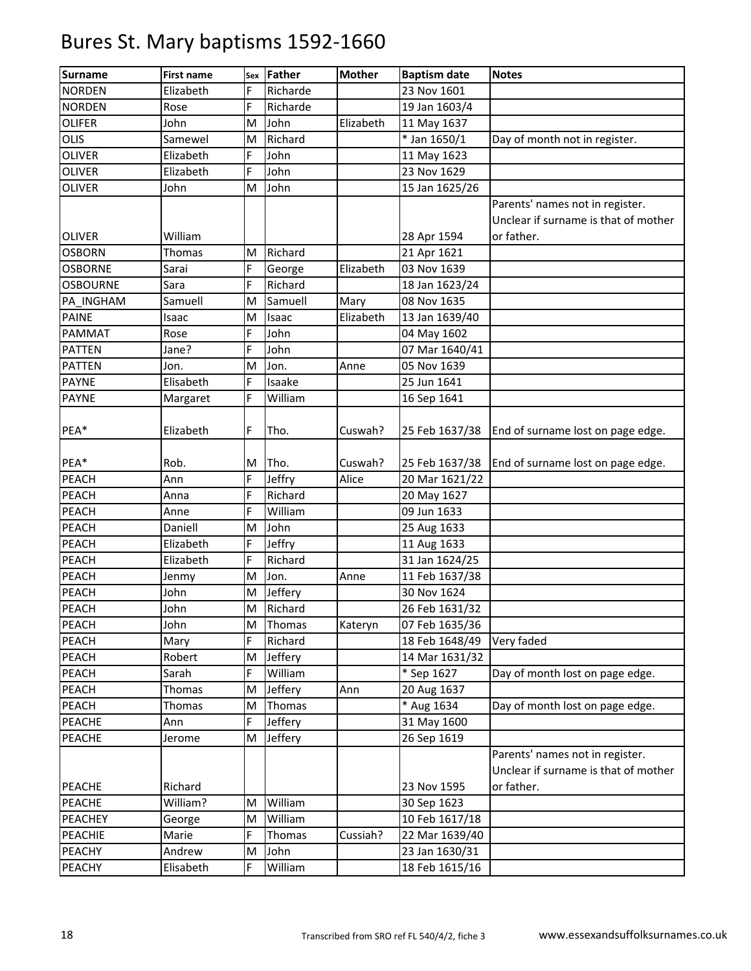| <b>Surname</b>  | <b>First name</b> | Sex | Father   | <b>Mother</b> | <b>Baptism date</b> | <b>Notes</b>                                                                          |
|-----------------|-------------------|-----|----------|---------------|---------------------|---------------------------------------------------------------------------------------|
| <b>NORDEN</b>   | Elizabeth         | F   | Richarde |               | 23 Nov 1601         |                                                                                       |
| <b>NORDEN</b>   | Rose              | F   | Richarde |               | 19 Jan 1603/4       |                                                                                       |
| <b>OLIFER</b>   | John              | M   | John     | Elizabeth     | 11 May 1637         |                                                                                       |
| OLIS            | Samewel           | M   | Richard  |               | * Jan 1650/1        | Day of month not in register.                                                         |
| <b>OLIVER</b>   | Elizabeth         | F   | John     |               | 11 May 1623         |                                                                                       |
| <b>OLIVER</b>   | Elizabeth         | F   | John     |               | 23 Nov 1629         |                                                                                       |
| <b>OLIVER</b>   | John              | M   | John     |               | 15 Jan 1625/26      |                                                                                       |
|                 |                   |     |          |               |                     | Parents' names not in register.<br>Unclear if surname is that of mother               |
| <b>OLIVER</b>   | William           |     |          |               | 28 Apr 1594         | or father.                                                                            |
| <b>OSBORN</b>   | Thomas            | M   | Richard  |               | 21 Apr 1621         |                                                                                       |
| <b>OSBORNE</b>  | Sarai             | F   | George   | Elizabeth     | 03 Nov 1639         |                                                                                       |
| <b>OSBOURNE</b> | Sara              | F   | Richard  |               | 18 Jan 1623/24      |                                                                                       |
| PA_INGHAM       | Samuell           | M   | Samuell  | Mary          | 08 Nov 1635         |                                                                                       |
| <b>PAINE</b>    | Isaac             | M   | Isaac    | Elizabeth     | 13 Jan 1639/40      |                                                                                       |
| PAMMAT          | Rose              | F   | John     |               | 04 May 1602         |                                                                                       |
| <b>PATTEN</b>   | Jane?             | F   | John     |               | 07 Mar 1640/41      |                                                                                       |
| <b>PATTEN</b>   | Jon.              | M   | Jon.     | Anne          | 05 Nov 1639         |                                                                                       |
| <b>PAYNE</b>    | Elisabeth         | F   | Isaake   |               | 25 Jun 1641         |                                                                                       |
| <b>PAYNE</b>    | Margaret          | F   | William  |               | 16 Sep 1641         |                                                                                       |
| PEA*            | Elizabeth         | F.  | Tho.     | Cuswah?       | 25 Feb 1637/38      | End of surname lost on page edge.                                                     |
| PEA*            | Rob.              | м   | Tho.     | Cuswah?       | 25 Feb 1637/38      | End of surname lost on page edge.                                                     |
| <b>PEACH</b>    | Ann               | F   | Jeffry   | Alice         | 20 Mar 1621/22      |                                                                                       |
| <b>PEACH</b>    | Anna              | F   | Richard  |               | 20 May 1627         |                                                                                       |
| PEACH           | Anne              | F   | William  |               | 09 Jun 1633         |                                                                                       |
| PEACH           | Daniell           | M   | John     |               | 25 Aug 1633         |                                                                                       |
| PEACH           | Elizabeth         | F   | Jeffry   |               | 11 Aug 1633         |                                                                                       |
| PEACH           | Elizabeth         | F   | Richard  |               | 31 Jan 1624/25      |                                                                                       |
| PEACH           | Jenmy             | M   | Jon.     | Anne          | 11 Feb 1637/38      |                                                                                       |
| PEACH           | John              | M   | Jeffery  |               | 30 Nov 1624         |                                                                                       |
| PEACH           | John              | M   | Richard  |               | 26 Feb 1631/32      |                                                                                       |
| PEACH           | John              | M   | Thomas   | Kateryn       | 07 Feb 1635/36      |                                                                                       |
| PEACH           | Mary              | E.  | Richard  |               | 18 Feb 1648/49      | Very faded                                                                            |
| PEACH           | Robert            | M   | Jeffery  |               | 14 Mar 1631/32      |                                                                                       |
| PEACH           | Sarah             | F   | William  |               | * Sep 1627          | Day of month lost on page edge.                                                       |
| PEACH           | Thomas            | M   | Jeffery  | Ann           | 20 Aug 1637         |                                                                                       |
| PEACH           | Thomas            | M   | Thomas   |               | * Aug 1634          | Day of month lost on page edge.                                                       |
| <b>PEACHE</b>   | Ann               | F.  | Jeffery  |               | 31 May 1600         |                                                                                       |
| PEACHE          | Jerome            | M   | Jeffery  |               | 26 Sep 1619         |                                                                                       |
| PEACHE          | Richard           |     |          |               | 23 Nov 1595         | Parents' names not in register.<br>Unclear if surname is that of mother<br>or father. |
| PEACHE          | William?          | M   | William  |               | 30 Sep 1623         |                                                                                       |
| <b>PEACHEY</b>  | George            | M   | William  |               | 10 Feb 1617/18      |                                                                                       |
| PEACHIE         | Marie             | F   | Thomas   | Cussiah?      | 22 Mar 1639/40      |                                                                                       |
| PEACHY          | Andrew            | M   | John     |               | 23 Jan 1630/31      |                                                                                       |
| PEACHY          | Elisabeth         | F.  | William  |               | 18 Feb 1615/16      |                                                                                       |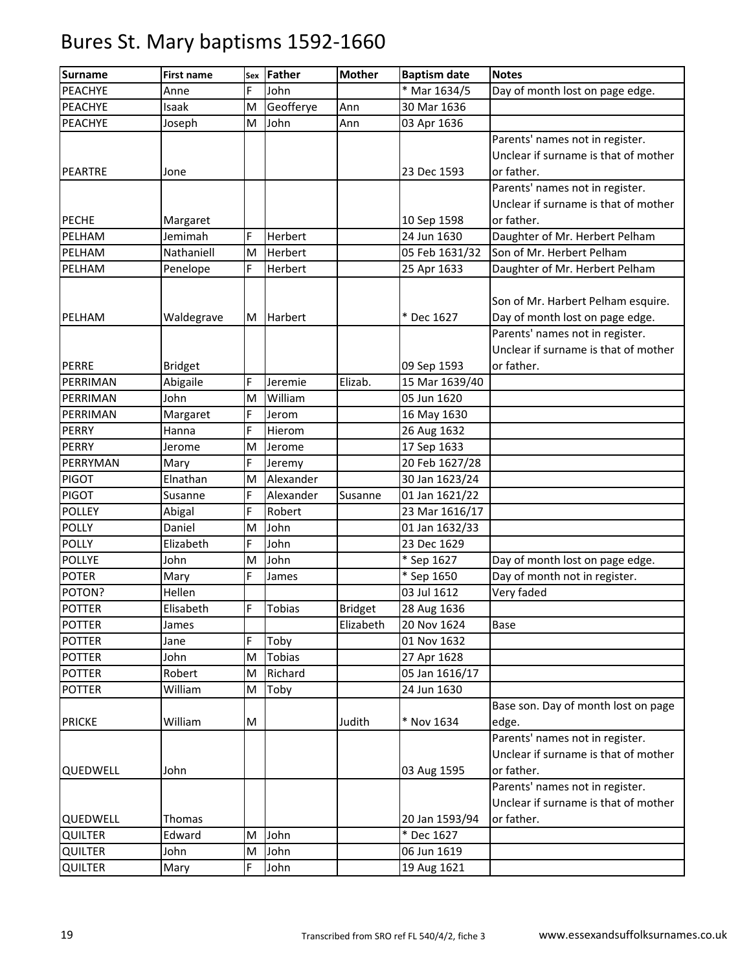| <b>Surname</b> | <b>First name</b> | Sex | Father        | <b>Mother</b>  | <b>Baptism date</b> | <b>Notes</b>                         |
|----------------|-------------------|-----|---------------|----------------|---------------------|--------------------------------------|
| <b>PEACHYE</b> | Anne              | F   | John          |                | * Mar 1634/5        | Day of month lost on page edge.      |
| PEACHYE        | Isaak             | M   | Geofferye     | Ann            | 30 Mar 1636         |                                      |
| PEACHYE        | Joseph            | M   | John          | Ann            | 03 Apr 1636         |                                      |
|                |                   |     |               |                |                     | Parents' names not in register.      |
|                |                   |     |               |                |                     | Unclear if surname is that of mother |
| <b>PEARTRE</b> | Jone              |     |               |                | 23 Dec 1593         | or father.                           |
|                |                   |     |               |                |                     | Parents' names not in register.      |
|                |                   |     |               |                |                     | Unclear if surname is that of mother |
| <b>PECHE</b>   | Margaret          |     |               |                | 10 Sep 1598         | or father.                           |
| PELHAM         | Jemimah           | F   | Herbert       |                | 24 Jun 1630         | Daughter of Mr. Herbert Pelham       |
| PELHAM         | Nathaniell        | M   | Herbert       |                | 05 Feb 1631/32      | Son of Mr. Herbert Pelham            |
| PELHAM         | Penelope          | F   | Herbert       |                | 25 Apr 1633         | Daughter of Mr. Herbert Pelham       |
|                |                   |     |               |                |                     |                                      |
|                |                   |     |               |                |                     | Son of Mr. Harbert Pelham esquire.   |
| PELHAM         | Waldegrave        | M   | Harbert       |                | * Dec 1627          | Day of month lost on page edge.      |
|                |                   |     |               |                |                     | Parents' names not in register.      |
|                |                   |     |               |                |                     | Unclear if surname is that of mother |
| <b>PERRE</b>   | <b>Bridget</b>    |     |               |                | 09 Sep 1593         | or father.                           |
| PERRIMAN       | Abigaile          | Ė   | Jeremie       | Elizab.        | 15 Mar 1639/40      |                                      |
| PERRIMAN       | John              | M   | William       |                | 05 Jun 1620         |                                      |
| PERRIMAN       | Margaret          | F   | Jerom         |                | 16 May 1630         |                                      |
| <b>PERRY</b>   | Hanna             | F   | Hierom        |                | 26 Aug 1632         |                                      |
| <b>PERRY</b>   | Jerome            | M   | Jerome        |                | 17 Sep 1633         |                                      |
| PERRYMAN       | Mary              | Ė   | Jeremy        |                | 20 Feb 1627/28      |                                      |
| <b>PIGOT</b>   | Elnathan          | M   | Alexander     |                | 30 Jan 1623/24      |                                      |
| <b>PIGOT</b>   | Susanne           | F   | Alexander     | Susanne        | 01 Jan 1621/22      |                                      |
| <b>POLLEY</b>  | Abigal            | F   | Robert        |                | 23 Mar 1616/17      |                                      |
| <b>POLLY</b>   | Daniel            | M   | John          |                | 01 Jan 1632/33      |                                      |
| <b>POLLY</b>   | Elizabeth         | Ė   | John          |                | 23 Dec 1629         |                                      |
| <b>POLLYE</b>  | John              | M   | John          |                | * Sep 1627          | Day of month lost on page edge.      |
| <b>POTER</b>   | Mary              | F   | James         |                | * Sep 1650          | Day of month not in register.        |
| POTON?         | Hellen            |     |               |                | 03 Jul 1612         | Very faded                           |
| <b>POTTER</b>  | Elisabeth         | F   | <b>Tobias</b> | <b>Bridget</b> | 28 Aug 1636         |                                      |
| <b>POTTER</b>  | James             |     |               | Elizabeth      | 20 Nov 1624         | Base                                 |
| <b>POTTER</b>  | Jane              | Ė   | Toby          |                | 01 Nov 1632         |                                      |
| <b>POTTER</b>  | John              | M   | <b>Tobias</b> |                | 27 Apr 1628         |                                      |
| <b>POTTER</b>  | Robert            | M   | Richard       |                | 05 Jan 1616/17      |                                      |
| <b>POTTER</b>  | William           | M   | Toby          |                | 24 Jun 1630         |                                      |
|                |                   |     |               |                |                     | Base son. Day of month lost on page  |
| <b>PRICKE</b>  | William           | M   |               | Judith         | * Nov 1634          | edge.                                |
|                |                   |     |               |                |                     | Parents' names not in register.      |
|                |                   |     |               |                |                     | Unclear if surname is that of mother |
| QUEDWELL       | John              |     |               |                | 03 Aug 1595         | or father.                           |
|                |                   |     |               |                |                     | Parents' names not in register.      |
|                |                   |     |               |                |                     | Unclear if surname is that of mother |
| QUEDWELL       | Thomas            |     |               |                | 20 Jan 1593/94      | or father.                           |
| QUILTER        | Edward            | M   | John          |                | * Dec 1627          |                                      |
| <b>QUILTER</b> | John              | M   | John          |                | 06 Jun 1619         |                                      |
| QUILTER        | Mary              | F   | John          |                | 19 Aug 1621         |                                      |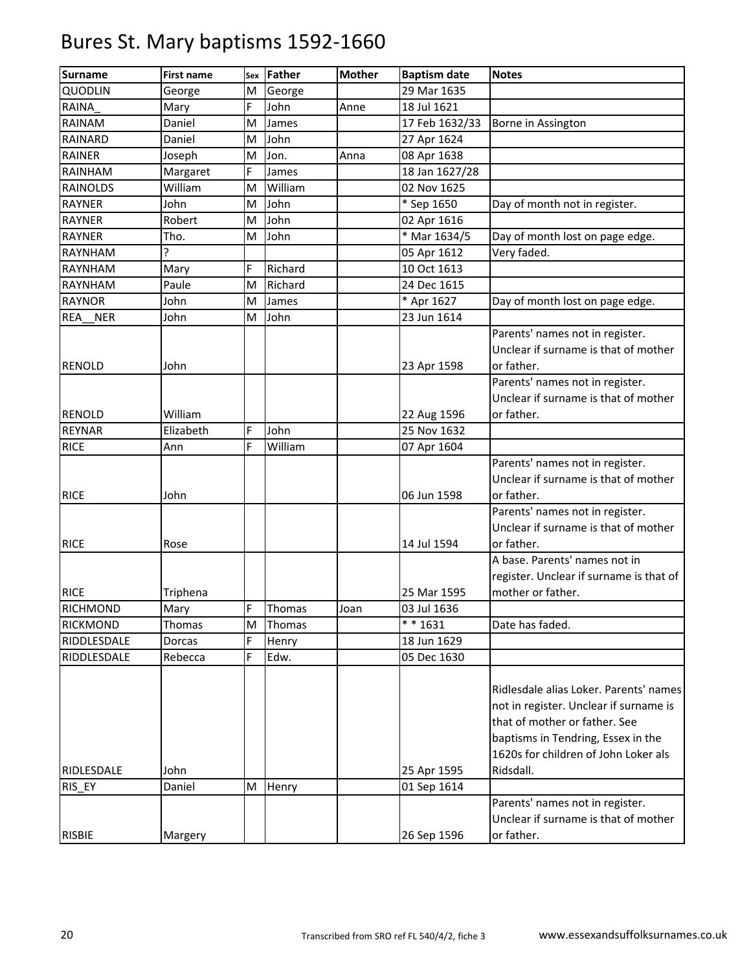| <b>Surname</b>          | <b>First name</b> | Sex    | <b>Father</b> | <b>Mother</b> | <b>Baptism date</b>        | <b>Notes</b>                                                                                                                                                                                    |
|-------------------------|-------------------|--------|---------------|---------------|----------------------------|-------------------------------------------------------------------------------------------------------------------------------------------------------------------------------------------------|
| <b>QUODLIN</b>          | George            | M      | George        |               | 29 Mar 1635                |                                                                                                                                                                                                 |
| <b>RAINA</b>            | Mary              | Ė      | John          | Anne          | 18 Jul 1621                |                                                                                                                                                                                                 |
| RAINAM                  | Daniel            | M      | James         |               | 17 Feb 1632/33             | Borne in Assington                                                                                                                                                                              |
| <b>RAINARD</b>          | Daniel            | M      | John          |               | 27 Apr 1624                |                                                                                                                                                                                                 |
| <b>RAINER</b>           | Joseph            | M      | Jon.          | Anna          | 08 Apr 1638                |                                                                                                                                                                                                 |
| RAINHAM                 | Margaret          | F      | James         |               | 18 Jan 1627/28             |                                                                                                                                                                                                 |
| <b>RAINOLDS</b>         | William           | M      | William       |               | 02 Nov 1625                |                                                                                                                                                                                                 |
| <b>RAYNER</b>           | John              | M      | John          |               | * Sep 1650                 | Day of month not in register.                                                                                                                                                                   |
| <b>RAYNER</b>           | Robert            | M      | John          |               | 02 Apr 1616                |                                                                                                                                                                                                 |
| <b>RAYNER</b>           | Tho.              | M      | John          |               | $*$ Mar 1634/5             | Day of month lost on page edge.                                                                                                                                                                 |
| <b>RAYNHAM</b>          | Ç                 |        |               |               | 05 Apr 1612                | Very faded.                                                                                                                                                                                     |
| RAYNHAM                 | Mary              | F      | Richard       |               | 10 Oct 1613                |                                                                                                                                                                                                 |
| RAYNHAM                 | Paule             | M      | Richard       |               | 24 Dec 1615                |                                                                                                                                                                                                 |
| <b>RAYNOR</b>           | John              | M      | James         |               | * Apr 1627                 | Day of month lost on page edge.                                                                                                                                                                 |
| <b>NER</b><br>REA       | John              | M      | John          |               | 23 Jun 1614                |                                                                                                                                                                                                 |
| <b>RENOLD</b>           | John              |        |               |               | 23 Apr 1598                | Parents' names not in register.<br>Unclear if surname is that of mother<br>or father.                                                                                                           |
| <b>RENOLD</b>           |                   |        |               |               |                            | Parents' names not in register.<br>Unclear if surname is that of mother<br>or father.                                                                                                           |
|                         | William           |        |               |               | 22 Aug 1596                |                                                                                                                                                                                                 |
| <b>REYNAR</b>           | Elizabeth         | F<br>F | John          |               | 25 Nov 1632                |                                                                                                                                                                                                 |
| <b>RICE</b>             | Ann               |        | William       |               | 07 Apr 1604                |                                                                                                                                                                                                 |
|                         |                   |        |               |               |                            | Parents' names not in register.<br>Unclear if surname is that of mother<br>or father.                                                                                                           |
| <b>RICE</b>             | John              |        |               |               | 06 Jun 1598                |                                                                                                                                                                                                 |
| <b>RICE</b>             | Rose              |        |               |               | 14 Jul 1594                | Parents' names not in register.<br>Unclear if surname is that of mother<br>or father.                                                                                                           |
|                         |                   |        |               |               |                            | A base. Parents' names not in                                                                                                                                                                   |
|                         |                   |        |               |               |                            | register. Unclear if surname is that of                                                                                                                                                         |
| <b>RICE</b>             | Triphena          |        |               |               | 25 Mar 1595                | mother or father.                                                                                                                                                                               |
| RICHMOND                | Mary              | F      | Thomas        | Joan          | 03 Jul 1636                |                                                                                                                                                                                                 |
| <b>RICKMOND</b>         | Thomas            | M      | Thomas        |               | $* * 1631$                 | Date has faded.                                                                                                                                                                                 |
| RIDDLESDALE             | Dorcas            | F      | Henry         |               | 18 Jun 1629                |                                                                                                                                                                                                 |
| RIDDLESDALE             | Rebecca           | F      | Edw.          |               | 05 Dec 1630                |                                                                                                                                                                                                 |
|                         |                   |        |               |               |                            | Ridlesdale alias Loker. Parents' names<br>not in register. Unclear if surname is<br>that of mother or father. See<br>baptisms in Tendring, Essex in the<br>1620s for children of John Loker als |
| RIDLESDALE              | John              |        |               |               | 25 Apr 1595                | Ridsdall.                                                                                                                                                                                       |
| RIS_EY<br><b>RISBIE</b> | Daniel<br>Margery | M      | Henry         |               | 01 Sep 1614<br>26 Sep 1596 | Parents' names not in register.<br>Unclear if surname is that of mother<br>or father.                                                                                                           |
|                         |                   |        |               |               |                            |                                                                                                                                                                                                 |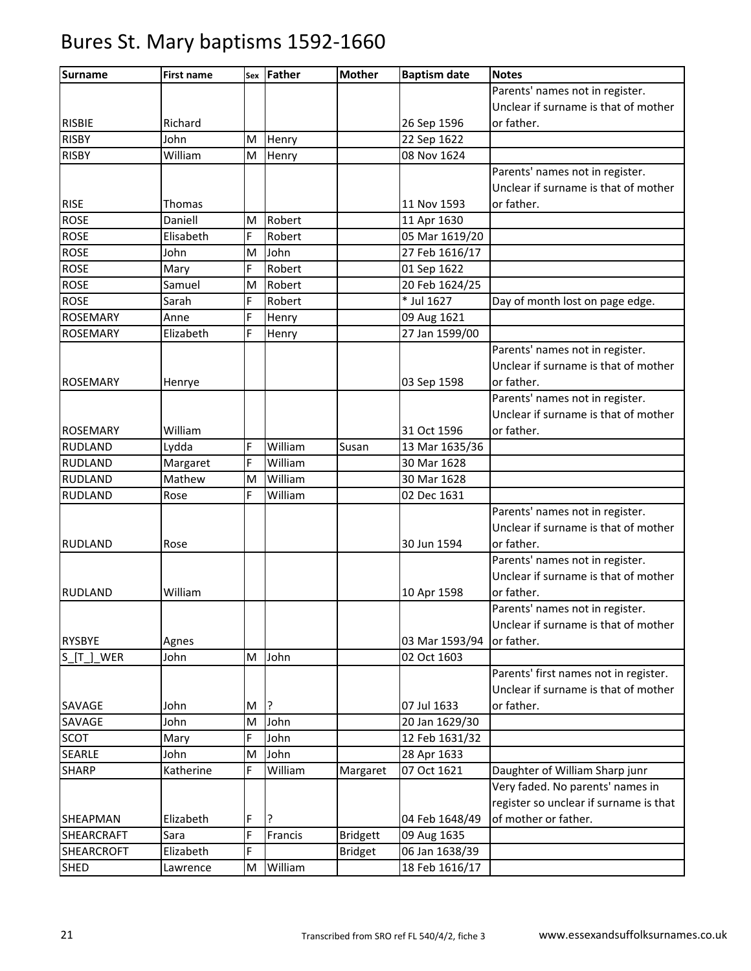| <b>Surname</b>  | <b>First name</b> | Sex | Father  | <b>Mother</b>   | <b>Baptism date</b> | <b>Notes</b>                           |
|-----------------|-------------------|-----|---------|-----------------|---------------------|----------------------------------------|
|                 |                   |     |         |                 |                     | Parents' names not in register.        |
|                 |                   |     |         |                 |                     | Unclear if surname is that of mother   |
| <b>RISBIE</b>   | Richard           |     |         |                 | 26 Sep 1596         | or father.                             |
| <b>RISBY</b>    | John              | M   | Henry   |                 | 22 Sep 1622         |                                        |
| <b>RISBY</b>    | William           | M   | Henry   |                 | 08 Nov 1624         |                                        |
|                 |                   |     |         |                 |                     | Parents' names not in register.        |
|                 |                   |     |         |                 |                     | Unclear if surname is that of mother   |
| <b>RISE</b>     | Thomas            |     |         |                 | 11 Nov 1593         | or father.                             |
| <b>ROSE</b>     | Daniell           | M   | Robert  |                 | 11 Apr 1630         |                                        |
| <b>ROSE</b>     | Elisabeth         | F   | Robert  |                 | 05 Mar 1619/20      |                                        |
| <b>ROSE</b>     | John              | M   | John    |                 | 27 Feb 1616/17      |                                        |
| <b>ROSE</b>     | Mary              | F   | Robert  |                 | 01 Sep 1622         |                                        |
| <b>ROSE</b>     | Samuel            | M   | Robert  |                 | 20 Feb 1624/25      |                                        |
| <b>ROSE</b>     | Sarah             | F   | Robert  |                 | * Jul 1627          | Day of month lost on page edge.        |
| <b>ROSEMARY</b> | Anne              | F   | Henry   |                 | 09 Aug 1621         |                                        |
| <b>ROSEMARY</b> | Elizabeth         | F   | Henry   |                 | 27 Jan 1599/00      |                                        |
|                 |                   |     |         |                 |                     | Parents' names not in register.        |
|                 |                   |     |         |                 |                     | Unclear if surname is that of mother   |
| <b>ROSEMARY</b> | Henrye            |     |         |                 | 03 Sep 1598         | or father.                             |
|                 |                   |     |         |                 |                     | Parents' names not in register.        |
|                 |                   |     |         |                 |                     | Unclear if surname is that of mother   |
| <b>ROSEMARY</b> | William           |     |         |                 | 31 Oct 1596         | or father.                             |
| <b>RUDLAND</b>  | Lydda             | F   | William | Susan           | 13 Mar 1635/36      |                                        |
| <b>RUDLAND</b>  | Margaret          | F   | William |                 | 30 Mar 1628         |                                        |
| <b>RUDLAND</b>  | Mathew            | M   | William |                 | 30 Mar 1628         |                                        |
| <b>RUDLAND</b>  | Rose              | F   | William |                 | 02 Dec 1631         |                                        |
|                 |                   |     |         |                 |                     | Parents' names not in register.        |
|                 |                   |     |         |                 |                     | Unclear if surname is that of mother   |
| <b>RUDLAND</b>  | Rose              |     |         |                 | 30 Jun 1594         | or father.                             |
|                 |                   |     |         |                 |                     | Parents' names not in register.        |
|                 |                   |     |         |                 |                     | Unclear if surname is that of mother   |
| <b>RUDLAND</b>  | William           |     |         |                 | 10 Apr 1598         | or father.                             |
|                 |                   |     |         |                 |                     | Parents' names not in register.        |
|                 |                   |     |         |                 |                     | Unclear if surname is that of mother   |
| <b>RYSBYE</b>   | Agnes             |     |         |                 | 03 Mar 1593/94      | or father.                             |
| S_[T_]_WER      | John              | M   | John    |                 | 02 Oct 1603         |                                        |
|                 |                   |     |         |                 |                     | Parents' first names not in register.  |
|                 |                   |     |         |                 |                     | Unclear if surname is that of mother   |
| SAVAGE          | John              | M   | 13      |                 | 07 Jul 1633         | or father.                             |
| SAVAGE          | John              | M   | John    |                 | 20 Jan 1629/30      |                                        |
| SCOT            | Mary              | F   | John    |                 | 12 Feb 1631/32      |                                        |
| <b>SEARLE</b>   | John              | M   | John    |                 | 28 Apr 1633         |                                        |
| <b>SHARP</b>    | Katherine         | F   | William | Margaret        | 07 Oct 1621         | Daughter of William Sharp junr         |
|                 |                   |     |         |                 |                     | Very faded. No parents' names in       |
|                 |                   |     |         |                 |                     | register so unclear if surname is that |
| <b>SHEAPMAN</b> | Elizabeth         | F   | ?       |                 | 04 Feb 1648/49      | of mother or father.                   |
| SHEARCRAFT      | Sara              | F   | Francis | <b>Bridgett</b> | 09 Aug 1635         |                                        |
| SHEARCROFT      | Elizabeth         | F   |         | <b>Bridget</b>  | 06 Jan 1638/39      |                                        |
| <b>SHED</b>     | Lawrence          | M   | William |                 | 18 Feb 1616/17      |                                        |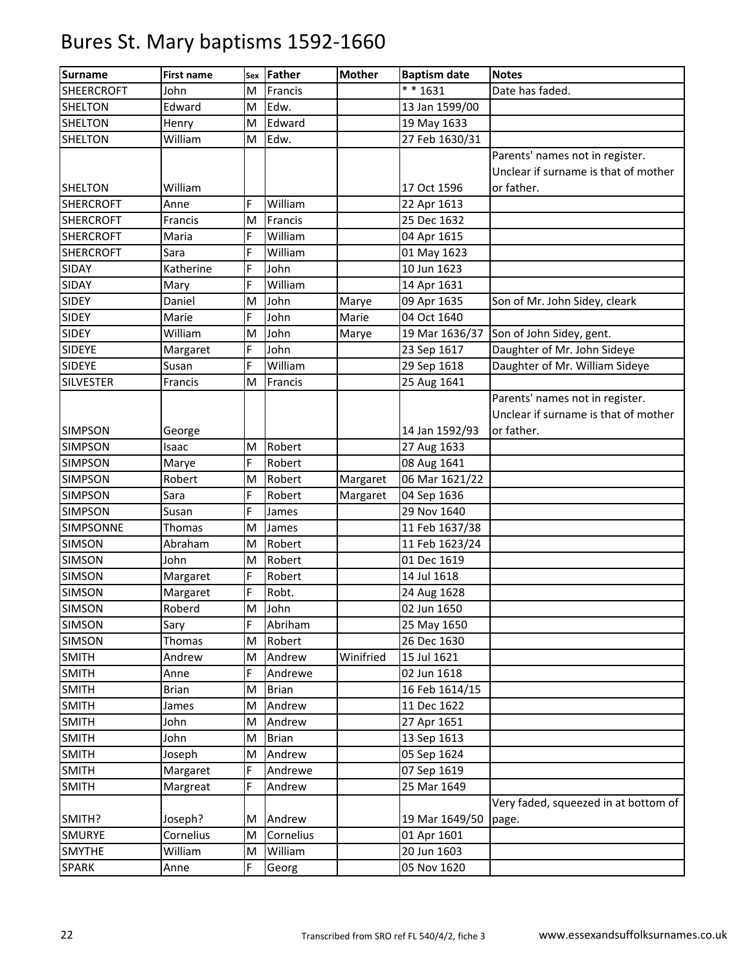| <b>Surname</b>    | <b>First name</b> | Sex | <b>Father</b> | <b>Mother</b> | <b>Baptism date</b> | <b>Notes</b>                         |
|-------------------|-------------------|-----|---------------|---------------|---------------------|--------------------------------------|
| <b>SHEERCROFT</b> | John              | M   | Francis       |               | $* * 1631$          | Date has faded.                      |
| <b>SHELTON</b>    | Edward            | M   | Edw.          |               | 13 Jan 1599/00      |                                      |
| <b>SHELTON</b>    | Henry             | M   | Edward        |               | 19 May 1633         |                                      |
| <b>SHELTON</b>    | William           | M   | Edw.          |               | 27 Feb 1630/31      |                                      |
|                   |                   |     |               |               |                     | Parents' names not in register.      |
|                   |                   |     |               |               |                     | Unclear if surname is that of mother |
| <b>SHELTON</b>    | William           |     |               |               | 17 Oct 1596         | or father.                           |
| <b>SHERCROFT</b>  | Anne              | F   | William       |               | 22 Apr 1613         |                                      |
| <b>SHERCROFT</b>  | Francis           | M   | Francis       |               | 25 Dec 1632         |                                      |
| <b>SHERCROFT</b>  | Maria             | F   | William       |               | 04 Apr 1615         |                                      |
| <b>SHERCROFT</b>  | Sara              | Ë   | William       |               | 01 May 1623         |                                      |
| SIDAY             | Katherine         | F   | John          |               | 10 Jun 1623         |                                      |
| <b>SIDAY</b>      | Mary              | F   | William       |               | 14 Apr 1631         |                                      |
| <b>SIDEY</b>      | Daniel            | M   | John          | Marye         | 09 Apr 1635         | Son of Mr. John Sidey, cleark        |
| <b>SIDEY</b>      | Marie             | F   | John          | Marie         | 04 Oct 1640         |                                      |
| <b>SIDEY</b>      | William           | M   | John          | Marye         | 19 Mar 1636/37      | Son of John Sidey, gent.             |
| <b>SIDEYE</b>     | Margaret          | F   | John          |               | 23 Sep 1617         | Daughter of Mr. John Sideye          |
| <b>SIDEYE</b>     | Susan             | F   | William       |               | 29 Sep 1618         | Daughter of Mr. William Sideye       |
| <b>SILVESTER</b>  | Francis           | M   | Francis       |               | 25 Aug 1641         |                                      |
|                   |                   |     |               |               |                     | Parents' names not in register.      |
|                   |                   |     |               |               |                     | Unclear if surname is that of mother |
| <b>SIMPSON</b>    | George            |     |               |               | 14 Jan 1592/93      | or father.                           |
| <b>SIMPSON</b>    | Isaac             | M   | Robert        |               | 27 Aug 1633         |                                      |
| <b>SIMPSON</b>    | Marye             | F   | Robert        |               | 08 Aug 1641         |                                      |
| <b>SIMPSON</b>    | Robert            | M   | Robert        | Margaret      | 06 Mar 1621/22      |                                      |
| <b>SIMPSON</b>    | Sara              | F   | Robert        | Margaret      | 04 Sep 1636         |                                      |
| <b>SIMPSON</b>    | Susan             | F   | James         |               | 29 Nov 1640         |                                      |
| <b>SIMPSONNE</b>  | Thomas            | M   | James         |               | 11 Feb 1637/38      |                                      |
| <b>SIMSON</b>     | Abraham           | M   | Robert        |               | 11 Feb 1623/24      |                                      |
| <b>SIMSON</b>     | John              | M   | Robert        |               | 01 Dec 1619         |                                      |
| <b>SIMSON</b>     | Margaret          | F   | Robert        |               | 14 Jul 1618         |                                      |
| <b>SIMSON</b>     | Margaret          | F   | Robt.         |               | 24 Aug 1628         |                                      |
| <b>SIMSON</b>     | Roberd            | M   | John          |               | 02 Jun 1650         |                                      |
| <b>SIMSON</b>     | Sary              | F   | Abriham       |               | 25 May 1650         |                                      |
| SIMSON            | Thomas            | M   | Robert        |               | 26 Dec 1630         |                                      |
| <b>SMITH</b>      | Andrew            | M   | Andrew        | Winifried     | 15 Jul 1621         |                                      |
| <b>SMITH</b>      | Anne              | F   | Andrewe       |               | 02 Jun 1618         |                                      |
| <b>SMITH</b>      | <b>Brian</b>      | M   | <b>Brian</b>  |               | 16 Feb 1614/15      |                                      |
| <b>SMITH</b>      | James             | M   | Andrew        |               | 11 Dec 1622         |                                      |
| <b>SMITH</b>      | John              | M   | Andrew        |               | 27 Apr 1651         |                                      |
| <b>SMITH</b>      | John              | M   | <b>Brian</b>  |               | 13 Sep 1613         |                                      |
| <b>SMITH</b>      | Joseph            | M   | Andrew        |               | 05 Sep 1624         |                                      |
| <b>SMITH</b>      | Margaret          | F   | Andrewe       |               | 07 Sep 1619         |                                      |
| <b>SMITH</b>      | Margreat          | F   | Andrew        |               | 25 Mar 1649         |                                      |
|                   |                   |     |               |               |                     | Very faded, squeezed in at bottom of |
| SMITH?            | Joseph?           | М   | Andrew        |               | 19 Mar 1649/50      | page.                                |
| <b>SMURYE</b>     | Cornelius         | M   | Cornelius     |               | 01 Apr 1601         |                                      |
| <b>SMYTHE</b>     | William           | M   | William       |               | 20 Jun 1603         |                                      |
| <b>SPARK</b>      | Anne              | F   | Georg         |               | 05 Nov 1620         |                                      |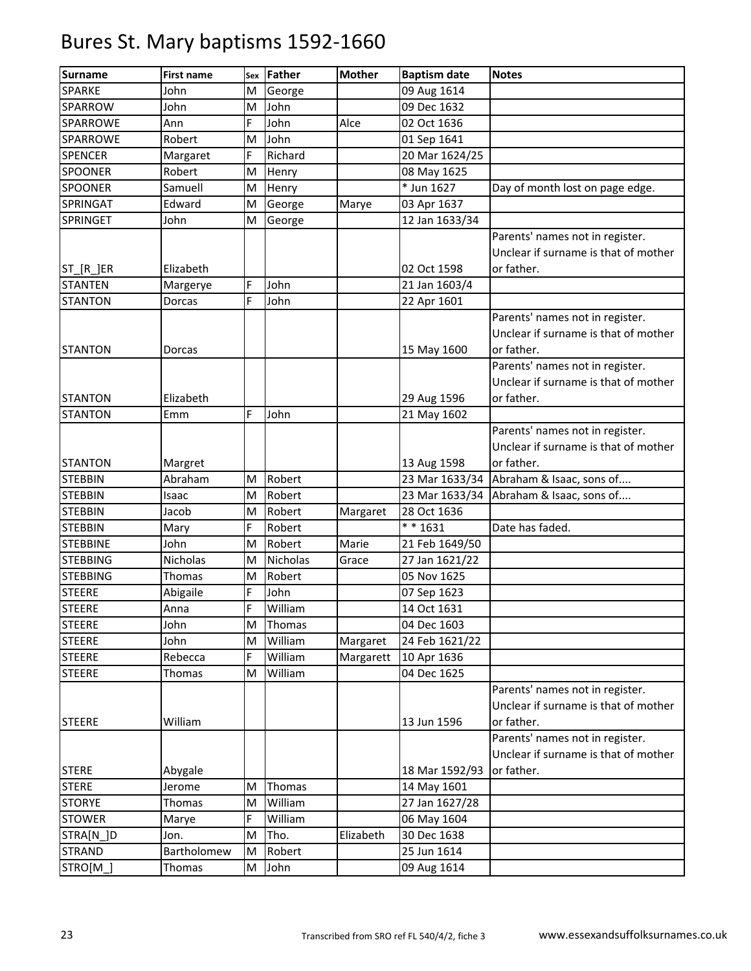| <b>Surname</b>             | <b>First name</b> | Sex | Father          | <b>Mother</b> | <b>Baptism date</b>  | <b>Notes</b>                                                                                                             |
|----------------------------|-------------------|-----|-----------------|---------------|----------------------|--------------------------------------------------------------------------------------------------------------------------|
| SPARKE                     | John              | M   | George          |               | 09 Aug 1614          |                                                                                                                          |
| SPARROW                    | John              | M   | John            |               | 09 Dec 1632          |                                                                                                                          |
| SPARROWE                   | Ann               | Ė   | John            | Alce          | 02 Oct 1636          |                                                                                                                          |
| SPARROWE                   | Robert            | M   | John            |               | 01 Sep 1641          |                                                                                                                          |
| <b>SPENCER</b>             | Margaret          | F   | Richard         |               | 20 Mar 1624/25       |                                                                                                                          |
| SPOONER                    | Robert            | M   | Henry           |               | 08 May 1625          |                                                                                                                          |
| <b>SPOONER</b>             | Samuell           | M   | Henry           |               | * Jun 1627           | Day of month lost on page edge.                                                                                          |
| SPRINGAT                   | Edward            | M   | George          | Marye         | 03 Apr 1637          |                                                                                                                          |
| <b>SPRINGET</b>            | John              | M   | George          |               | 12 Jan 1633/34       |                                                                                                                          |
| ST_[R_]ER                  | Elizabeth         |     |                 |               | 02 Oct 1598          | Parents' names not in register.<br>Unclear if surname is that of mother<br>or father.                                    |
| <b>STANTEN</b>             | Margerye          | F   | John            |               | 21 Jan 1603/4        |                                                                                                                          |
| <b>STANTON</b>             | Dorcas            | F   | John            |               | 22 Apr 1601          |                                                                                                                          |
| <b>STANTON</b>             | Dorcas            |     |                 |               | 15 May 1600          | Parents' names not in register.<br>Unclear if surname is that of mother<br>or father.<br>Parents' names not in register. |
| <b>STANTON</b>             | Elizabeth         |     |                 |               | 29 Aug 1596          | Unclear if surname is that of mother<br>or father.                                                                       |
| <b>STANTON</b>             | Emm               | F   | John            |               | 21 May 1602          |                                                                                                                          |
| <b>STANTON</b>             | Margret           |     |                 |               | 13 Aug 1598          | Parents' names not in register.<br>Unclear if surname is that of mother<br>or father.                                    |
| <b>STEBBIN</b>             | Abraham           | M   | Robert          |               | 23 Mar 1633/34       | Abraham & Isaac, sons of                                                                                                 |
| <b>STEBBIN</b>             | Isaac             | M   | Robert          |               | 23 Mar 1633/34       | Abraham & Isaac, sons of                                                                                                 |
| <b>STEBBIN</b>             | Jacob             | M   | Robert          | Margaret      | 28 Oct 1636          |                                                                                                                          |
| <b>STEBBIN</b>             | Mary              | F   | Robert          |               | $\frac{1}{*}$ * 1631 | Date has faded.                                                                                                          |
| <b>STEBBINE</b>            | John              | M   | Robert          | Marie         | 21 Feb 1649/50       |                                                                                                                          |
| <b>STEBBING</b>            | Nicholas          | M   | <b>Nicholas</b> | Grace         | 27 Jan 1621/22       |                                                                                                                          |
| <b>STEBBING</b>            | Thomas            | M   | Robert          |               | 05 Nov 1625          |                                                                                                                          |
| <b>STEERE</b>              | Abigaile          | F   | John            |               | 07 Sep 1623          |                                                                                                                          |
| <b>STEERE</b>              | Anna              | F   | William         |               | 14 Oct 1631          |                                                                                                                          |
| <b>STEERE</b>              | John              | M   | Thomas          |               | 04 Dec 1603          |                                                                                                                          |
| <b>STEERE</b>              | John              | M   | William         | Margaret      | 24 Feb 1621/22       |                                                                                                                          |
| <b>STEERE</b>              | Rebecca           | F   | William         | Margarett     | 10 Apr 1636          |                                                                                                                          |
| <b>STEERE</b>              | Thomas            | M   | William         |               | 04 Dec 1625          |                                                                                                                          |
| <b>STEERE</b>              | William           |     |                 |               | 13 Jun 1596          | Parents' names not in register.<br>Unclear if surname is that of mother<br>or father.                                    |
| <b>STERE</b>               |                   |     |                 |               | 18 Mar 1592/93       | Parents' names not in register.<br>Unclear if surname is that of mother<br>or father.                                    |
| <b>STERE</b>               | Abygale<br>Jerome | M   | Thomas          |               | 14 May 1601          |                                                                                                                          |
| <b>STORYE</b>              | Thomas            | M   | William         |               | 27 Jan 1627/28       |                                                                                                                          |
| <b>STOWER</b>              |                   | F   | William         |               | 06 May 1604          |                                                                                                                          |
|                            | Marye<br>Jon.     | M   | Tho.            | Elizabeth     | 30 Dec 1638          |                                                                                                                          |
| STRA[N_]D<br><b>STRAND</b> | Bartholomew       | M   | Robert          |               | 25 Jun 1614          |                                                                                                                          |
|                            |                   |     |                 |               |                      |                                                                                                                          |
| STRO[M_]                   | Thomas            | M   | John            |               | 09 Aug 1614          |                                                                                                                          |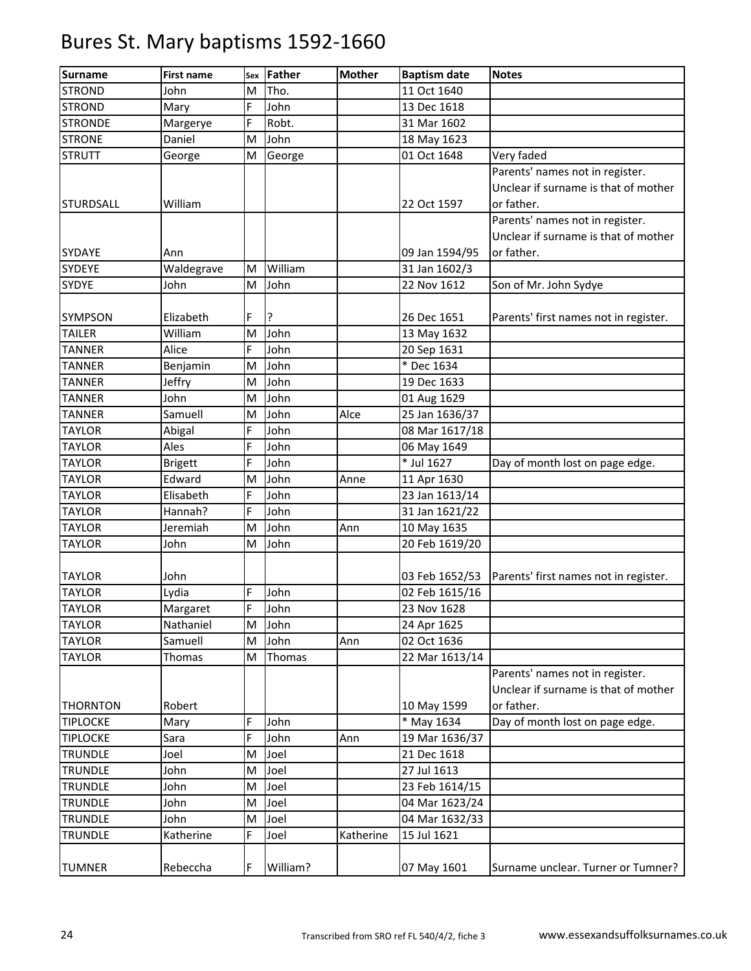| <b>Surname</b>   | <b>First name</b> | Sex | Father   | <b>Mother</b> | <b>Baptism date</b> | <b>Notes</b>                          |
|------------------|-------------------|-----|----------|---------------|---------------------|---------------------------------------|
| <b>STROND</b>    | John              | M   | Tho.     |               | 11 Oct 1640         |                                       |
| <b>STROND</b>    | Mary              | F   | John     |               | 13 Dec 1618         |                                       |
| <b>STRONDE</b>   | Margerye          | F   | Robt.    |               | 31 Mar 1602         |                                       |
| <b>STRONE</b>    | Daniel            | M   | John     |               | 18 May 1623         |                                       |
| <b>STRUTT</b>    | George            | M   | George   |               | 01 Oct 1648         | Very faded                            |
|                  |                   |     |          |               |                     | Parents' names not in register.       |
|                  |                   |     |          |               |                     | Unclear if surname is that of mother  |
| <b>STURDSALL</b> | William           |     |          |               | 22 Oct 1597         | or father.                            |
|                  |                   |     |          |               |                     | Parents' names not in register.       |
|                  |                   |     |          |               |                     | Unclear if surname is that of mother  |
| <b>SYDAYE</b>    | Ann               |     |          |               | 09 Jan 1594/95      | or father.                            |
| <b>SYDEYE</b>    | Waldegrave        | M   | William  |               | 31 Jan 1602/3       |                                       |
| <b>SYDYE</b>     | John              | M   | John     |               | 22 Nov 1612         | Son of Mr. John Sydye                 |
|                  |                   |     |          |               |                     |                                       |
| <b>SYMPSON</b>   | Elizabeth         | Ė   | ?        |               | 26 Dec 1651         | Parents' first names not in register. |
| <b>TAILER</b>    | William           | M   | John     |               | 13 May 1632         |                                       |
| <b>TANNER</b>    | Alice             | F   | John     |               | 20 Sep 1631         |                                       |
| <b>TANNER</b>    | Benjamin          | M   | John     |               | * Dec 1634          |                                       |
| <b>TANNER</b>    | Jeffry            | M   | John     |               | 19 Dec 1633         |                                       |
| <b>TANNER</b>    | John              | M   | John     |               | 01 Aug 1629         |                                       |
| <b>TANNER</b>    | Samuell           | M   | John     | Alce          | 25 Jan 1636/37      |                                       |
| <b>TAYLOR</b>    | Abigal            | Ë   | John     |               | 08 Mar 1617/18      |                                       |
| <b>TAYLOR</b>    | Ales              | F   | John     |               | 06 May 1649         |                                       |
| <b>TAYLOR</b>    | <b>Brigett</b>    | Ė   | John     |               | * Jul 1627          | Day of month lost on page edge.       |
| <b>TAYLOR</b>    | Edward            | M   | John     | Anne          | 11 Apr 1630         |                                       |
| <b>TAYLOR</b>    | Elisabeth         | F   | John     |               | 23 Jan 1613/14      |                                       |
| <b>TAYLOR</b>    | Hannah?           | F   | John     |               | 31 Jan 1621/22      |                                       |
| <b>TAYLOR</b>    | Jeremiah          | M   | John     | Ann           | 10 May 1635         |                                       |
| <b>TAYLOR</b>    | John              | M   | John     |               | 20 Feb 1619/20      |                                       |
|                  |                   |     |          |               |                     |                                       |
| <b>TAYLOR</b>    | John              |     |          |               | 03 Feb 1652/53      | Parents' first names not in register. |
| <b>TAYLOR</b>    | Lydia             | F   | John     |               | 02 Feb 1615/16      |                                       |
| <b>TAYLOR</b>    | Margaret          | F   | John     |               | 23 Nov 1628         |                                       |
| <b>TAYLOR</b>    | Nathaniel         | M   | John     |               | 24 Apr 1625         |                                       |
| <b>TAYLOR</b>    | Samuell           | M   | John     | Ann           | 02 Oct 1636         |                                       |
| <b>TAYLOR</b>    | Thomas            | M   | Thomas   |               | 22 Mar 1613/14      |                                       |
|                  |                   |     |          |               |                     | Parents' names not in register.       |
|                  |                   |     |          |               |                     | Unclear if surname is that of mother  |
| <b>THORNTON</b>  | Robert            |     |          |               | 10 May 1599         | or father.                            |
| <b>TIPLOCKE</b>  | Mary              | Ė   | John     |               | * May 1634          | Day of month lost on page edge.       |
| <b>TIPLOCKE</b>  | Sara              | F   | John     | Ann           | 19 Mar 1636/37      |                                       |
| <b>TRUNDLE</b>   | Joel              | M   | Joel     |               | 21 Dec 1618         |                                       |
| <b>TRUNDLE</b>   | John              | M   | Joel     |               | 27 Jul 1613         |                                       |
| <b>TRUNDLE</b>   | John              | M   | Joel     |               | 23 Feb 1614/15      |                                       |
| <b>TRUNDLE</b>   | John              | M   | Joel     |               | 04 Mar 1623/24      |                                       |
| <b>TRUNDLE</b>   | John              | M   | Joel     |               | 04 Mar 1632/33      |                                       |
| <b>TRUNDLE</b>   | Katherine         | F   | Joel     | Katherine     | 15 Jul 1621         |                                       |
|                  |                   |     |          |               |                     |                                       |
| <b>TUMNER</b>    | Rebeccha          | F   | William? |               | 07 May 1601         | Surname unclear. Turner or Tumner?    |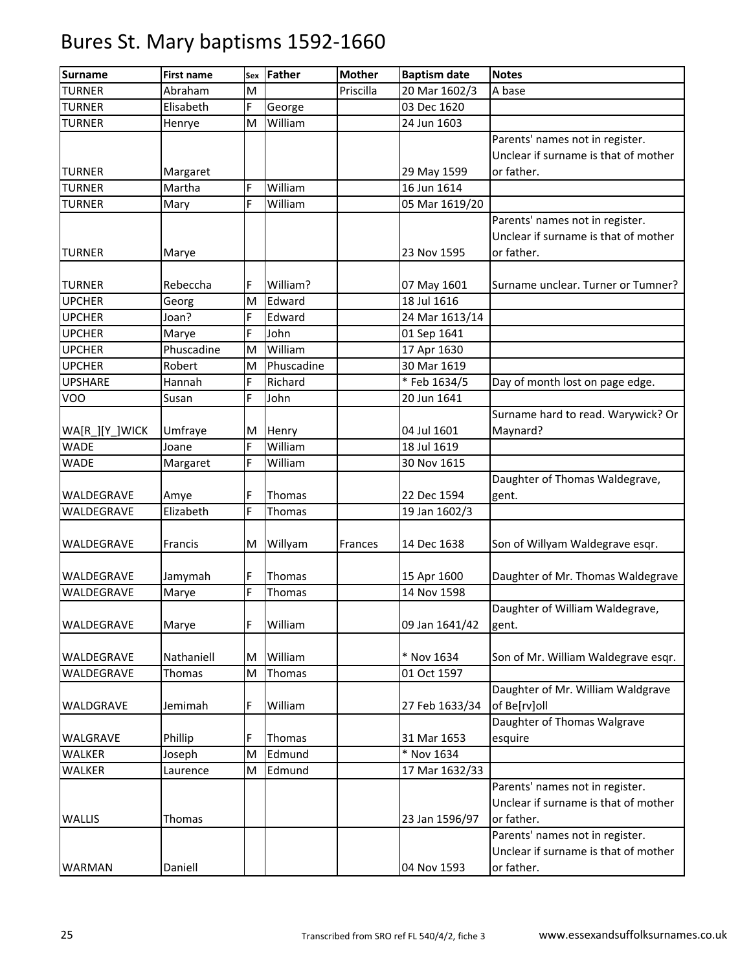| <b>Surname</b> | <b>First name</b> | Sex | Father     | <b>Mother</b> | <b>Baptism date</b> | <b>Notes</b>                         |
|----------------|-------------------|-----|------------|---------------|---------------------|--------------------------------------|
| <b>TURNER</b>  | Abraham           | M   |            | Priscilla     | 20 Mar 1602/3       | A base                               |
| <b>TURNER</b>  | Elisabeth         | F   | George     |               | 03 Dec 1620         |                                      |
| <b>TURNER</b>  | Henrye            | M   | William    |               | 24 Jun 1603         |                                      |
|                |                   |     |            |               |                     | Parents' names not in register.      |
|                |                   |     |            |               |                     | Unclear if surname is that of mother |
| <b>TURNER</b>  | Margaret          |     |            |               | 29 May 1599         | or father.                           |
| <b>TURNER</b>  | Martha            | F   | William    |               | 16 Jun 1614         |                                      |
| <b>TURNER</b>  | Mary              | F   | William    |               | 05 Mar 1619/20      |                                      |
|                |                   |     |            |               |                     | Parents' names not in register.      |
|                |                   |     |            |               |                     | Unclear if surname is that of mother |
| <b>TURNER</b>  | Marye             |     |            |               | 23 Nov 1595         | or father.                           |
|                |                   |     |            |               |                     |                                      |
| <b>TURNER</b>  | Rebeccha          | F   | William?   |               | 07 May 1601         | Surname unclear. Turner or Tumner?   |
| <b>UPCHER</b>  | Georg             | M   | Edward     |               | 18 Jul 1616         |                                      |
| <b>UPCHER</b>  | Joan?             | F   | Edward     |               | 24 Mar 1613/14      |                                      |
| <b>UPCHER</b>  | Marye             | Ë   | John       |               | 01 Sep 1641         |                                      |
| <b>UPCHER</b>  | Phuscadine        | M   | William    |               | 17 Apr 1630         |                                      |
| <b>UPCHER</b>  | Robert            | M   | Phuscadine |               | 30 Mar 1619         |                                      |
| <b>UPSHARE</b> | Hannah            | F   | Richard    |               | *Feb 1634/5         | Day of month lost on page edge.      |
| VOO            | Susan             | F   | John       |               | 20 Jun 1641         |                                      |
|                |                   |     |            |               |                     | Surname hard to read. Warywick? Or   |
| WA[R_][Y_]WICK | Umfraye           | M   | Henry      |               | 04 Jul 1601         | Maynard?                             |
| <b>WADE</b>    | Joane             | F   | William    |               | 18 Jul 1619         |                                      |
| WADE           | Margaret          | F   | William    |               | 30 Nov 1615         |                                      |
|                |                   |     |            |               |                     | Daughter of Thomas Waldegrave,       |
| WALDEGRAVE     | Amye              | F   | Thomas     |               | 22 Dec 1594         | gent.                                |
| WALDEGRAVE     | Elizabeth         | F   | Thomas     |               | 19 Jan 1602/3       |                                      |
|                |                   |     |            |               |                     |                                      |
| WALDEGRAVE     | Francis           | M   | Willyam    | Frances       | 14 Dec 1638         | Son of Willyam Waldegrave esqr.      |
|                |                   |     |            |               |                     |                                      |
| WALDEGRAVE     | Jamymah           | F   | Thomas     |               | 15 Apr 1600         | Daughter of Mr. Thomas Waldegrave    |
| WALDEGRAVE     | Marye             | F   | Thomas     |               | 14 Nov 1598         |                                      |
|                |                   |     |            |               |                     | Daughter of William Waldegrave,      |
| WALDEGRAVE     | Marye             | F   | William    |               | 09 Jan 1641/42      | gent.                                |
|                |                   |     |            |               |                     |                                      |
| WALDEGRAVE     | Nathaniell        | M   | William    |               | * Nov 1634          | Son of Mr. William Waldegrave esqr.  |
| WALDEGRAVE     | Thomas            | M   | Thomas     |               | 01 Oct 1597         |                                      |
|                |                   |     |            |               |                     | Daughter of Mr. William Waldgrave    |
| WALDGRAVE      | Jemimah           | F   | William    |               | 27 Feb 1633/34      | of Be[rv]oll                         |
|                |                   |     |            |               |                     | Daughter of Thomas Walgrave          |
| WALGRAVE       | Phillip           | F   | Thomas     |               | 31 Mar 1653         | esquire                              |
| WALKER         | Joseph            | M   | Edmund     |               | * Nov 1634          |                                      |
| WALKER         | Laurence          | M   | Edmund     |               | 17 Mar 1632/33      |                                      |
|                |                   |     |            |               |                     | Parents' names not in register.      |
|                |                   |     |            |               |                     | Unclear if surname is that of mother |
| <b>WALLIS</b>  | Thomas            |     |            |               | 23 Jan 1596/97      | or father.                           |
|                |                   |     |            |               |                     | Parents' names not in register.      |
|                |                   |     |            |               |                     | Unclear if surname is that of mother |
| WARMAN         | Daniell           |     |            |               | 04 Nov 1593         | or father.                           |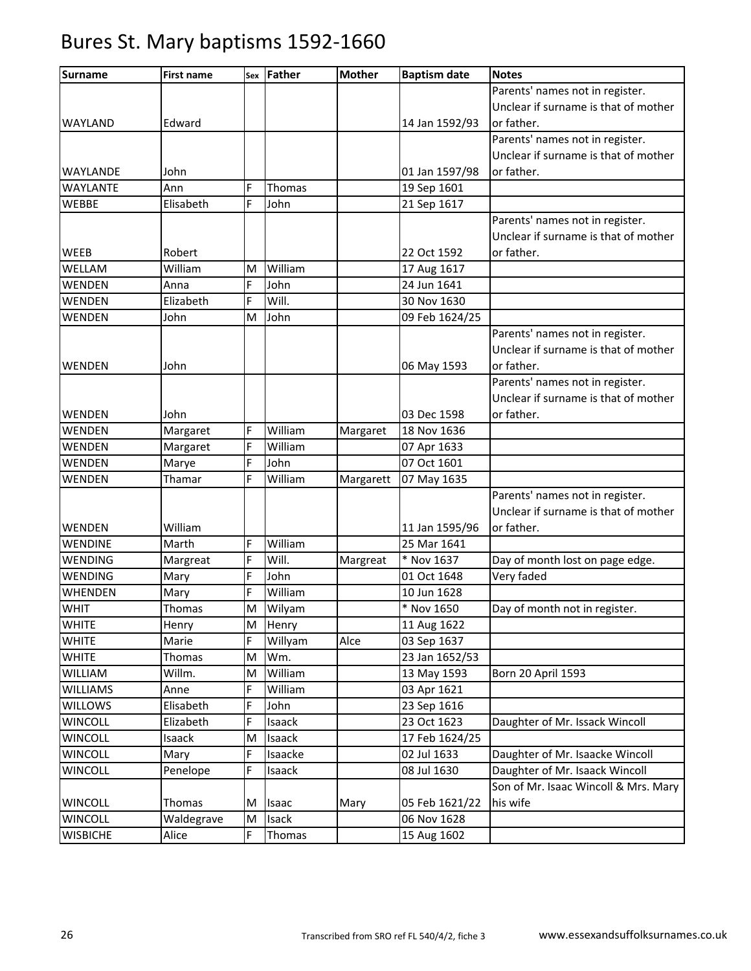| <b>Surname</b>  | <b>First name</b> | Sex | Father  | <b>Mother</b> | <b>Baptism date</b> | <b>Notes</b>                         |
|-----------------|-------------------|-----|---------|---------------|---------------------|--------------------------------------|
|                 |                   |     |         |               |                     | Parents' names not in register.      |
|                 |                   |     |         |               |                     | Unclear if surname is that of mother |
| <b>WAYLAND</b>  | Edward            |     |         |               | 14 Jan 1592/93      | or father.                           |
|                 |                   |     |         |               |                     | Parents' names not in register.      |
|                 |                   |     |         |               |                     | Unclear if surname is that of mother |
| <b>WAYLANDE</b> | John              |     |         |               | 01 Jan 1597/98      | or father.                           |
| <b>WAYLANTE</b> | Ann               | F   | Thomas  |               | 19 Sep 1601         |                                      |
| <b>WEBBE</b>    | Elisabeth         | F   | John    |               | 21 Sep 1617         |                                      |
|                 |                   |     |         |               |                     | Parents' names not in register.      |
|                 |                   |     |         |               |                     | Unclear if surname is that of mother |
| WEEB            | Robert            |     |         |               | 22 Oct 1592         | or father.                           |
| WELLAM          | William           | M   | William |               | 17 Aug 1617         |                                      |
| WENDEN          | Anna              | F   | John    |               | 24 Jun 1641         |                                      |
| WENDEN          | Elizabeth         | F   | Will.   |               | 30 Nov 1630         |                                      |
| WENDEN          | John              | M   | John    |               | 09 Feb 1624/25      |                                      |
|                 |                   |     |         |               |                     | Parents' names not in register.      |
|                 |                   |     |         |               |                     | Unclear if surname is that of mother |
| <b>WENDEN</b>   | John              |     |         |               | 06 May 1593         | or father.                           |
|                 |                   |     |         |               |                     | Parents' names not in register.      |
|                 |                   |     |         |               |                     | Unclear if surname is that of mother |
| WENDEN          | John              |     |         |               | 03 Dec 1598         | or father.                           |
| <b>WENDEN</b>   | Margaret          | F   | William | Margaret      | 18 Nov 1636         |                                      |
| WENDEN          | Margaret          | F   | William |               | 07 Apr 1633         |                                      |
| WENDEN          | Marye             | F   | John    |               | 07 Oct 1601         |                                      |
| WENDEN          | Thamar            | F   | William | Margarett     | 07 May 1635         |                                      |
|                 |                   |     |         |               |                     | Parents' names not in register.      |
|                 |                   |     |         |               |                     | Unclear if surname is that of mother |
| WENDEN          | William           |     |         |               | 11 Jan 1595/96      | or father.                           |
| <b>WENDINE</b>  | Marth             | F   | William |               | 25 Mar 1641         |                                      |
| <b>WENDING</b>  | Margreat          | F   | Will.   | Margreat      | * Nov 1637          | Day of month lost on page edge.      |
| WENDING         | Mary              | F   | John    |               | 01 Oct 1648         | Very faded                           |
| <b>WHENDEN</b>  | Mary              | F   | William |               | 10 Jun 1628         |                                      |
| <b>WHIT</b>     | Thomas            | M   | Wilyam  |               | * Nov 1650          | Day of month not in register.        |
| <b>WHITE</b>    | Henry             | M   | Henry   |               | 11 Aug 1622         |                                      |
| <b>WHITE</b>    | Marie             | F   | Willyam | Alce          | 03 Sep 1637         |                                      |
| <b>WHITE</b>    | Thomas            | M   | Wm.     |               | 23 Jan 1652/53      |                                      |
| WILLIAM         | Willm.            | M   | William |               | 13 May 1593         | Born 20 April 1593                   |
| <b>WILLIAMS</b> | Anne              | F   | William |               | 03 Apr 1621         |                                      |
| <b>WILLOWS</b>  | Elisabeth         | F   | John    |               | 23 Sep 1616         |                                      |
| <b>WINCOLL</b>  | Elizabeth         | F   | Isaack  |               | 23 Oct 1623         | Daughter of Mr. Issack Wincoll       |
| <b>WINCOLL</b>  | Isaack            | M   | Isaack  |               | 17 Feb 1624/25      |                                      |
| <b>WINCOLL</b>  | Mary              | F   | Isaacke |               | 02 Jul 1633         | Daughter of Mr. Isaacke Wincoll      |
| <b>WINCOLL</b>  | Penelope          | F   | Isaack  |               | 08 Jul 1630         | Daughter of Mr. Isaack Wincoll       |
|                 |                   |     |         |               |                     | Son of Mr. Isaac Wincoll & Mrs. Mary |
| <b>WINCOLL</b>  | Thomas            | M   | Isaac   | Mary          | 05 Feb 1621/22      | his wife                             |
| <b>WINCOLL</b>  | Waldegrave        | M   | Isack   |               | 06 Nov 1628         |                                      |
| <b>WISBICHE</b> | Alice             | F   | Thomas  |               | 15 Aug 1602         |                                      |